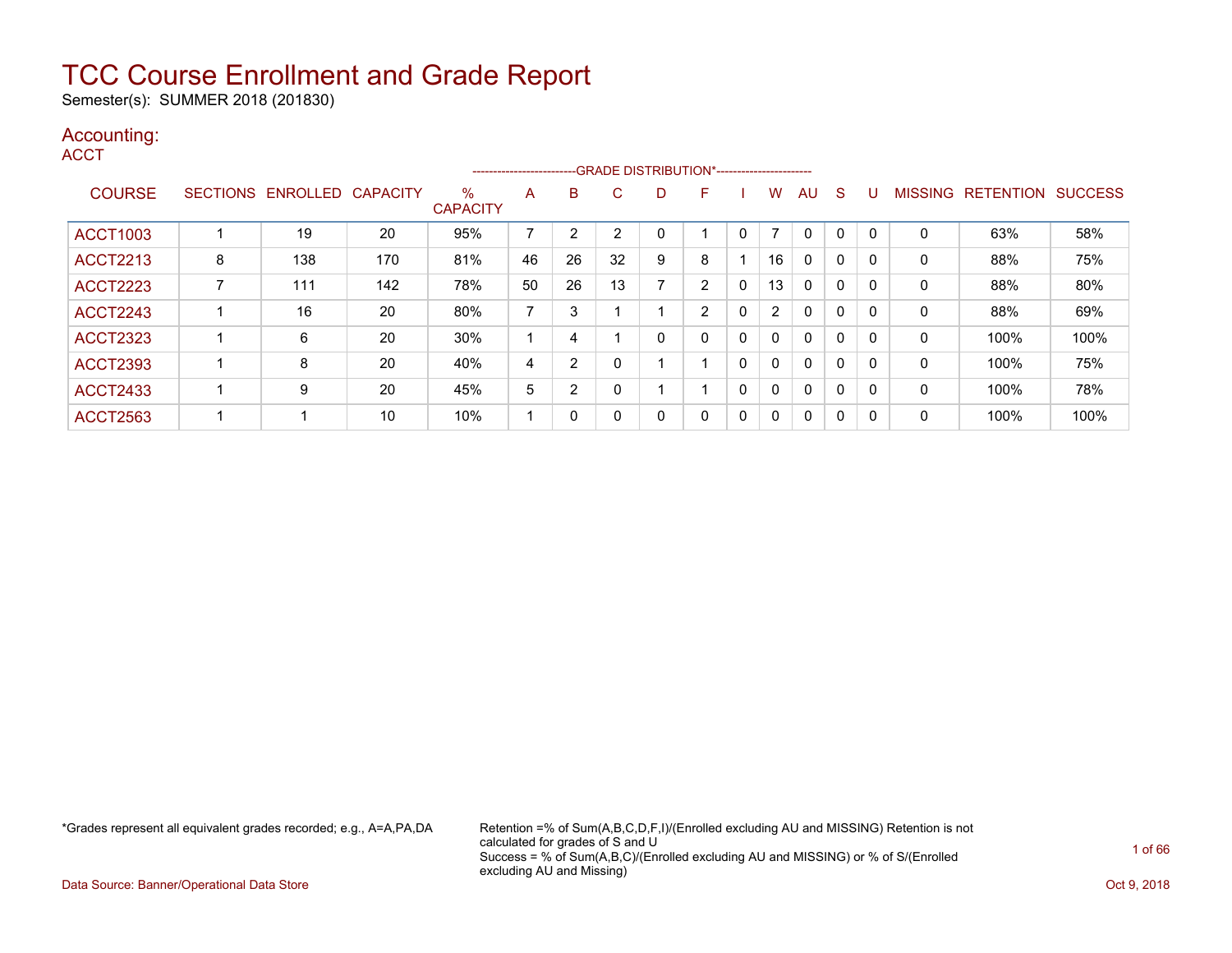Semester(s): SUMMER 2018 (201830)

#### Accounting:

**ACCT** 

|                 |   |                   |                 |                         | ------------------------ |                | --- GRADE DISTRIBUTION*------------------------ |   |   |              |                          |              |             |              |                |                  |                |
|-----------------|---|-------------------|-----------------|-------------------------|--------------------------|----------------|-------------------------------------------------|---|---|--------------|--------------------------|--------------|-------------|--------------|----------------|------------------|----------------|
| <b>COURSE</b>   |   | SECTIONS ENROLLED | <b>CAPACITY</b> | $\%$<br><b>CAPACITY</b> | A                        | B              | C.                                              | D | F |              | w                        | AU           | S           |              | <b>MISSING</b> | <b>RETENTION</b> | <b>SUCCESS</b> |
|                 |   |                   |                 |                         |                          |                |                                                 |   |   |              |                          |              |             |              |                |                  |                |
| <b>ACCT1003</b> |   | 19                | 20              | 95%                     | ⇁                        | 2              | ◠                                               |   |   | $\mathbf 0$  | $\overline{\phantom{a}}$ |              | $\Omega$    |              | 0              | 63%              | 58%            |
| <b>ACCT2213</b> | 8 | 138               | 170             | 81%                     | 46                       | 26             | 32                                              | 9 | 8 |              | 16                       | 0            | 0           |              | 0              | 88%              | 75%            |
| <b>ACCT2223</b> |   | 111               | 142             | 78%                     | 50                       | 26             | 13                                              | ⇁ | っ | $\mathbf{0}$ | 13                       | 0            | 0           | - 0          | 0              | 88%              | 80%            |
| <b>ACCT2243</b> |   | 16                | 20              | 80%                     | ⇁                        | 3              |                                                 |   | 2 | $\Omega$     | $\mathbf{2}^{\prime}$    | $\mathbf{0}$ | $\mathbf 0$ |              | 0              | 88%              | 69%            |
| <b>ACCT2323</b> |   | 6                 | 20              | 30%                     |                          | 4              |                                                 | 0 | 0 | 0            | $\mathbf{0}$             | $\mathbf{0}$ | 0           | <sup>0</sup> | $\mathbf{0}$   | 100%             | 100%           |
| ACCT2393        |   | 8                 | 20              | 40%                     | 4                        | $\overline{2}$ |                                                 |   |   | 0            | $\Omega$                 | $\mathbf{0}$ | 0           | $\mathsf{C}$ | 0              | 100%             | 75%            |
| <b>ACCT2433</b> |   | 9                 | 20              | 45%                     | 5                        | 2              | n                                               |   |   | 0            | 0                        | $\mathbf{0}$ | 0           |              | 0              | 100%             | 78%            |
| <b>ACCT2563</b> |   |                   | 10              | 10%                     |                          | 0              |                                                 | 0 | 0 | 0            | $\Omega$                 | 0            | 0           | റ            | 0              | 100%             | 100%           |

\*Grades represent all equivalent grades recorded; e.g., A=A,PA,DA Retention =% of Sum(A,B,C,D,F,I)/(Enrolled excluding AU and MISSING) Retention is not calculated for grades of S and U Success = % of Sum(A,B,C)/(Enrolled excluding AU and MISSING) or % of S/(Enrolled excluding AU and Missing)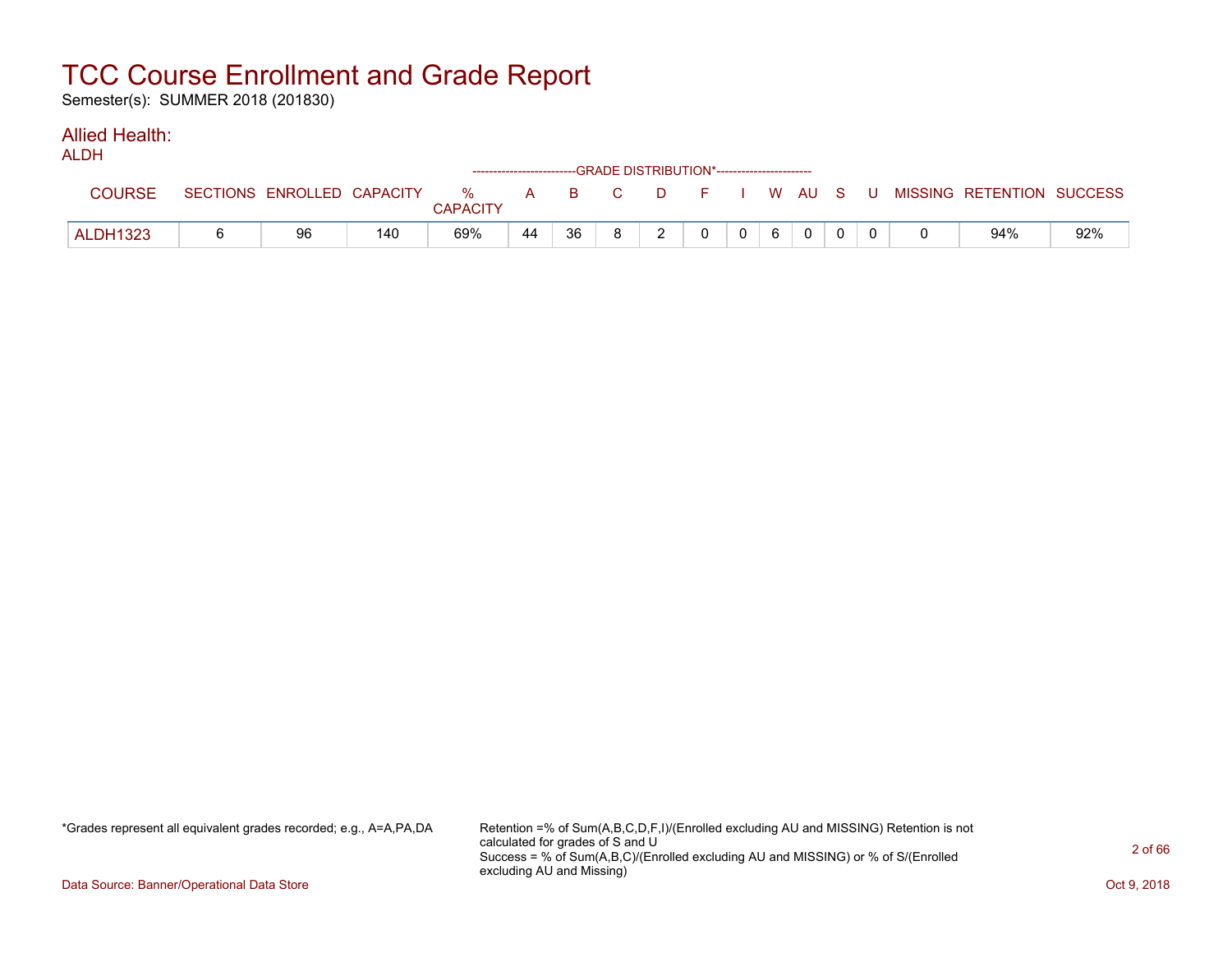Semester(s): SUMMER 2018 (201830)

#### Allied Health: ALDH

| ALVI I          |                            |     |               |    | ------------------------GRADE DISTRIBUTION*----------------------- |   |    |          |   |          |  |                           |     |
|-----------------|----------------------------|-----|---------------|----|--------------------------------------------------------------------|---|----|----------|---|----------|--|---------------------------|-----|
| <b>COURSE</b>   | SECTIONS ENROLLED CAPACITY |     | %<br>CAPACITY | A  | <b>B</b> C                                                         |   | D. |          |   | W AU S U |  | MISSING RETENTION SUCCESS |     |
| <b>ALDH1323</b> | 96                         | 140 | 69%           | 44 | 36                                                                 | o |    | $\Omega$ | 6 |          |  | 94%                       | 92% |

\*Grades represent all equivalent grades recorded; e.g., A=A,PA,DA Retention =% of Sum(A,B,C,D,F,I)/(Enrolled excluding AU and MISSING) Retention is not calculated for grades of S and U Success = % of Sum(A,B,C)/(Enrolled excluding AU and MISSING) or % of S/(Enrolled excluding AU and Missing)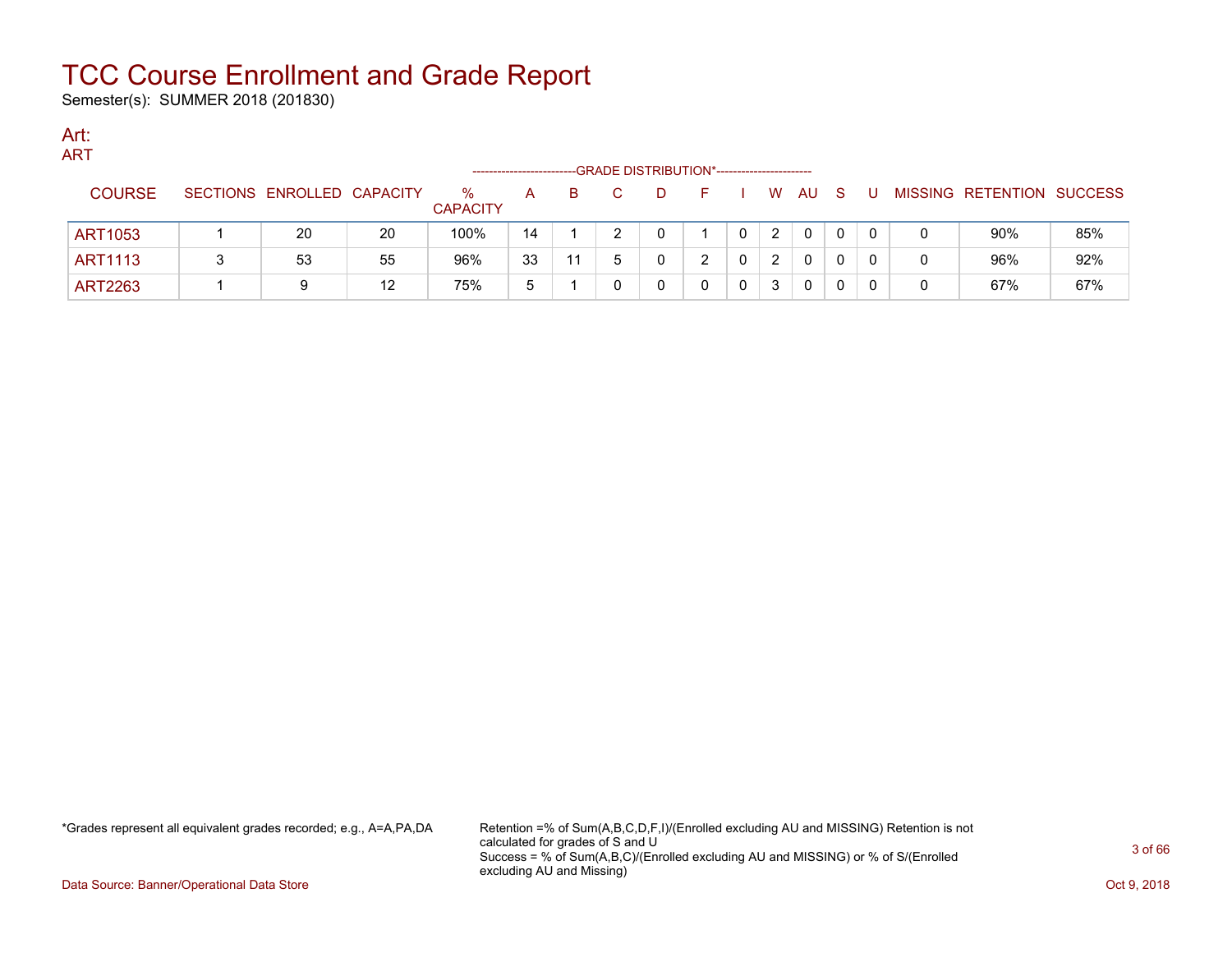Semester(s): SUMMER 2018 (201830)

#### Art: **ADT**

| ART            |                            |    | ----------------------  |    |    | -GRADE DISTRIBUTION*----------------------- |              |   |          |    |     |   |                           |     |
|----------------|----------------------------|----|-------------------------|----|----|---------------------------------------------|--------------|---|----------|----|-----|---|---------------------------|-----|
| <b>COURSE</b>  | SECTIONS ENROLLED CAPACITY |    | $\%$<br><b>CAPACITY</b> | A  | B. |                                             | D            |   | <b>W</b> | AU | - S | U | MISSING RETENTION SUCCESS |     |
| ART1053        | 20                         | 20 | 100%                    | 14 |    |                                             | <sup>n</sup> |   | 2        | 0  | 0   |   | 90%                       | 85% |
| <b>ART1113</b> | 53                         | 55 | 96%                     | 33 | 11 |                                             | <sup>n</sup> | 2 | 2        | 0  |     |   | 96%                       | 92% |
| ART2263        |                            | 12 | 75%                     | ა  |    |                                             |              |   |          | 0  |     |   | 67%                       | 67% |

\*Grades represent all equivalent grades recorded; e.g., A=A,PA,DA Retention =% of Sum(A,B,C,D,F,I)/(Enrolled excluding AU and MISSING) Retention is not calculated for grades of S and U Success = % of Sum(A,B,C)/(Enrolled excluding AU and MISSING) or % of S/(Enrolled excluding AU and Missing)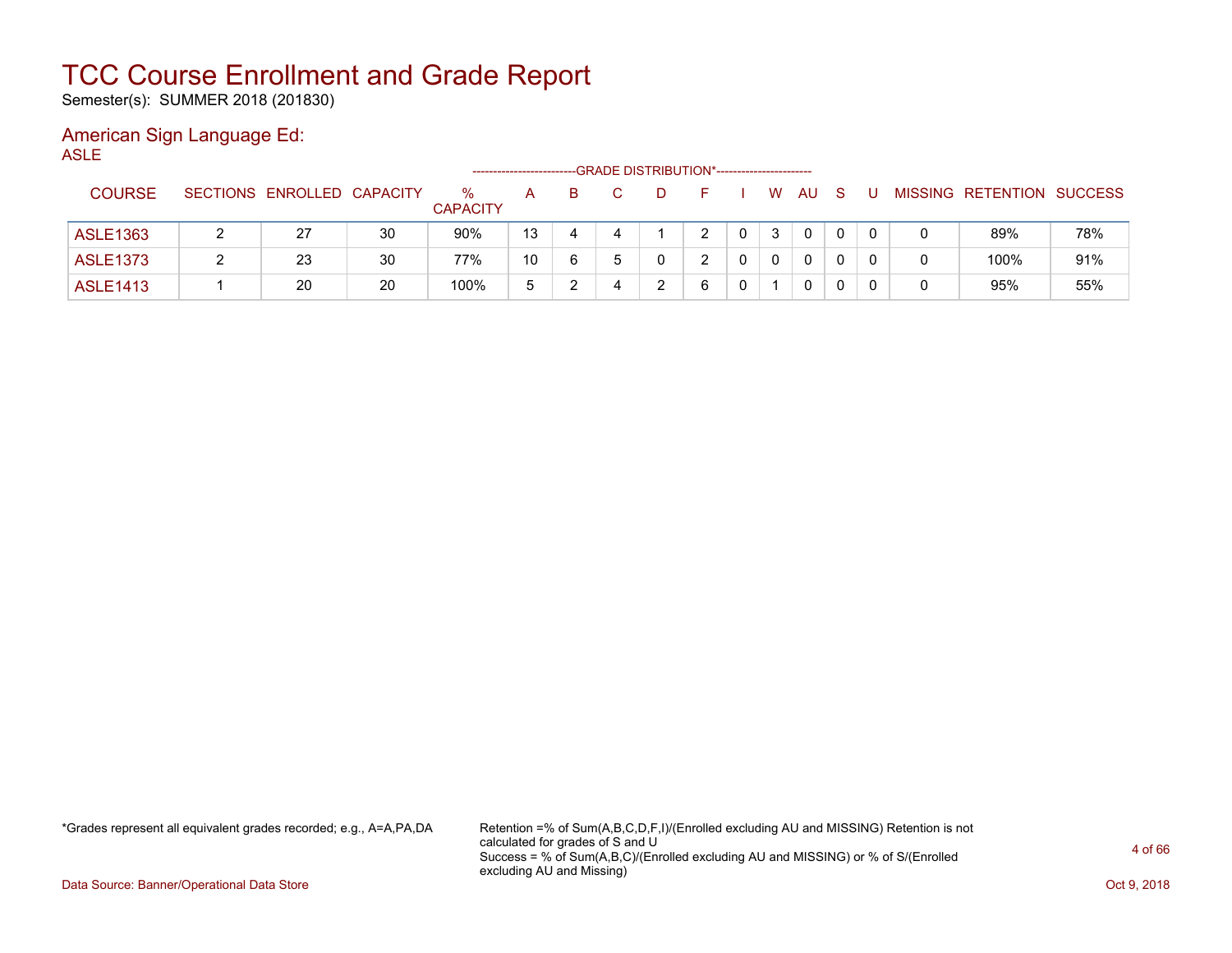Semester(s): SUMMER 2018 (201830)

#### American Sign Language Ed: ASLE

|                 |                            |    | ------------------      |    |    | -GRADE DISTRIBUTION*---------------------- |    |   |              |              |  |                           |     |
|-----------------|----------------------------|----|-------------------------|----|----|--------------------------------------------|----|---|--------------|--------------|--|---------------------------|-----|
| <b>COURSE</b>   | SECTIONS ENROLLED CAPACITY |    | $\%$<br><b>CAPACITY</b> | A  | B. |                                            | н. | W | AU           | <sub>S</sub> |  | MISSING RETENTION SUCCESS |     |
| <b>ASLE1363</b> | 27                         | 30 | 90%                     | 13 | 4  | 4                                          |    |   | $\mathbf{0}$ |              |  | 89%                       | 78% |
| <b>ASLE1373</b> | 23                         | 30 | 77%                     | 10 | 6  |                                            |    | 0 | $\Omega$     |              |  | 100%                      | 91% |
| <b>ASLE1413</b> | 20                         | 20 | 100%                    | 5  |    | 4                                          | 6  |   | $\Omega$     |              |  | 95%                       | 55% |

\*Grades represent all equivalent grades recorded; e.g., A=A,PA,DA Retention =% of Sum(A,B,C,D,F,I)/(Enrolled excluding AU and MISSING) Retention is not calculated for grades of S and U Success = % of Sum(A,B,C)/(Enrolled excluding AU and MISSING) or % of S/(Enrolled excluding AU and Missing)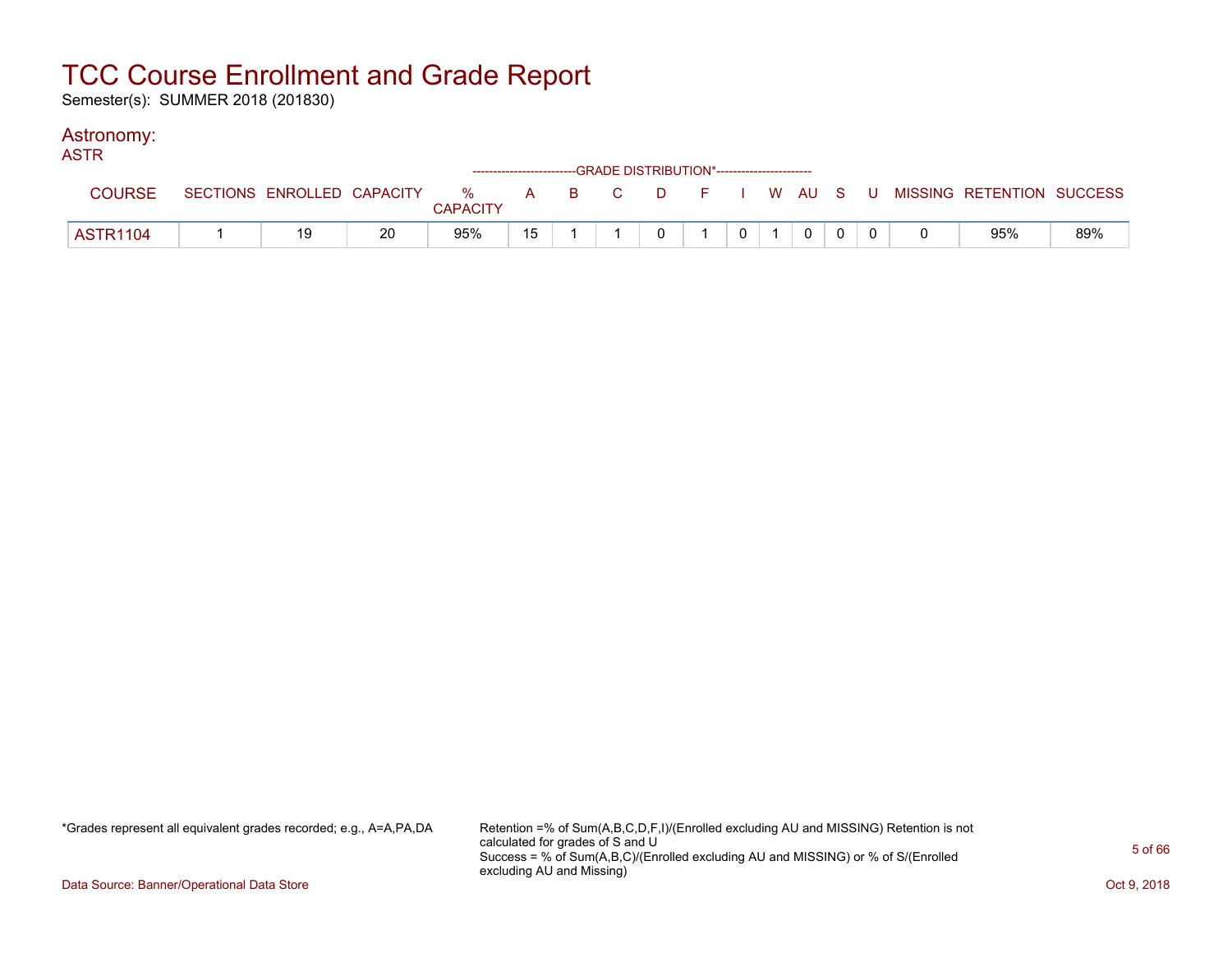Semester(s): SUMMER 2018 (201830)

#### Astronomy:

| <b>ASTR</b>     |    |    |                 |    | ------------------------GRADE DISTRIBUTION*----------------------- |          |                |             |  |                                                                             |     |
|-----------------|----|----|-----------------|----|--------------------------------------------------------------------|----------|----------------|-------------|--|-----------------------------------------------------------------------------|-----|
| <b>COURSE</b>   |    |    | <b>CAPACITY</b> |    |                                                                    |          |                |             |  | SECTIONS ENROLLED CAPACITY % A B C D F I W AU S U MISSING RETENTION SUCCESS |     |
| <b>ASTR1104</b> | 19 | 20 | 95%             | 15 |                                                                    | $\Omega$ | 0 <sup>1</sup> | $\mathbf 0$ |  | 95%                                                                         | 89% |

\*Grades represent all equivalent grades recorded; e.g., A=A,PA,DA Retention =% of Sum(A,B,C,D,F,I)/(Enrolled excluding AU and MISSING) Retention is not calculated for grades of S and U Success = % of Sum(A,B,C)/(Enrolled excluding AU and MISSING) or % of S/(Enrolled excluding AU and Missing)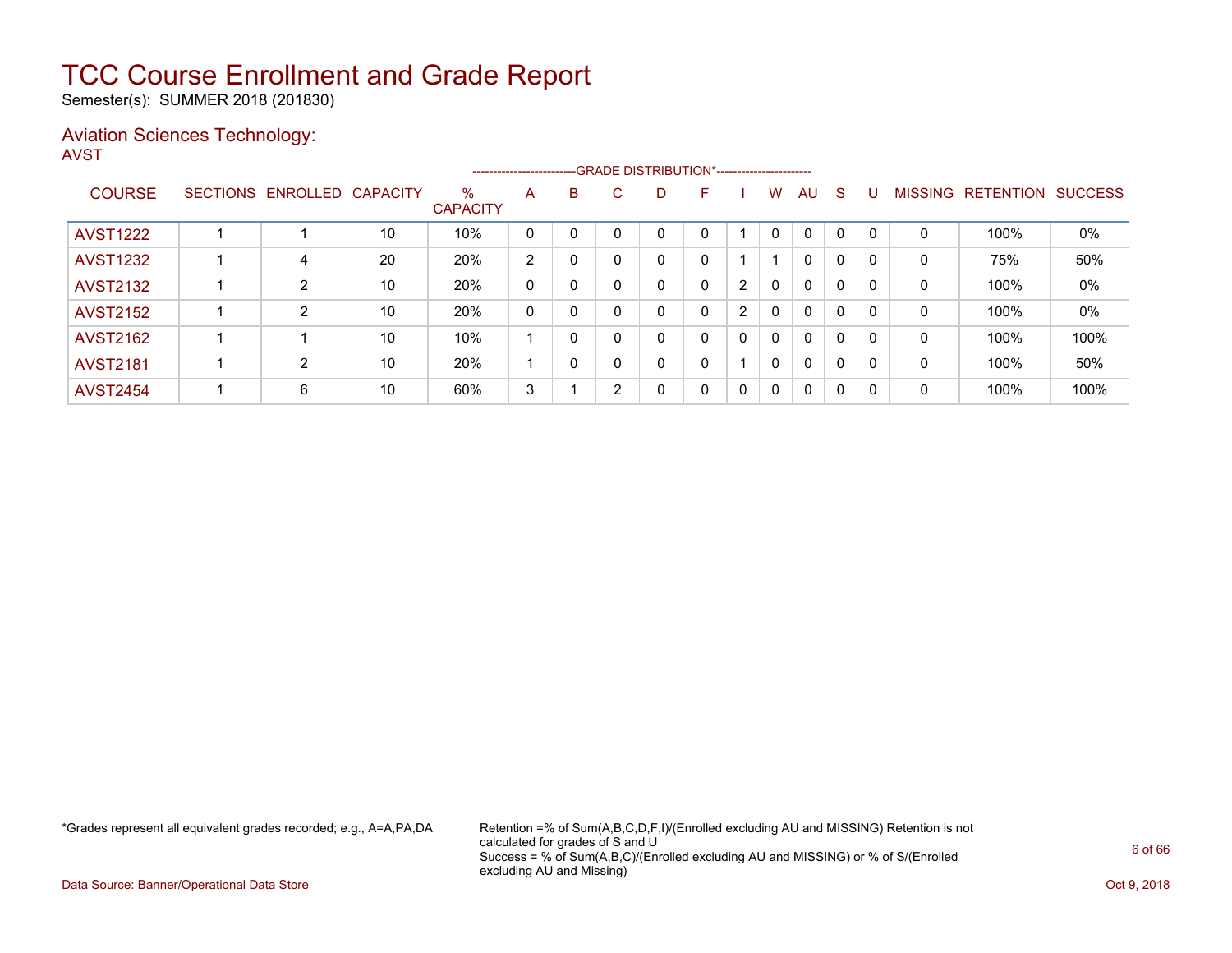Semester(s): SUMMER 2018 (201830)

#### Aviation Sciences Technology: AVST

|                 |                            |    |                         |             |   |    |    | --------------------------GRADE DISTRIBUTION*----------------------- |                |             |              |              |          |                |                  |                |
|-----------------|----------------------------|----|-------------------------|-------------|---|----|----|----------------------------------------------------------------------|----------------|-------------|--------------|--------------|----------|----------------|------------------|----------------|
| <b>COURSE</b>   | SECTIONS ENROLLED CAPACITY |    | $\%$<br><b>CAPACITY</b> | A           | B | C. | D. | F                                                                    |                | w           | AU           | -S           |          | <b>MISSING</b> | <b>RETENTION</b> | <b>SUCCESS</b> |
| <b>AVST1222</b> |                            | 10 | 10%                     | $\mathbf 0$ | 0 |    |    | 0                                                                    |                |             | $\Omega$     | 0            |          | 0              | 100%             | 0%             |
| <b>AVST1232</b> | 4                          | 20 | 20%                     | 2           | 0 |    | 0  | 0                                                                    |                |             | 0            | 0            |          | 0              | 75%              | 50%            |
| <b>AVST2132</b> | 2                          | 10 | 20%                     | 0           | 0 |    | 0  | 0                                                                    | $\overline{2}$ | 0           | $\mathbf{0}$ | 0            |          | 0              | 100%             | 0%             |
| <b>AVST2152</b> | $\overline{2}$             | 10 | 20%                     | 0           | 0 |    |    | 0                                                                    | $\overline{2}$ | $\mathbf 0$ | $\mathbf{0}$ | $\mathbf{0}$ |          | 0              | 100%             | 0%             |
| <b>AVST2162</b> |                            | 10 | 10%                     |             | 0 |    | 0  | 0                                                                    | 0              | $\Omega$    | $\mathbf{0}$ | $\mathbf{0}$ |          | 0              | 100%             | 100%           |
| <b>AVST2181</b> | 2                          | 10 | 20%                     |             | 0 |    | 0  | 0                                                                    |                | 0           | $\mathbf{0}$ | $\mathbf{0}$ | $\Omega$ | 0              | 100%             | 50%            |
| <b>AVST2454</b> | 6                          | 10 | 60%                     | 3           |   | 2  | 0  | 0                                                                    | 0              | $\mathbf 0$ | 0            | 0            | 0        | 0              | 100%             | 100%           |

\*Grades represent all equivalent grades recorded; e.g., A=A,PA,DA Retention =% of Sum(A,B,C,D,F,I)/(Enrolled excluding AU and MISSING) Retention is not calculated for grades of S and U Success = % of Sum(A,B,C)/(Enrolled excluding AU and MISSING) or % of S/(Enrolled excluding AU and Missing)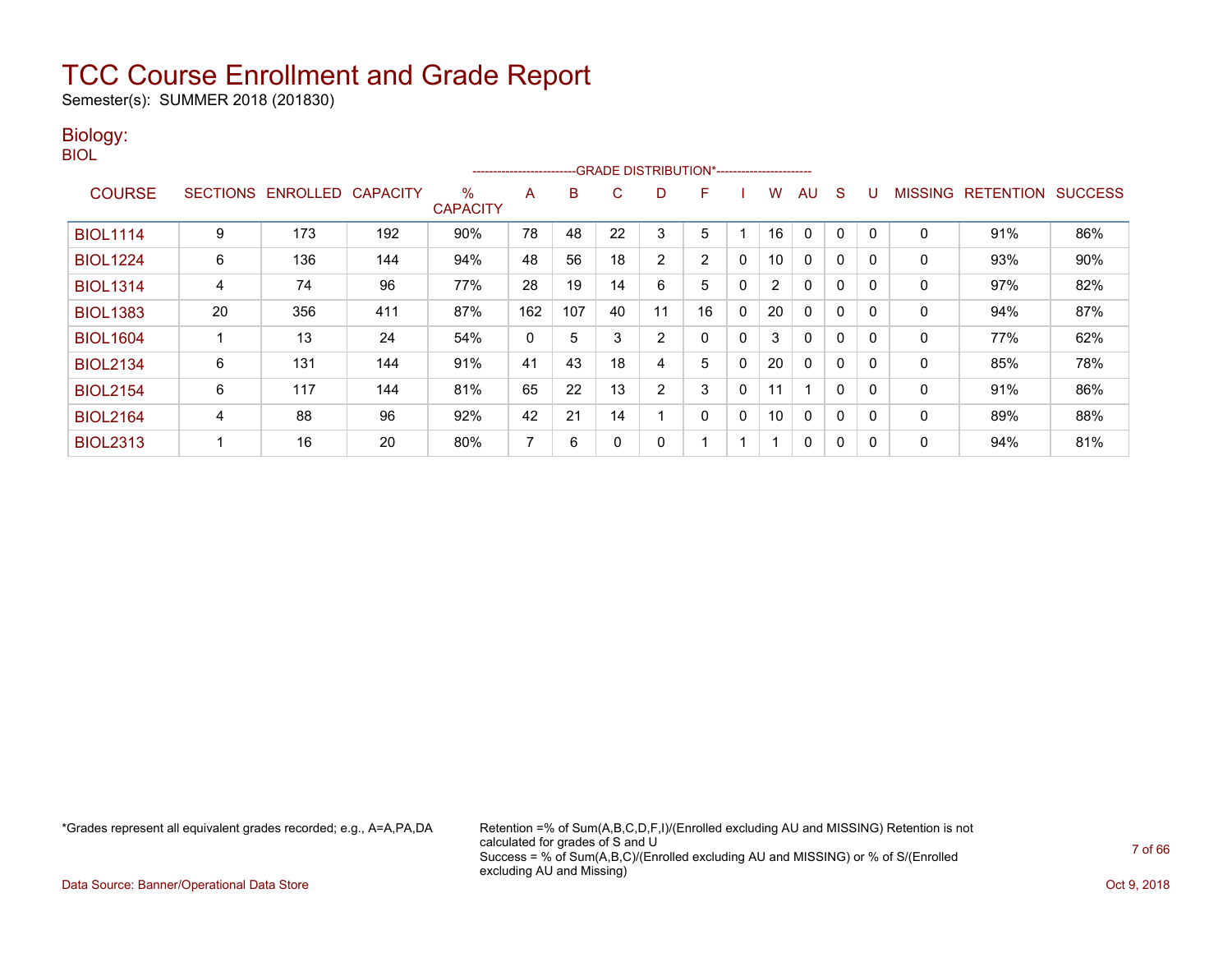Semester(s): SUMMER 2018 (201830)

#### Biology:

BIOL

|                 |                 |                 |                 |                      | ----------------------- |     |    |                | --GRADE DISTRIBUTION*----------------------- |              |                |              |              |          |                |                            |                |
|-----------------|-----------------|-----------------|-----------------|----------------------|-------------------------|-----|----|----------------|----------------------------------------------|--------------|----------------|--------------|--------------|----------|----------------|----------------------------|----------------|
| <b>COURSE</b>   | <b>SECTIONS</b> | <b>ENROLLED</b> | <b>CAPACITY</b> | %<br><b>CAPACITY</b> | A                       | B   | C  | D              | F                                            |              | W              | AU           | S            |          | <b>MISSING</b> | RE <sub>1</sub><br>TENTION | <b>SUCCESS</b> |
| <b>BIOL1114</b> | 9               | 173             | 192             | 90%                  | 78                      | 48  | 22 | 3              | 5                                            |              | 16             | 0            | 0            |          | 0              | 91%                        | 86%            |
| <b>BIOL1224</b> | 6               | 136             | 144             | 94%                  | 48                      | 56  | 18 | $\overline{2}$ | $\overline{2}$                               | 0            | 10             | $\Omega$     | 0            |          | 0              | 93%                        | 90%            |
| <b>BIOL1314</b> | 4               | 74              | 96              | 77%                  | 28                      | 19  | 14 | 6              | 5                                            | $\Omega$     | $\overline{2}$ | $\mathbf{0}$ | 0            |          | 0              | 97%                        | 82%            |
| <b>BIOL1383</b> | 20              | 356             | 411             | 87%                  | 162                     | 107 | 40 | 11             | 16                                           | $\Omega$     | 20             | $\Omega$     | 0            | $\Omega$ | 0              | 94%                        | 87%            |
| <b>BIOL1604</b> |                 | 13              | 24              | 54%                  | 0                       | 5   | 3  | 2              | 0                                            | 0            | 3              | $\mathbf{0}$ | $\mathbf 0$  |          | 0              | 77%                        | 62%            |
| <b>BIOL2134</b> | 6               | 131             | 144             | 91%                  | 41                      | 43  | 18 | 4              | 5                                            | 0            | 20             | 0            | 0            |          | 0              | 85%                        | 78%            |
| <b>BIOL2154</b> | 6               | 117             | 144             | 81%                  | 65                      | 22  | 13 | $\overline{2}$ | 3                                            | 0            | 11             | 4            | $\mathbf{0}$ |          | 0              | 91%                        | 86%            |
| <b>BIOL2164</b> | 4               | 88              | 96              | 92%                  | 42                      | 21  | 14 |                | 0                                            | $\mathbf{0}$ | 10             | $\mathbf{0}$ | $\Omega$     | $\Omega$ | 0              | 89%                        | 88%            |
| <b>BIOL2313</b> |                 | 16              | 20              | 80%                  | 7                       | 6   |    | 0              |                                              |              |                | 0            | 0            |          | 0              | 94%                        | 81%            |

\*Grades represent all equivalent grades recorded; e.g., A=A,PA,DA Retention =% of Sum(A,B,C,D,F,I)/(Enrolled excluding AU and MISSING) Retention is not calculated for grades of S and U Success = % of Sum(A,B,C)/(Enrolled excluding AU and MISSING) or % of S/(Enrolled excluding AU and Missing)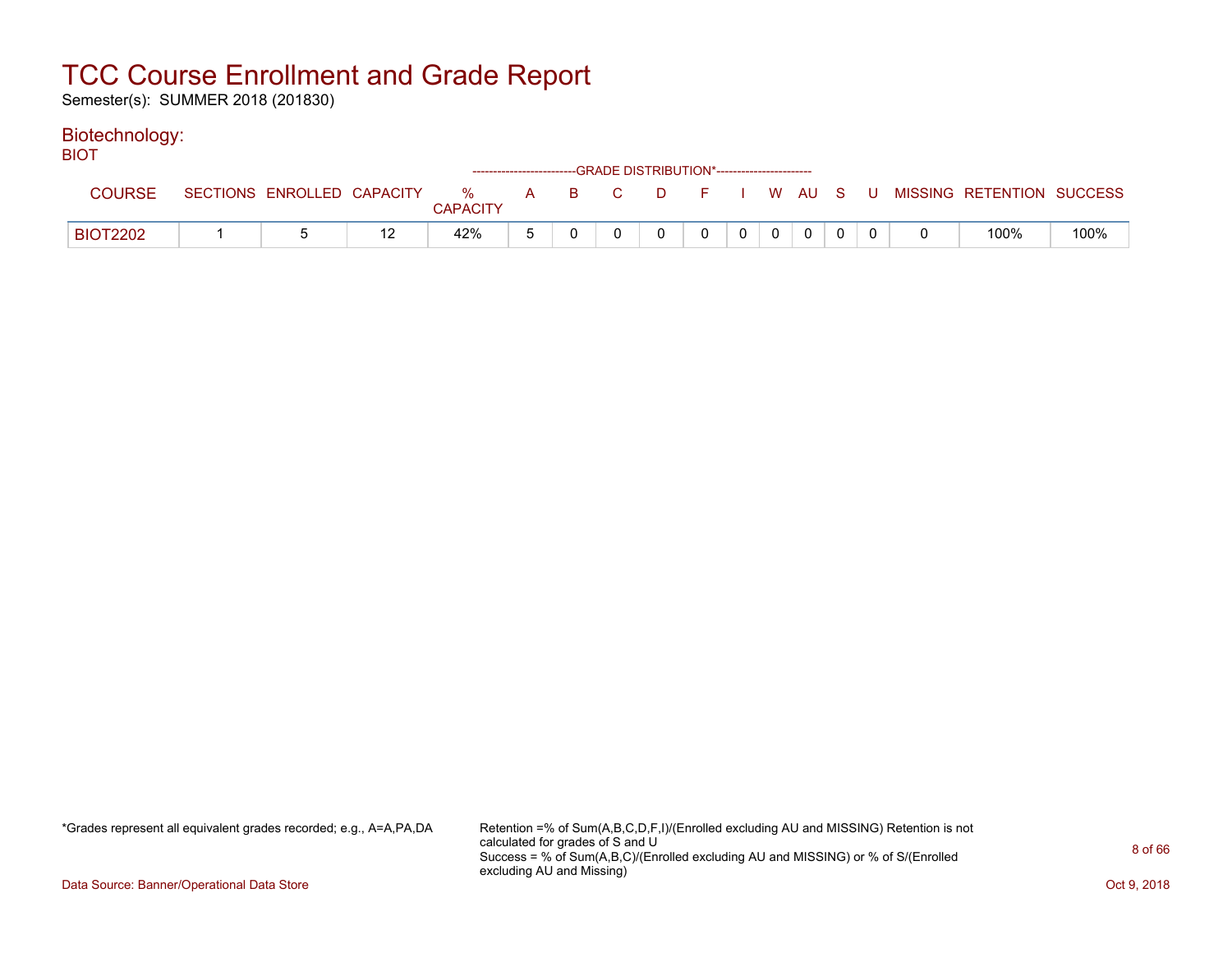Semester(s): SUMMER 2018 (201830)

#### Biotechnology: **BIOT**

| י טוש           |                            |     |                      |       | ------------------------GRADE                DISTRIBUTION*---------------------- |              |   |          |        |  |                           |      |
|-----------------|----------------------------|-----|----------------------|-------|----------------------------------------------------------------------------------|--------------|---|----------|--------|--|---------------------------|------|
| <b>COURSE</b>   | SECTIONS ENROLLED CAPACITY |     | %<br><b>CAPACITY</b> | A B C |                                                                                  | $\mathsf{D}$ |   |          | W AU S |  | MISSING RETENTION SUCCESS |      |
| <b>BIOT2202</b> |                            | ے ا | 42%                  |       |                                                                                  |              | 0 | $\Omega$ | 0      |  | 100%                      | 100% |

\*Grades represent all equivalent grades recorded; e.g., A=A,PA,DA Retention =% of Sum(A,B,C,D,F,I)/(Enrolled excluding AU and MISSING) Retention is not calculated for grades of S and U Success = % of Sum(A,B,C)/(Enrolled excluding AU and MISSING) or % of S/(Enrolled excluding AU and Missing)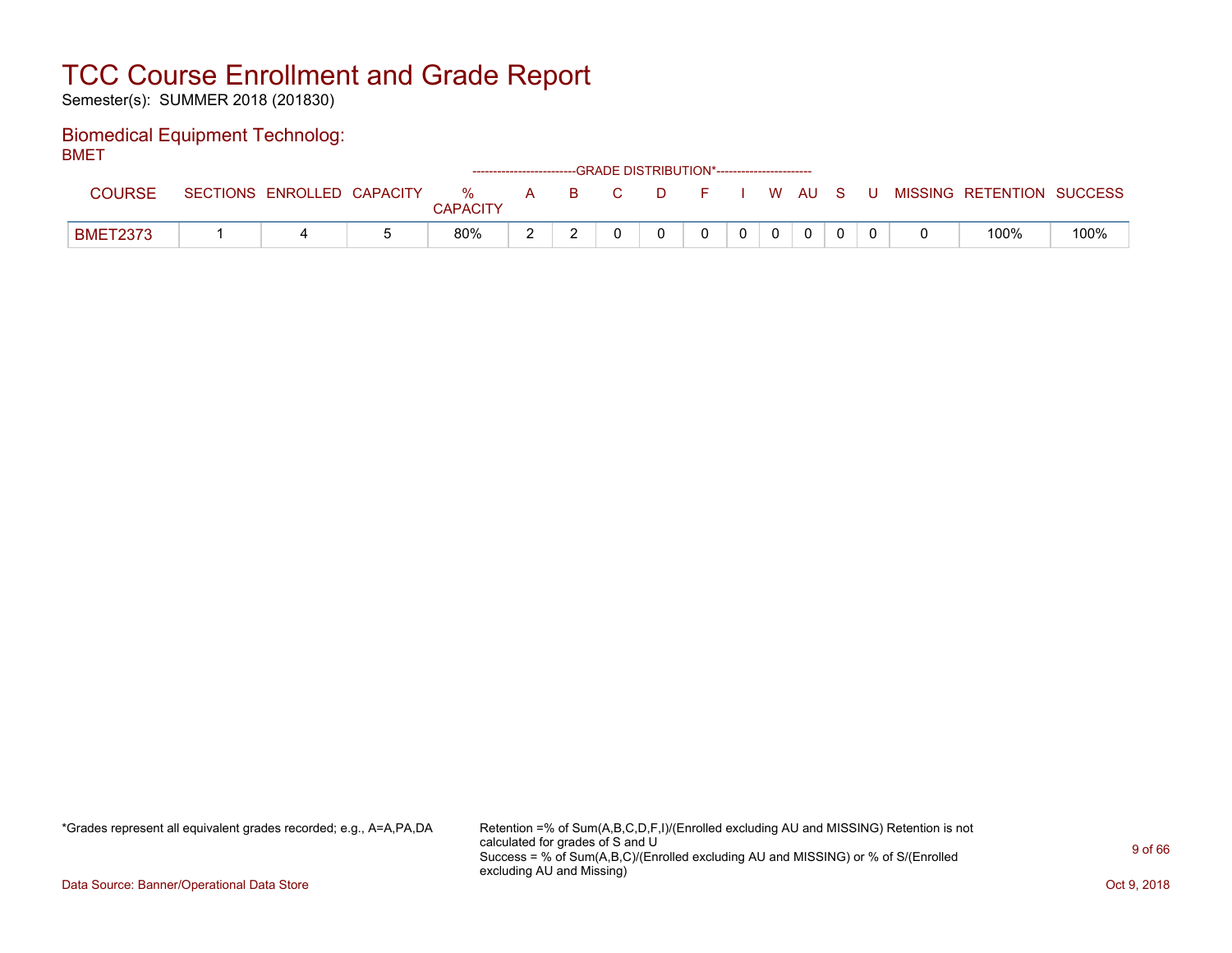Semester(s): SUMMER 2018 (201830)

#### Biomedical Equipment Technolog: BMET

| _ _ .           |                            |                      |     |    | ------------------------GRADE DISTRIBUTION*----------------------- |       |             |     |                           |      |
|-----------------|----------------------------|----------------------|-----|----|--------------------------------------------------------------------|-------|-------------|-----|---------------------------|------|
| <b>COURSE</b>   | SECTIONS ENROLLED CAPACITY | %<br><b>CAPACITY</b> | A B | C. | D F I W AU S                                                       |       |             | - U | MISSING RETENTION SUCCESS |      |
| <b>BMET2373</b> |                            | 80%                  |     |    |                                                                    | $0-1$ | $\mathbf 0$ |     | 100%                      | 100% |

\*Grades represent all equivalent grades recorded; e.g., A=A,PA,DA Retention =% of Sum(A,B,C,D,F,I)/(Enrolled excluding AU and MISSING) Retention is not calculated for grades of S and U Success = % of Sum(A,B,C)/(Enrolled excluding AU and MISSING) or % of S/(Enrolled excluding AU and Missing)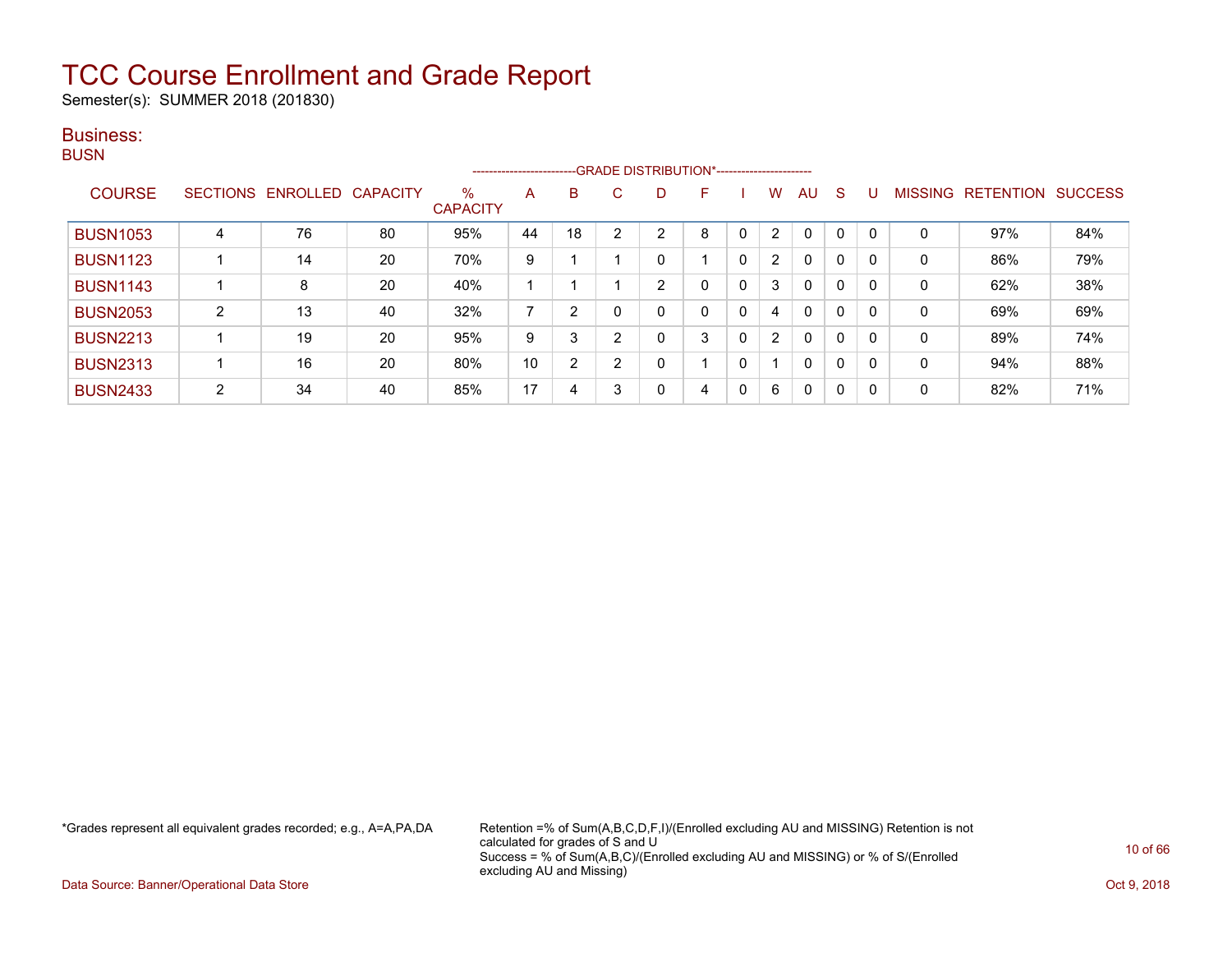Semester(s): SUMMER 2018 (201830)

#### Business:

**BUSN** 

|                 |                 |          |                 |                         | ----------------------- |                |   | --GRADE DISTRIBUTION*----------------------- |   |   |                      |              |              |              |                |                  |                |
|-----------------|-----------------|----------|-----------------|-------------------------|-------------------------|----------------|---|----------------------------------------------|---|---|----------------------|--------------|--------------|--------------|----------------|------------------|----------------|
| <b>COURSE</b>   | <b>SECTIONS</b> | ENROLLED | <b>CAPACITY</b> | $\%$<br><b>CAPACITY</b> | A                       | В              | C | D                                            | F |   | W                    | AU           | <sub>S</sub> |              | <b>MISSING</b> | <b>RETENTION</b> | <b>SUCCESS</b> |
| <b>BUSN1053</b> | 4               | 76       | 80              | 95%                     | 44                      | 18             | ົ | C                                            | 8 | 0 | 2                    | $\mathbf 0$  | 0            |              | 0              | 97%              | 84%            |
| <b>BUSN1123</b> |                 | 14       | 20              | 70%                     | 9                       |                |   | $\Omega$                                     |   | 0 | $\mathbf{2}^{\circ}$ | $\mathbf{0}$ | 0            | 0            | 0              | 86%              | 79%            |
| <b>BUSN1143</b> |                 | 8        | 20              | 40%                     |                         |                |   | 2                                            | 0 | 0 | 3                    | $\mathbf{0}$ | 0            | 0            | 0              | 62%              | 38%            |
| <b>BUSN2053</b> | $\overline{2}$  | 13       | 40              | 32%                     |                         | 2              |   | 0                                            | 0 | 0 | 4                    | $\mathbf{0}$ | 0            | 0            | 0              | 69%              | 69%            |
| <b>BUSN2213</b> |                 | 19       | 20              | 95%                     | 9                       | 3              | ົ | 0                                            | 3 | 0 | $\overline{2}$       | $\mathbf{0}$ | 0            | <sup>0</sup> | 0              | 89%              | 74%            |
| <b>BUSN2313</b> |                 | 16       | 20              | 80%                     | 10                      | $\overline{2}$ | ົ | 0                                            |   | 0 |                      | $\mathbf{0}$ | $\Omega$     | - 0          | 0              | 94%              | 88%            |
| <b>BUSN2433</b> | 2               | 34       | 40              | 85%                     | 17                      | 4              | 3 | 0                                            | 4 | 0 | 6                    | $\mathbf{0}$ | 0            | 0            | 0              | 82%              | 71%            |

\*Grades represent all equivalent grades recorded; e.g., A=A,PA,DA Retention =% of Sum(A,B,C,D,F,I)/(Enrolled excluding AU and MISSING) Retention is not calculated for grades of S and U Success = % of Sum(A,B,C)/(Enrolled excluding AU and MISSING) or % of S/(Enrolled excluding AU and Missing)

Data Source: Banner/Operational Data Store Content of the Content of Content of the Content of the Content of the Content of the Content of the Content of the Content of the Content of the Content of the Content of the Con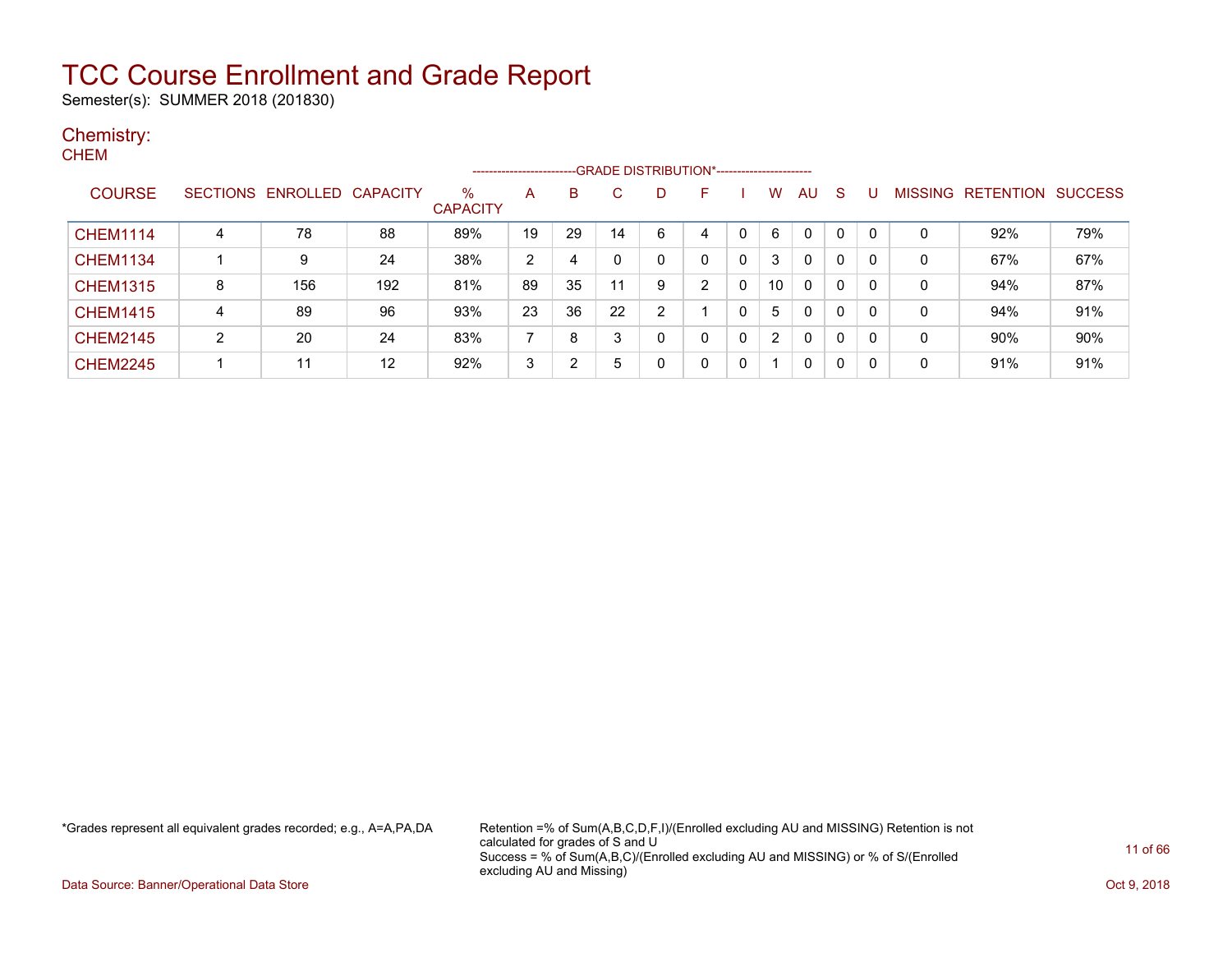Semester(s): SUMMER 2018 (201830)

#### Chemistry: **CHEM**

|                 |                 |          |                 |                         |                | ------------------------GRADE DISTRIBUTION*----------------------- |        |   |    |          |                |             |    |          |         |                  |                |
|-----------------|-----------------|----------|-----------------|-------------------------|----------------|--------------------------------------------------------------------|--------|---|----|----------|----------------|-------------|----|----------|---------|------------------|----------------|
| <b>COURSE</b>   | <b>SECTIONS</b> | ENROLLED | <b>CAPACITY</b> | $\%$<br><b>CAPACITY</b> | A              | в                                                                  | ⌒<br>U | D | F. |          | w              | <b>AU</b>   | -S |          | MISSING | <b>RETENTION</b> | <b>SUCCESS</b> |
| <b>CHEM1114</b> | 4               | 78       | 88              | 89%                     | 19             | 29                                                                 | 14     | 6 |    |          | 6              |             | 0  | $\Omega$ | 0       | 92%              | 79%            |
| <b>CHEM1134</b> |                 | 9        | 24              | 38%                     | $\overline{2}$ | 4                                                                  | 0      | 0 | 0  | $\Omega$ | 3              | 0           | 0  | $\Omega$ | 0       | 67%              | 67%            |
| <b>CHEM1315</b> | 8               | 156      | 192             | 81%                     | 89             | 35                                                                 | 11     | 9 | 2  | $\Omega$ | 10             | $\mathbf 0$ | 0  | $\Omega$ | 0       | 94%              | 87%            |
| <b>CHEM1415</b> | 4               | 89       | 96              | 93%                     | 23             | 36                                                                 | 22     | 2 |    |          | 5              | 0           | 0  | 0        | 0       | 94%              | 91%            |
| <b>CHEM2145</b> | 2               | 20       | 24              | 83%                     |                | 8                                                                  | 3      | 0 | 0  | $\Omega$ | $\overline{2}$ | $\mathbf 0$ | 0  | $\Omega$ | 0       | 90%              | 90%            |
| <b>CHEM2245</b> |                 | 11       | 12              | 92%                     | 3              | 2                                                                  | 5      | 0 | 0  | 0        |                | 0           | 0  | 0        | 0       | 91%              | 91%            |

\*Grades represent all equivalent grades recorded; e.g., A=A,PA,DA Retention =% of Sum(A,B,C,D,F,I)/(Enrolled excluding AU and MISSING) Retention is not calculated for grades of S and U Success = % of Sum(A,B,C)/(Enrolled excluding AU and MISSING) or % of S/(Enrolled excluding AU and Missing)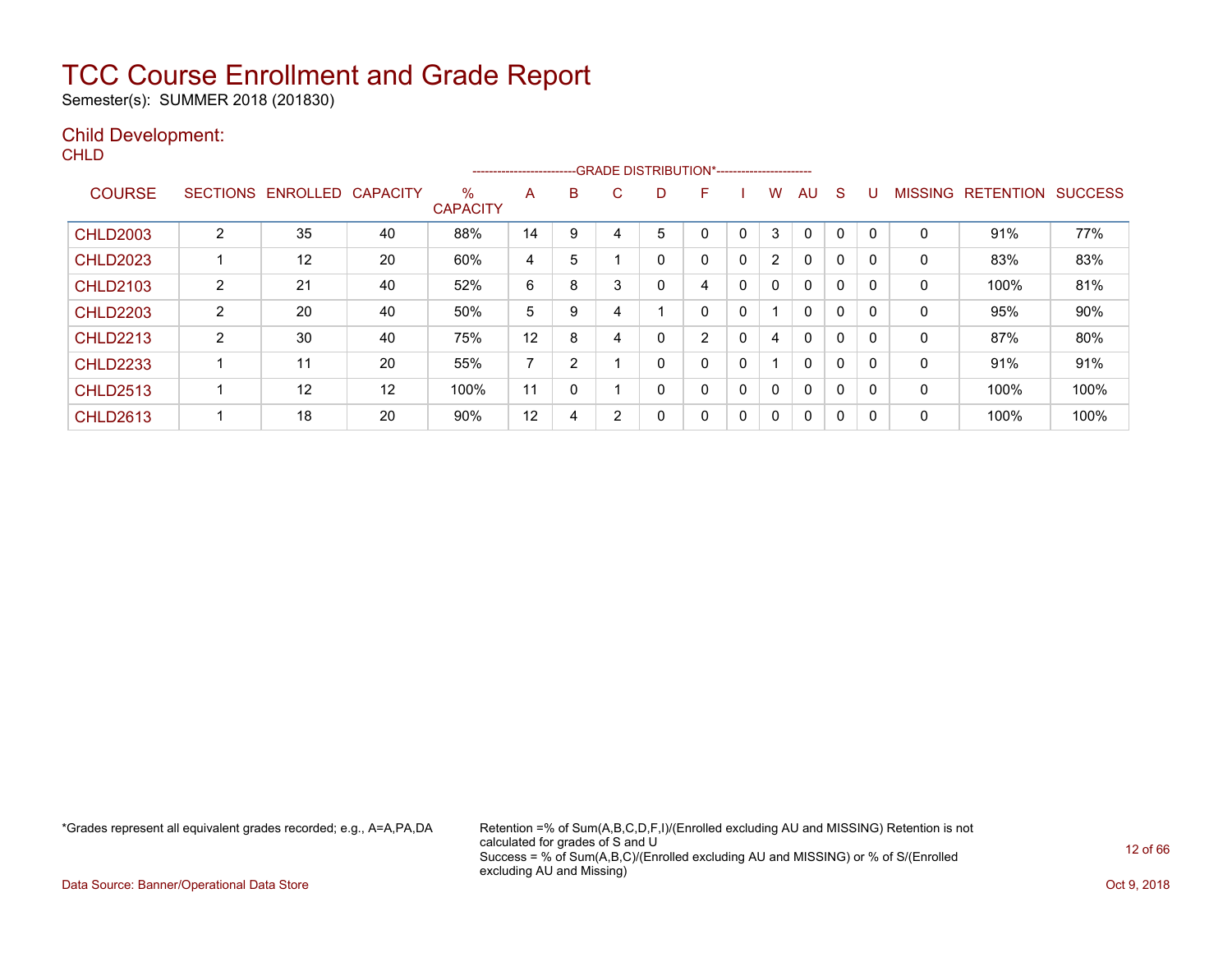Semester(s): SUMMER 2018 (201830)

#### Child Development:

**CHLD** 

|                 |                 |          |                 |                         |                          | ------------------------GRADE DISTRIBUTION*----------------------- |        |   |                |   |                |              |              |   |                |                  |                |
|-----------------|-----------------|----------|-----------------|-------------------------|--------------------------|--------------------------------------------------------------------|--------|---|----------------|---|----------------|--------------|--------------|---|----------------|------------------|----------------|
| <b>COURSE</b>   | <b>SECTIONS</b> | ENROLLED | <b>CAPACITY</b> | $\%$<br><b>CAPACITY</b> | A                        | B                                                                  | ⌒<br>U | D |                |   | W              | AU.          | <sub>S</sub> |   | <b>MISSING</b> | <b>RETENTION</b> | <b>SUCCESS</b> |
| <b>CHLD2003</b> | 2               | 35       | 40              | 88%                     | 14                       |                                                                    |        | 5 |                |   | 3              |              |              |   | 0              | 91%              | 77%            |
| <b>CHLD2023</b> |                 | 12       | 20              | 60%                     | 4                        | 5.                                                                 |        | 0 | $\mathbf{0}$   | 0 | $\overline{2}$ | $\mathbf{0}$ | $\Omega$     | 0 | 0              | 83%              | 83%            |
| <b>CHLD2103</b> | $\overline{2}$  | 21       | 40              | 52%                     | 6                        | 8                                                                  | 3      | 0 | 4              | 0 | 0              | $\mathbf{0}$ | 0            | 0 | 0              | 100%             | 81%            |
| <b>CHLD2203</b> | $\overline{2}$  | 20       | 40              | 50%                     | 5                        | 9                                                                  | 4      |   | $\Omega$       | 0 |                | 0            | $\Omega$     | 0 | 0              | 95%              | 90%            |
| <b>CHLD2213</b> | 2               | 30       | 40              | 75%                     | 12                       | 8                                                                  | 4      | 0 | $\overline{2}$ | 0 | 4              | $\mathbf{0}$ | $\Omega$     | 0 | 0              | 87%              | 80%            |
| <b>CHLD2233</b> |                 | 11       | 20              | 55%                     | $\overline{\phantom{a}}$ | ◠                                                                  |        | 0 | $\mathbf{0}$   | 0 |                | $\mathbf{0}$ | 0            | 0 | 0              | 91%              | 91%            |
| <b>CHLD2513</b> |                 | 12       | 12              | 100%                    | 11                       | 0                                                                  |        | 0 | 0              | 0 | 0              | $\mathbf{0}$ | 0            | 0 | 0              | 100%             | 100%           |
| <b>CHLD2613</b> |                 | 18       | 20              | 90%                     | 12                       | 4                                                                  | 2      | 0 | $\mathbf{0}$   | 0 | 0              | $\mathbf{0}$ | $\Omega$     | 0 | 0              | 100%             | 100%           |

\*Grades represent all equivalent grades recorded; e.g., A=A,PA,DA Retention =% of Sum(A,B,C,D,F,I)/(Enrolled excluding AU and MISSING) Retention is not calculated for grades of S and U Success = % of Sum(A,B,C)/(Enrolled excluding AU and MISSING) or % of S/(Enrolled excluding AU and Missing)

Data Source: Banner/Operational Data Store Content of the Content of Content of the Content of the Content of the Content of the Content of the Content of the Content of the Content of the Content of the Content of the Con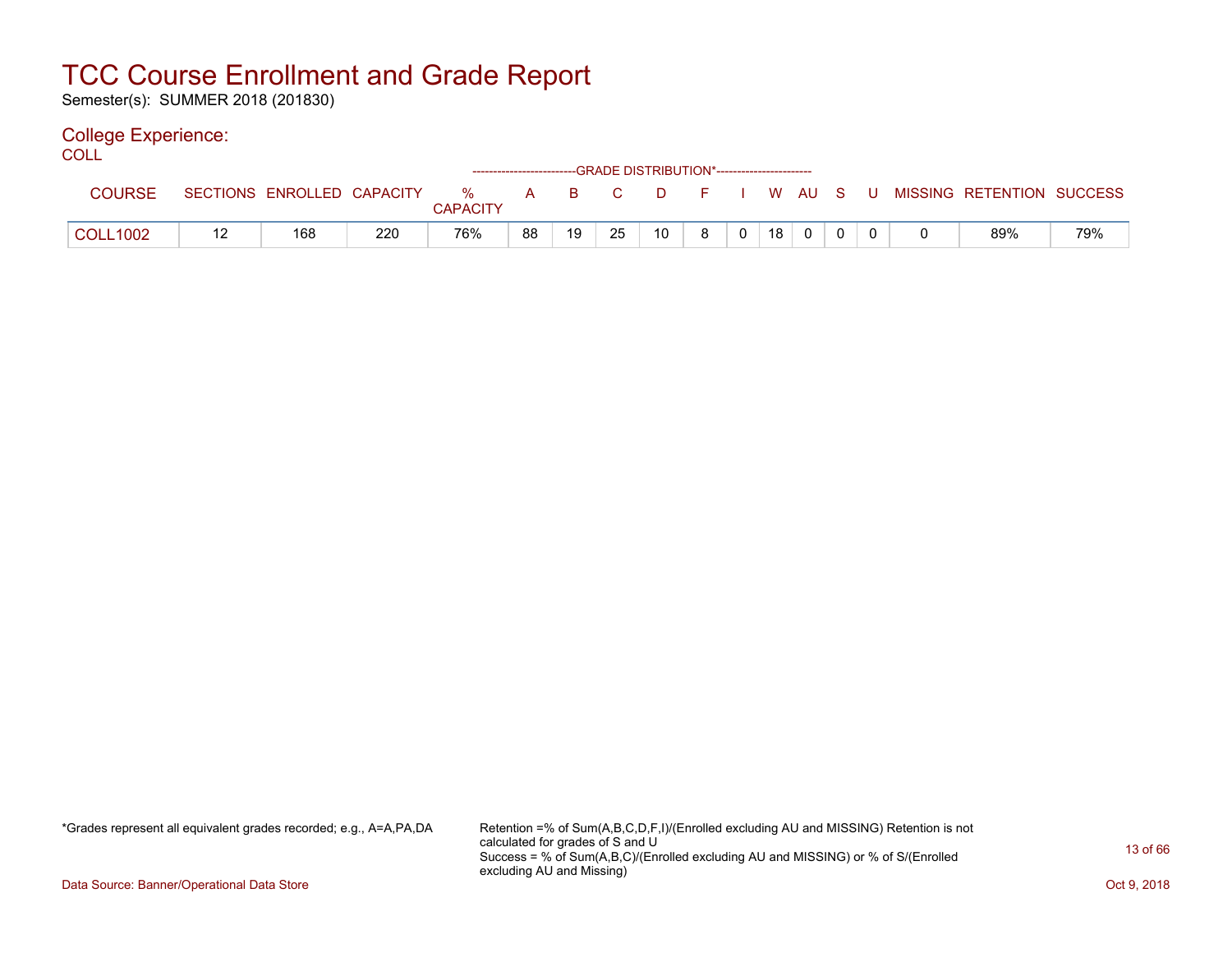Semester(s): SUMMER 2018 (201830)

#### College Experience:

| COLL            |    |                            |     |                 |    |    |    | -------------------------GRADE DISTRIBUTION*------------------------ |   |                |    |                |                |          |                                                  |     |
|-----------------|----|----------------------------|-----|-----------------|----|----|----|----------------------------------------------------------------------|---|----------------|----|----------------|----------------|----------|--------------------------------------------------|-----|
| <b>COURSE</b>   |    | SECTIONS ENROLLED CAPACITY |     | <b>CAPACITY</b> |    |    |    |                                                                      |   |                |    |                |                |          | % A B C D F I W AU S U MISSING—RETENTION SUCCESS |     |
| <b>COLL1002</b> | 12 | 168                        | 220 | 76%             | 88 | 19 | 25 | 10 <sup>°</sup>                                                      | 8 | 0 <sup>1</sup> | 18 | $\overline{0}$ | $\overline{0}$ | $\Omega$ | 89%                                              | 79% |

\*Grades represent all equivalent grades recorded; e.g., A=A,PA,DA Retention =% of Sum(A,B,C,D,F,I)/(Enrolled excluding AU and MISSING) Retention is not calculated for grades of S and U Success = % of Sum(A,B,C)/(Enrolled excluding AU and MISSING) or % of S/(Enrolled excluding AU and Missing)

Data Source: Banner/Operational Data Store Content of the Content of Content of the Content of the Content of the Content of the Content of the Content of the Content of the Content of the Content of the Content of the Con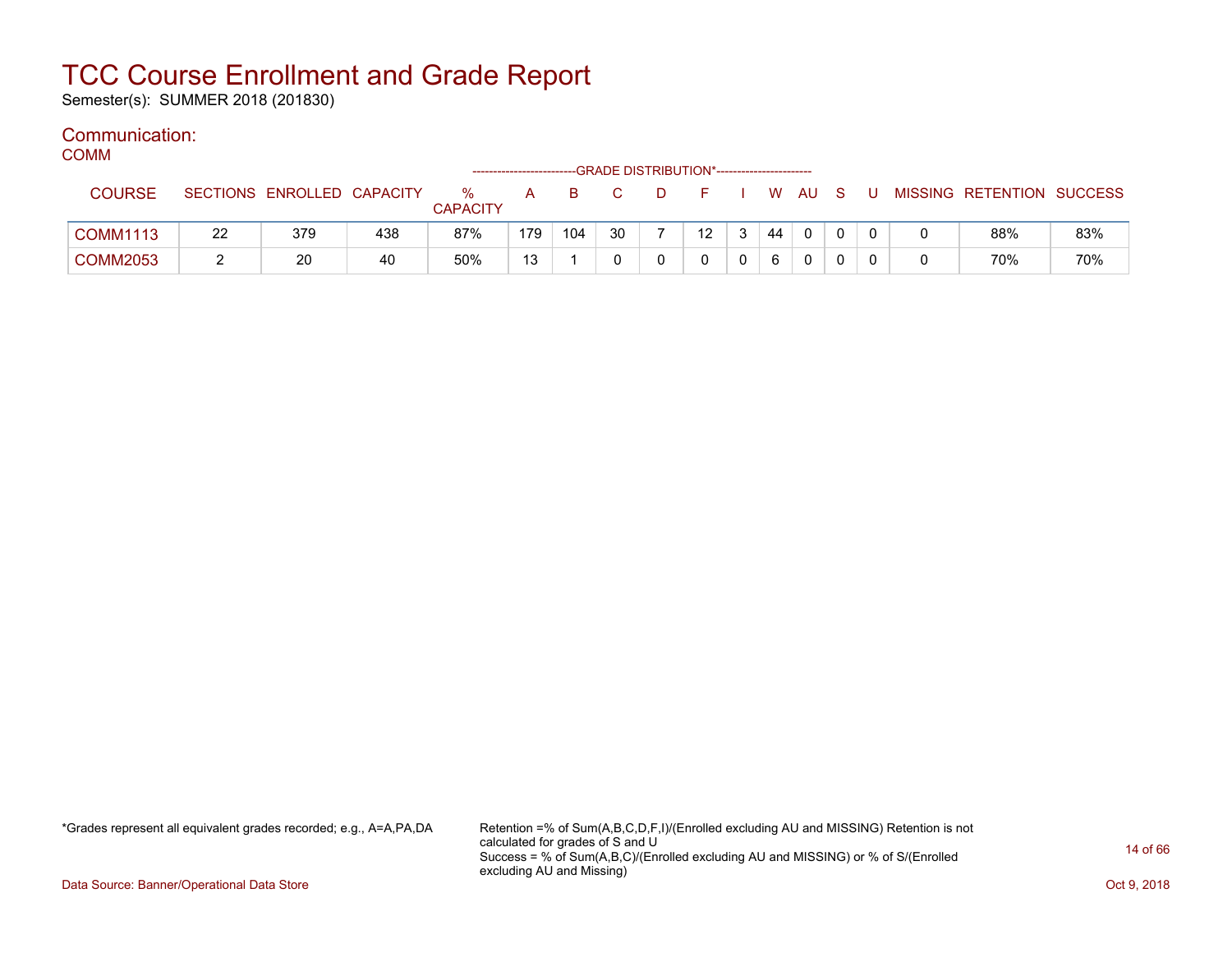Semester(s): SUMMER 2018 (201830)

#### Communication: COMM

| UUIVIIVI        |    |                            |     |                      | ----------------------- |     |    | --GRADE DISTRIBUTION*----------------------- |                 |    |      |     |    |                           |     |
|-----------------|----|----------------------------|-----|----------------------|-------------------------|-----|----|----------------------------------------------|-----------------|----|------|-----|----|---------------------------|-----|
| <b>COURSE</b>   |    | SECTIONS ENROLLED CAPACITY |     | %<br><b>CAPACITY</b> | A                       | B.  |    | D                                            |                 |    | W AU | - S | J. | MISSING RETENTION SUCCESS |     |
| <b>COMM1113</b> | 22 | 379                        | 438 | 87%                  | 179                     | 104 | 30 |                                              | 12 <sup>2</sup> | 44 | 0    |     |    | 88%                       | 83% |
| <b>COMM2053</b> |    | 20                         | 40  | 50%                  | 12                      |     |    |                                              |                 | 6  | 0    |     |    | 70%                       | 70% |

\*Grades represent all equivalent grades recorded; e.g., A=A,PA,DA Retention =% of Sum(A,B,C,D,F,I)/(Enrolled excluding AU and MISSING) Retention is not calculated for grades of S and U Success = % of Sum(A,B,C)/(Enrolled excluding AU and MISSING) or % of S/(Enrolled excluding AU and Missing)

Data Source: Banner/Operational Data Store Content of the Content of Content of the Content of the Content of the Content of the Content of the Content of the Content of the Content of the Content of the Content of the Con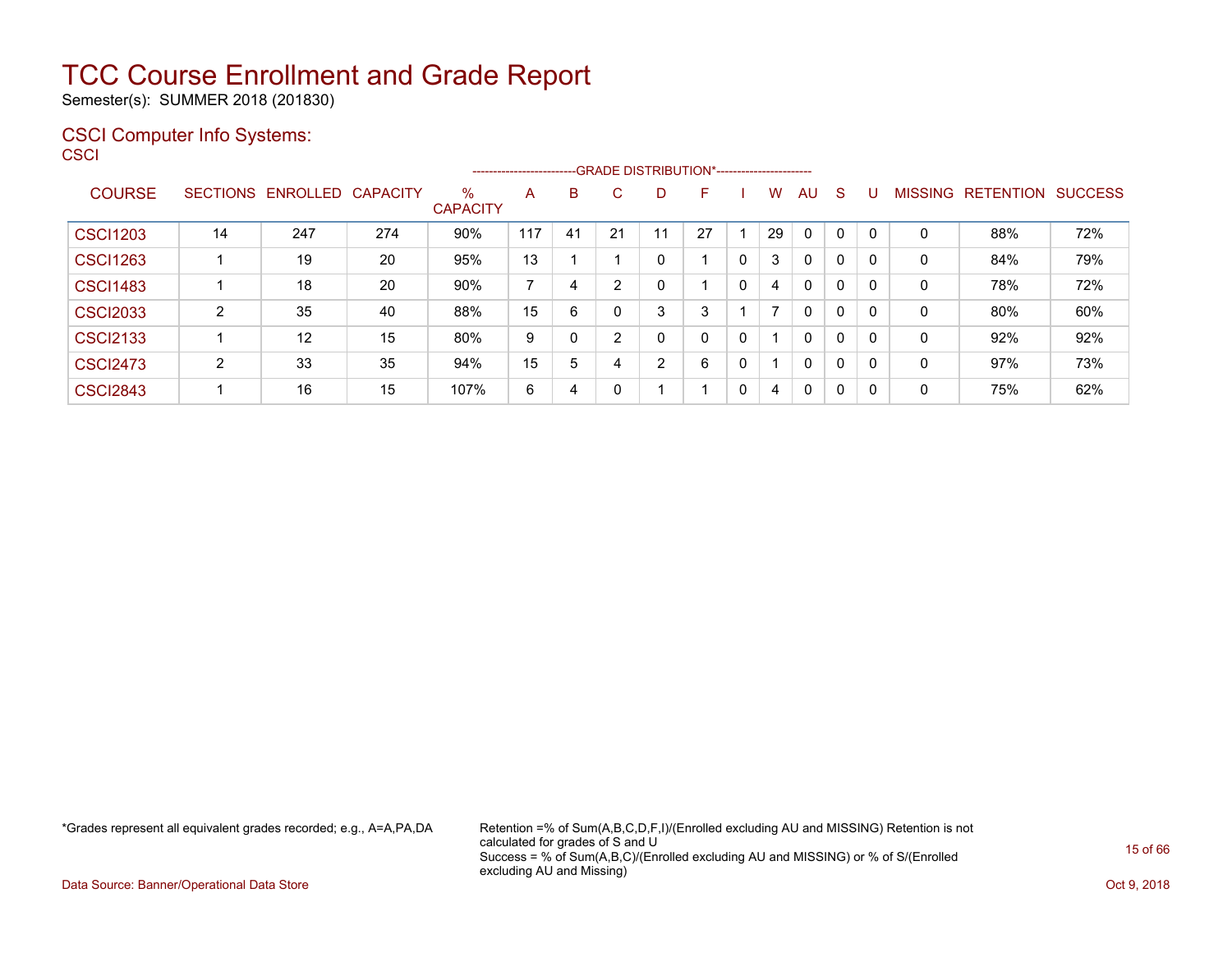Semester(s): SUMMER 2018 (201830)

#### CSCI Computer Info Systems:

| ۰, |  |
|----|--|
|    |  |

|                 |                 |                   |     |                         |     |    |     |    | --------------------------GRADE DISTRIBUTION*---------------------- |   |                          |              |   |          |                |                  |                |
|-----------------|-----------------|-------------------|-----|-------------------------|-----|----|-----|----|---------------------------------------------------------------------|---|--------------------------|--------------|---|----------|----------------|------------------|----------------|
| <b>COURSE</b>   | <b>SECTIONS</b> | ENROLLED CAPACITY |     | $\%$<br><b>CAPACITY</b> | A   | B  | C.  | D. | F                                                                   |   | w                        | AU           | S |          | <b>MISSING</b> | <b>RETENTION</b> | <b>SUCCESS</b> |
| <b>CSCI1203</b> | 14              | 247               | 274 | 90%                     | 117 | 41 | 21  | 11 | 27                                                                  |   | 29                       | $\mathbf{0}$ | 0 | $\Omega$ | 0              | 88%              | 72%            |
| <b>CSCI1263</b> |                 | 19                | 20  | 95%                     | 13  |    |     |    |                                                                     | 0 | 3                        | $\mathbf{0}$ | 0 | $\Omega$ | 0              | 84%              | 79%            |
| <b>CSCI1483</b> |                 | 18                | 20  | 90%                     | ⇁   | 4  | 2   |    |                                                                     | 0 | 4                        | $\mathbf{0}$ | 0 |          | 0              | 78%              | 72%            |
| <b>CSCI2033</b> | 2               | 35                | 40  | 88%                     | 15  | 6  |     | 3  | 3                                                                   |   | $\overline{\phantom{a}}$ | $\mathbf{0}$ | 0 | $\Omega$ | 0              | 80%              | 60%            |
| <b>CSCI2133</b> |                 | 12                | 15  | 80%                     | 9   | 0  | 2   |    | 0                                                                   | 0 |                          | $\mathbf{0}$ | 0 | $\Omega$ | 0              | 92%              | 92%            |
| <b>CSCI2473</b> | $\overline{2}$  | 33                | 35  | 94%                     | 15  | 5  | 4   | 2  | 6                                                                   | 0 |                          | $\mathbf{0}$ | 0 | $\Omega$ | 0              | 97%              | 73%            |
| <b>CSCI2843</b> |                 | 16                | 15  | 107%                    | 6   | 4  | - 0 |    |                                                                     | 0 | 4                        | $\mathbf{0}$ | 0 | 0        | $\mathbf 0$    | 75%              | 62%            |

\*Grades represent all equivalent grades recorded; e.g., A=A,PA,DA Retention =% of Sum(A,B,C,D,F,I)/(Enrolled excluding AU and MISSING) Retention is not calculated for grades of S and U Success = % of Sum(A,B,C)/(Enrolled excluding AU and MISSING) or % of S/(Enrolled excluding AU and Missing)

Data Source: Banner/Operational Data Store Content of the Content of Content of the Content of the Content of the Content of the Content of the Content of the Content of the Content of the Content of the Content of the Con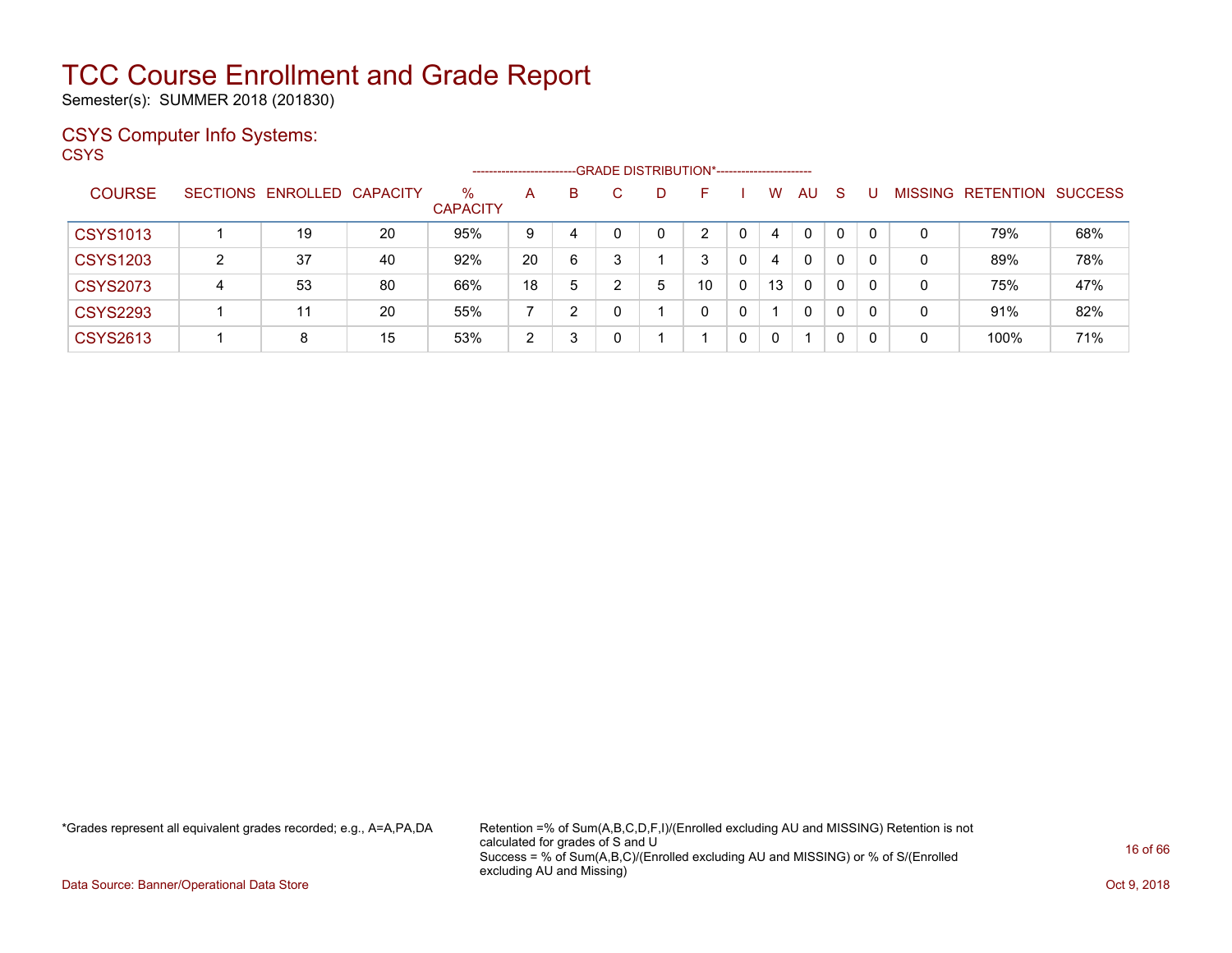Semester(s): SUMMER 2018 (201830)

#### CSYS Computer Info Systems:

**CSYS** 

|                 |                 |                   |    |                      | ------------------------ |   |   | --GRADE DISTRIBUTION*----------------------- |    |              |    |           |              |          |         |                  |                |
|-----------------|-----------------|-------------------|----|----------------------|--------------------------|---|---|----------------------------------------------|----|--------------|----|-----------|--------------|----------|---------|------------------|----------------|
| <b>COURSE</b>   | <b>SECTIONS</b> | ENROLLED CAPACITY |    | %<br><b>CAPACITY</b> | A                        | B | C | D                                            |    |              | W  | <b>AU</b> | <sub>S</sub> |          | MISSING | <b>RETENTION</b> | <b>SUCCESS</b> |
| <b>CSYS1013</b> |                 | 19                | 20 | 95%                  | 9                        | 4 |   | 0                                            | າ  |              | 4  | 0         | 0            | $\Omega$ | 0       | 79%              | 68%            |
| <b>CSYS1203</b> | 2               | 37                | 40 | 92%                  | 20                       | 6 |   |                                              | ຈ  |              | 4  | 0         | 0            |          | 0       | 89%              | 78%            |
| <b>CSYS2073</b> | 4               | 53                | 80 | 66%                  | 18                       | 5 |   | 5                                            | 10 |              | 13 | 0         | 0            |          | 0       | 75%              | 47%            |
| <b>CSYS2293</b> |                 | 11                | 20 | 55%                  |                          | າ |   |                                              | 0  | $\mathbf{0}$ |    | 0         | 0            | -0       | 0       | 91%              | 82%            |
| <b>CSYS2613</b> |                 | 8                 | 15 | 53%                  | 2                        | 2 |   |                                              |    |              | 0  |           | 0            | -0       | 0       | 100%             | 71%            |

\*Grades represent all equivalent grades recorded; e.g., A=A,PA,DA Retention =% of Sum(A,B,C,D,F,I)/(Enrolled excluding AU and MISSING) Retention is not calculated for grades of S and U Success = % of Sum(A,B,C)/(Enrolled excluding AU and MISSING) or % of S/(Enrolled excluding AU and Missing)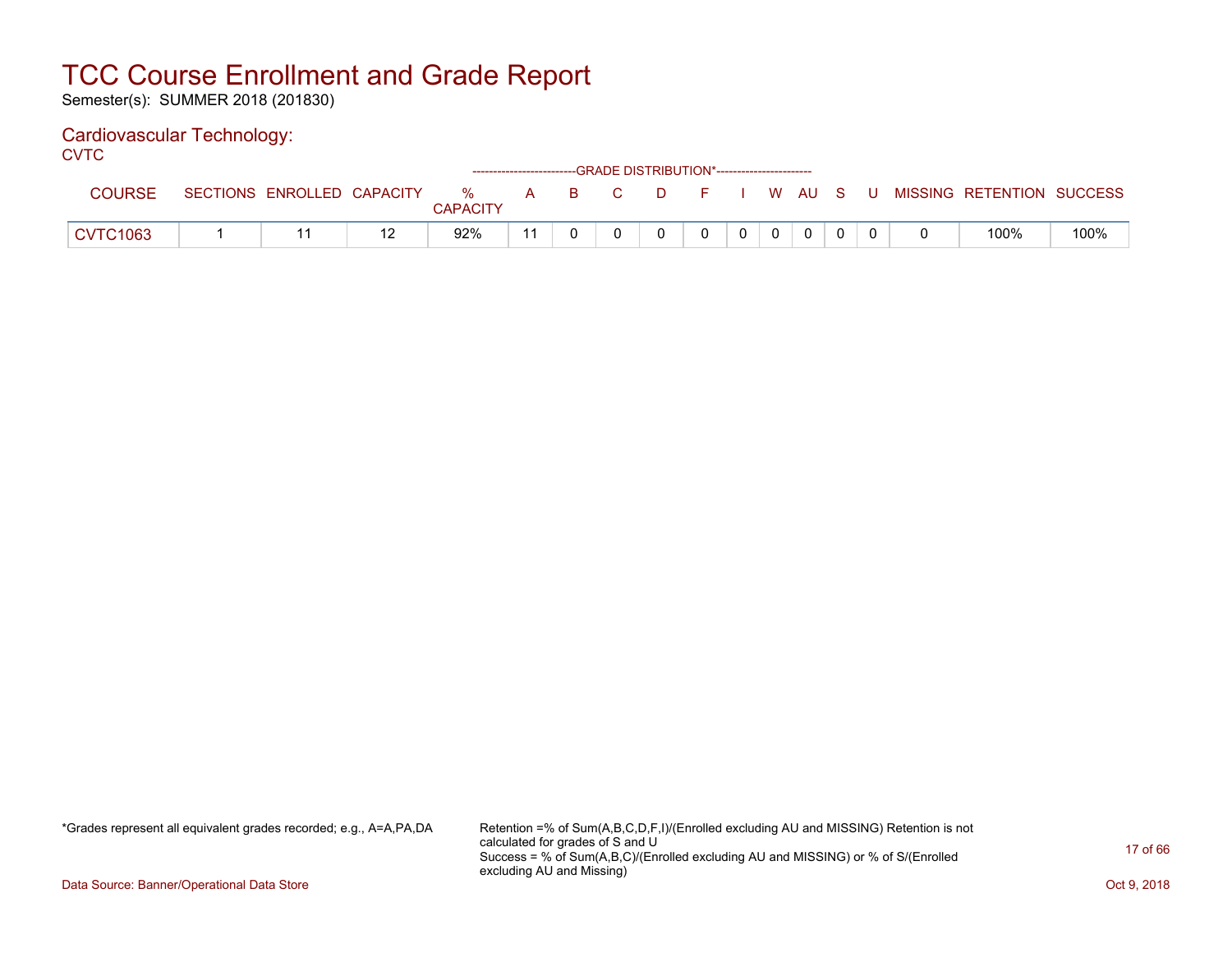Semester(s): SUMMER 2018 (201830)

#### Cardiovascular Technology:

**CVTC** 

|                 |                            |                 |    |            |              | ------------------------GRADE DISTRIBUTION*----------------------- |  |              |       |                           |      |
|-----------------|----------------------------|-----------------|----|------------|--------------|--------------------------------------------------------------------|--|--------------|-------|---------------------------|------|
| COURSE          | SECTIONS ENROLLED CAPACITY | %               | A  | <b>B</b> C | $\mathbf{D}$ | F.                                                                 |  | I WAUS       | - U - | MISSING RETENTION SUCCESS |      |
|                 |                            | <b>CAPACITY</b> |    |            |              |                                                                    |  |              |       |                           |      |
| <b>CVTC1063</b> |                            | 92%             | 11 |            |              |                                                                    |  | $\mathbf{0}$ |       | 100%                      | 100% |

\*Grades represent all equivalent grades recorded; e.g., A=A,PA,DA Retention =% of Sum(A,B,C,D,F,I)/(Enrolled excluding AU and MISSING) Retention is not calculated for grades of S and U Success = % of Sum(A,B,C)/(Enrolled excluding AU and MISSING) or % of S/(Enrolled excluding AU and Missing)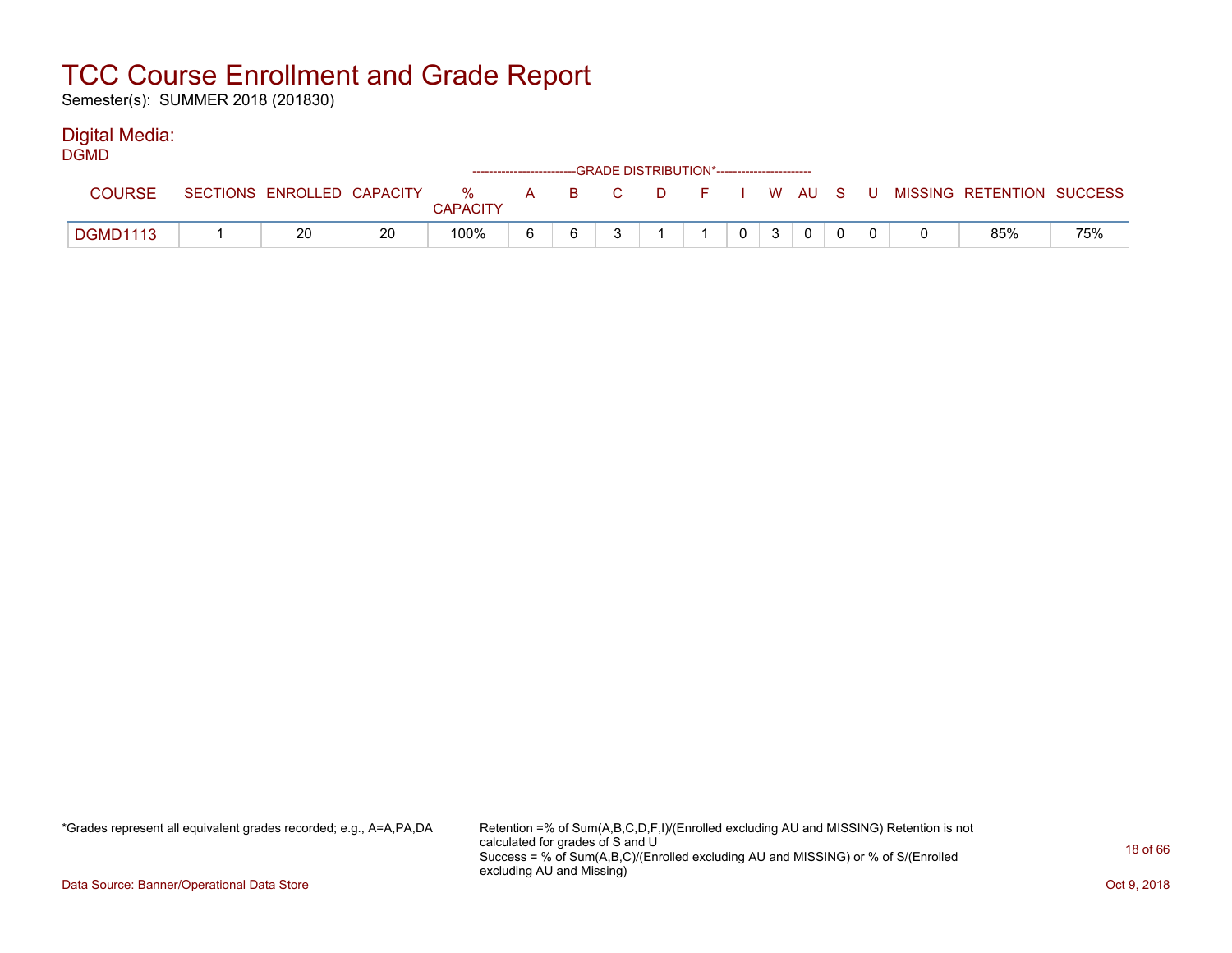Semester(s): SUMMER 2018 (201830)

#### Digital Media:

| <b>DGMD</b>     |    |    |                 |    |  | ------------------------GRADE DISTRIBUTION*----------------------- |  |                 |             |  |                                                                             |     |
|-----------------|----|----|-----------------|----|--|--------------------------------------------------------------------|--|-----------------|-------------|--|-----------------------------------------------------------------------------|-----|
| <b>COURSE</b>   |    |    | <b>CAPACITY</b> |    |  |                                                                    |  |                 |             |  | SECTIONS ENROLLED CAPACITY % A B C D F I W AU S U MISSING RETENTION SUCCESS |     |
| <b>DGMD1113</b> | 20 | 20 | 100%            | 6. |  |                                                                    |  | $0 \mid 3 \mid$ | $\mathbf 0$ |  | 85%                                                                         | 75% |

\*Grades represent all equivalent grades recorded; e.g., A=A,PA,DA Retention =% of Sum(A,B,C,D,F,I)/(Enrolled excluding AU and MISSING) Retention is not calculated for grades of S and U Success = % of Sum(A,B,C)/(Enrolled excluding AU and MISSING) or % of S/(Enrolled excluding AU and Missing)

Data Source: Banner/Operational Data Store Content of the Content of Content of the Content of the Content of the Content of the Content of the Content of the Content of the Content of the Content of the Content of the Con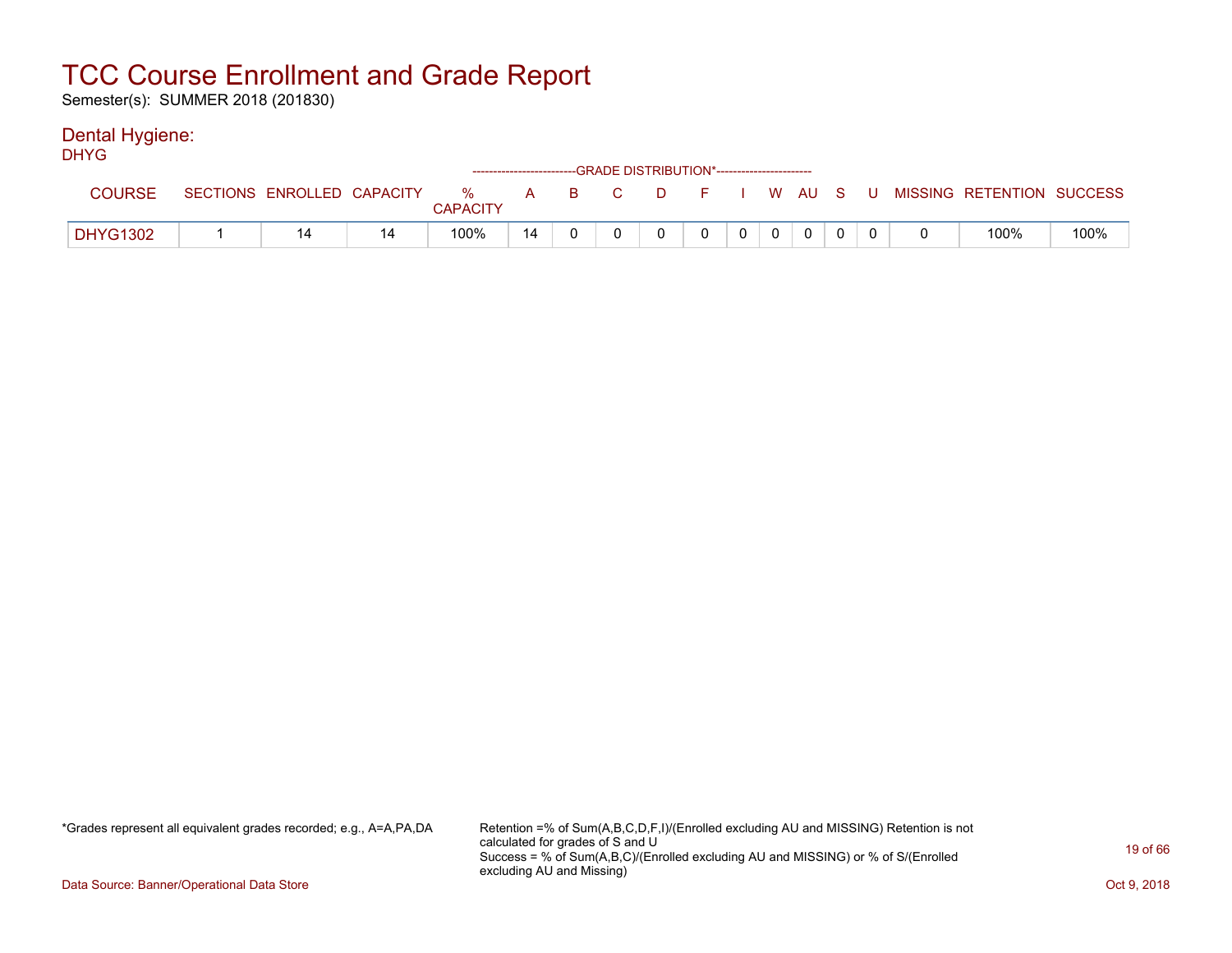Semester(s): SUMMER 2018 (201830)

#### Dental Hygiene:

| <b>DHYG</b>     |                            |    |                         |    | ------------------------GRADE DISTRIBUTION*----------------------- |              |   |                |                |             |  |                                                |      |
|-----------------|----------------------------|----|-------------------------|----|--------------------------------------------------------------------|--------------|---|----------------|----------------|-------------|--|------------------------------------------------|------|
| <b>COURSE</b>   | SECTIONS ENROLLED CAPACITY |    | $\%$<br><b>CAPACITY</b> |    |                                                                    |              |   |                |                |             |  | A B C D F I W AU S U MISSING—RETENTION SUCCESS |      |
| <b>DHYG1302</b> |                            | 14 | 100%                    | 14 |                                                                    | $\mathbf{0}$ | 0 | 0 <sup>1</sup> | $\overline{0}$ | $\mathbf 0$ |  | 100%                                           | 100% |

\*Grades represent all equivalent grades recorded; e.g., A=A,PA,DA Retention =% of Sum(A,B,C,D,F,I)/(Enrolled excluding AU and MISSING) Retention is not calculated for grades of S and U Success = % of Sum(A,B,C)/(Enrolled excluding AU and MISSING) or % of S/(Enrolled excluding AU and Missing)

Data Source: Banner/Operational Data Store Content of the Content of Content of the Content of the Content of the Content of the Content of the Content of the Content of the Content of the Content of the Content of the Con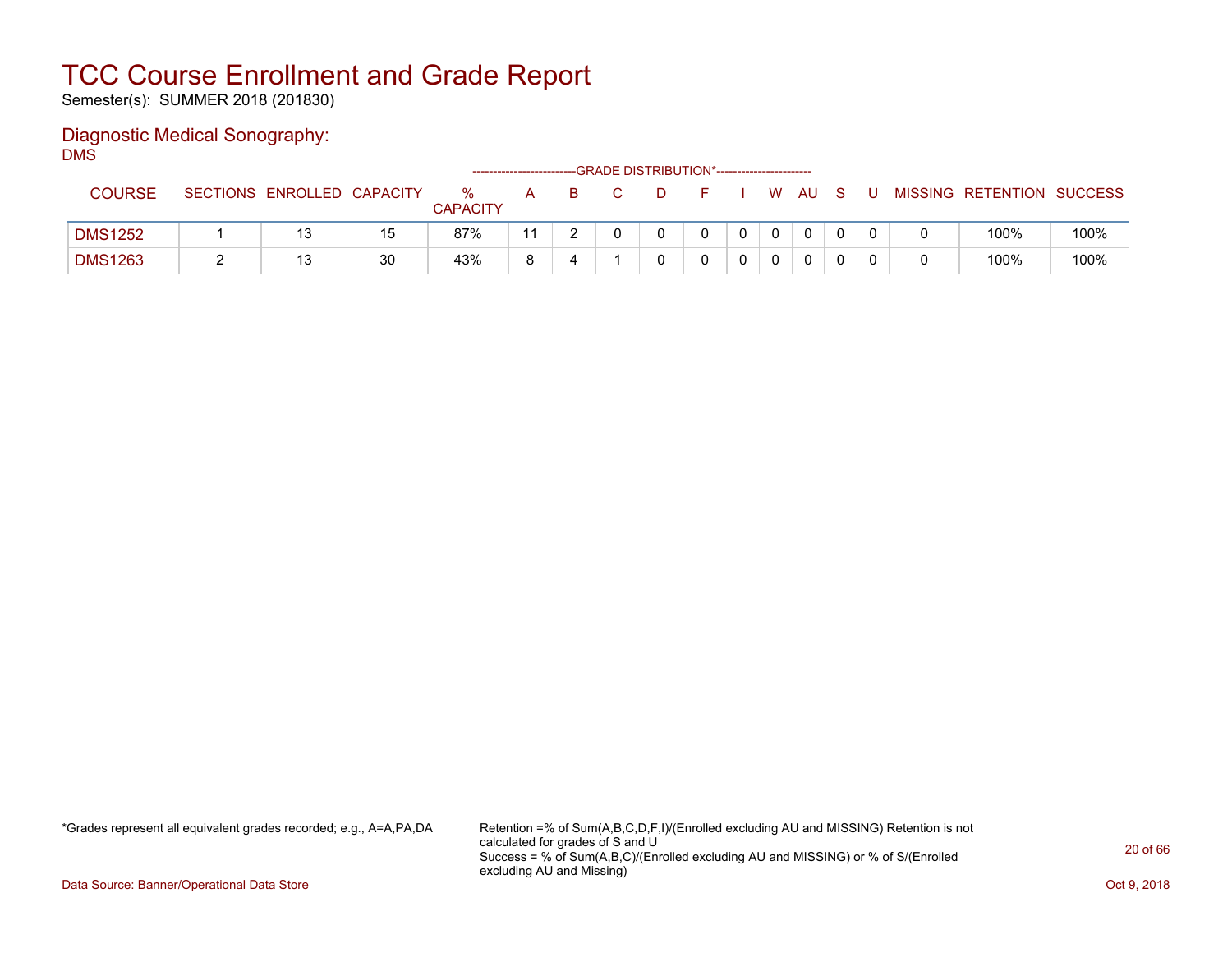Semester(s): SUMMER 2018 (201830)

#### Diagnostic Medical Sonography: DMS

|                |                            |    |                      | ----------------------- |    | --GRADE DISTRIBUTION*---------------------- |  |    |              |   |                           |      |
|----------------|----------------------------|----|----------------------|-------------------------|----|---------------------------------------------|--|----|--------------|---|---------------------------|------|
| <b>COURSE</b>  | SECTIONS ENROLLED CAPACITY |    | %<br><b>CAPACITY</b> | А                       | B. |                                             |  | W. | AU           | U | MISSING RETENTION SUCCESS |      |
| <b>DMS1252</b> |                            | 15 | 87%                  |                         |    |                                             |  |    | $\mathbf{0}$ |   | 100%                      | 100% |
| <b>DMS1263</b> | د ا                        | 30 | 43%                  |                         |    |                                             |  |    |              |   | 100%                      | 100% |

\*Grades represent all equivalent grades recorded; e.g., A=A,PA,DA Retention =% of Sum(A,B,C,D,F,I)/(Enrolled excluding AU and MISSING) Retention is not calculated for grades of S and U Success = % of Sum(A,B,C)/(Enrolled excluding AU and MISSING) or % of S/(Enrolled excluding AU and Missing)

Data Source: Banner/Operational Data Store Content of the Content of Content of the Content of the Content of the Content of the Content of the Content of the Content of the Content of the Content of the Content of the Con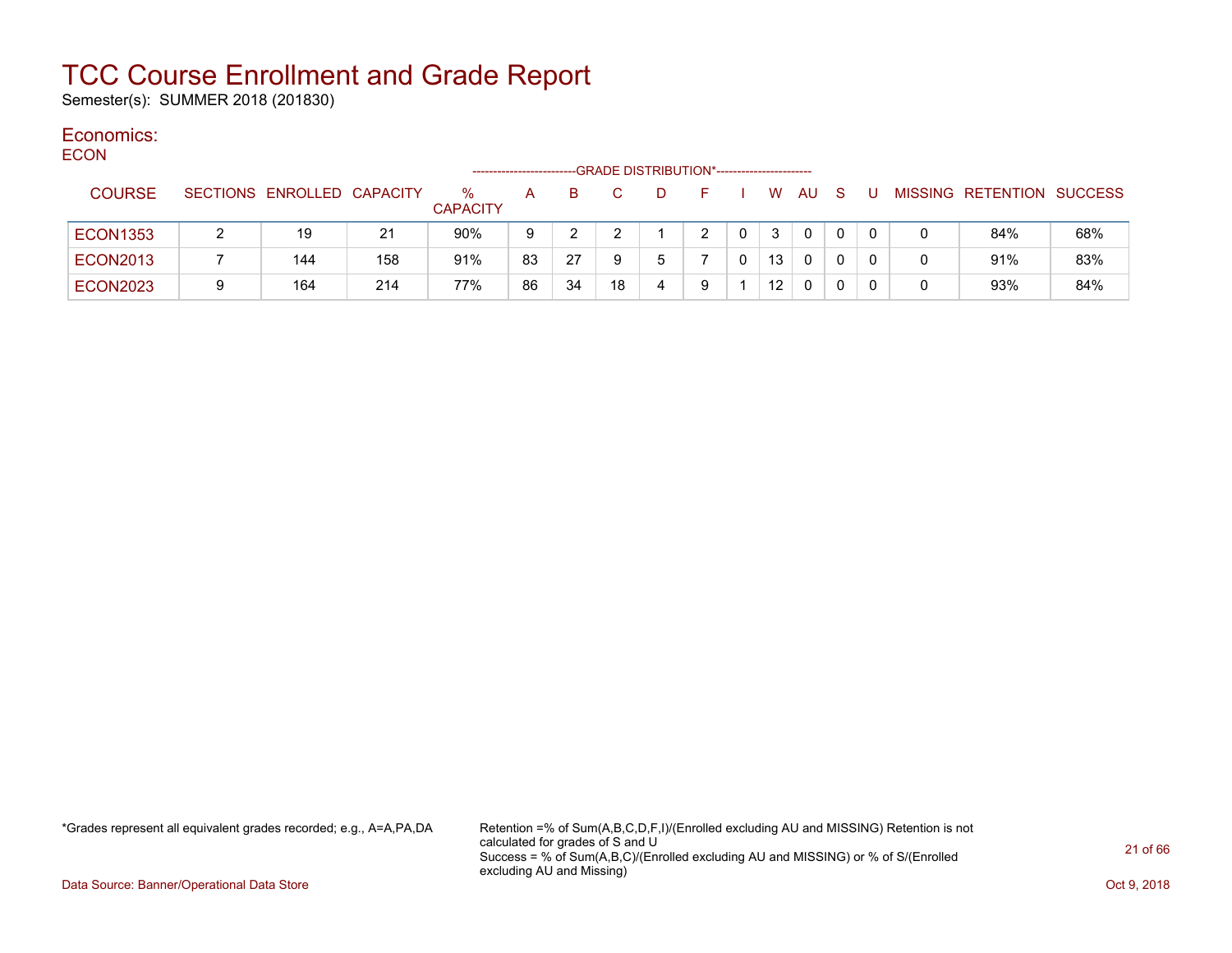Semester(s): SUMMER 2018 (201830)

#### Economics: ECON

| <b>LUUIN</b> |                 |   |                            |     |                         |    |    |    | -- GRADE DISTRIBUTION*------------------------- |   |                 |              |              |  |                           |     |
|--------------|-----------------|---|----------------------------|-----|-------------------------|----|----|----|-------------------------------------------------|---|-----------------|--------------|--------------|--|---------------------------|-----|
|              | <b>COURSE</b>   |   | SECTIONS ENROLLED CAPACITY |     | $\%$<br><b>CAPACITY</b> | A  | B. |    | D                                               |   | W               | AU           | -S           |  | MISSING RETENTION SUCCESS |     |
|              | <b>ECON1353</b> |   | 19                         | 21  | 90%                     | 9  |    |    |                                                 |   | 3               | $\mathbf{0}$ | $\mathbf{0}$ |  | 84%                       | 68% |
|              | <b>ECON2013</b> |   | 144                        | 158 | 91%                     | 83 | 27 |    | 5                                               |   | 13              | $\Omega$     |              |  | 91%                       | 83% |
|              | <b>ECON2023</b> | 9 | 164                        | 214 | 77%                     | 86 | 34 | 18 | 4                                               | 9 | 12 <sup>°</sup> | 0            |              |  | 93%                       | 84% |

\*Grades represent all equivalent grades recorded; e.g., A=A,PA,DA Retention =% of Sum(A,B,C,D,F,I)/(Enrolled excluding AU and MISSING) Retention is not calculated for grades of S and U Success = % of Sum(A,B,C)/(Enrolled excluding AU and MISSING) or % of S/(Enrolled excluding AU and Missing)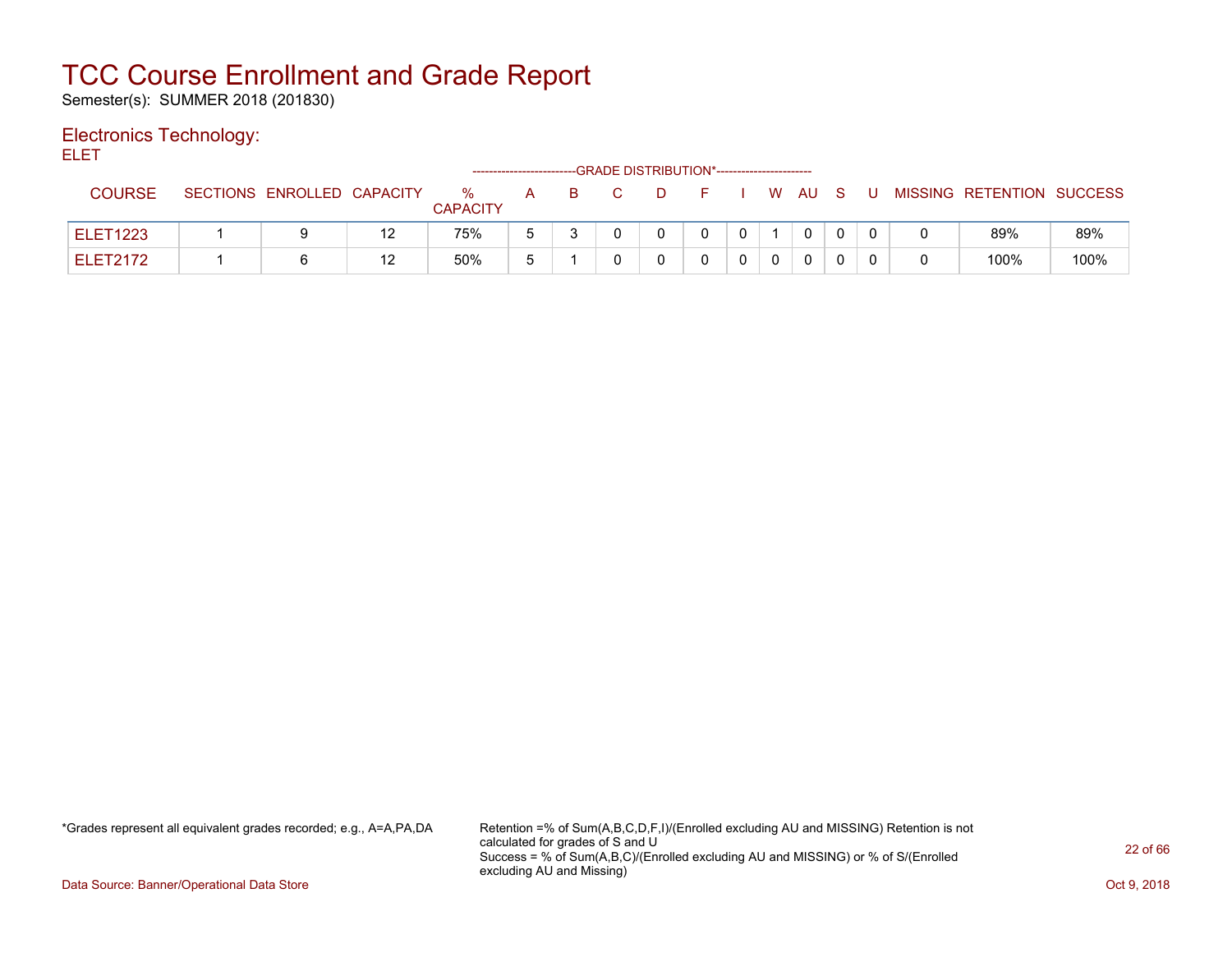Semester(s): SUMMER 2018 (201830)

#### Electronics Technology:

ELET

|                 |                            |    |                      | ------------------------ |    |  | -GRADE DISTRIBUTION*----------------------- |  |      |     |   |                           |      |
|-----------------|----------------------------|----|----------------------|--------------------------|----|--|---------------------------------------------|--|------|-----|---|---------------------------|------|
| <b>COURSE</b>   | SECTIONS ENROLLED CAPACITY |    | ℅<br><b>CAPACITY</b> | A                        | B. |  |                                             |  | W AU | - S | U | MISSING RETENTION SUCCESS |      |
| <b>ELET1223</b> |                            | 12 | 75%                  |                          |    |  |                                             |  | 0    |     |   | 89%                       | 89%  |
| <b>ELET2172</b> |                            | 12 | 50%                  |                          |    |  |                                             |  | 0    |     |   | 100%                      | 100% |

\*Grades represent all equivalent grades recorded; e.g., A=A,PA,DA Retention =% of Sum(A,B,C,D,F,I)/(Enrolled excluding AU and MISSING) Retention is not calculated for grades of S and U Success = % of Sum(A,B,C)/(Enrolled excluding AU and MISSING) or % of S/(Enrolled excluding AU and Missing)

Data Source: Banner/Operational Data Store Content of the Content of Content of the Content of the Content of the Content of the Content of the Content of the Content of the Content of the Content of the Content of the Con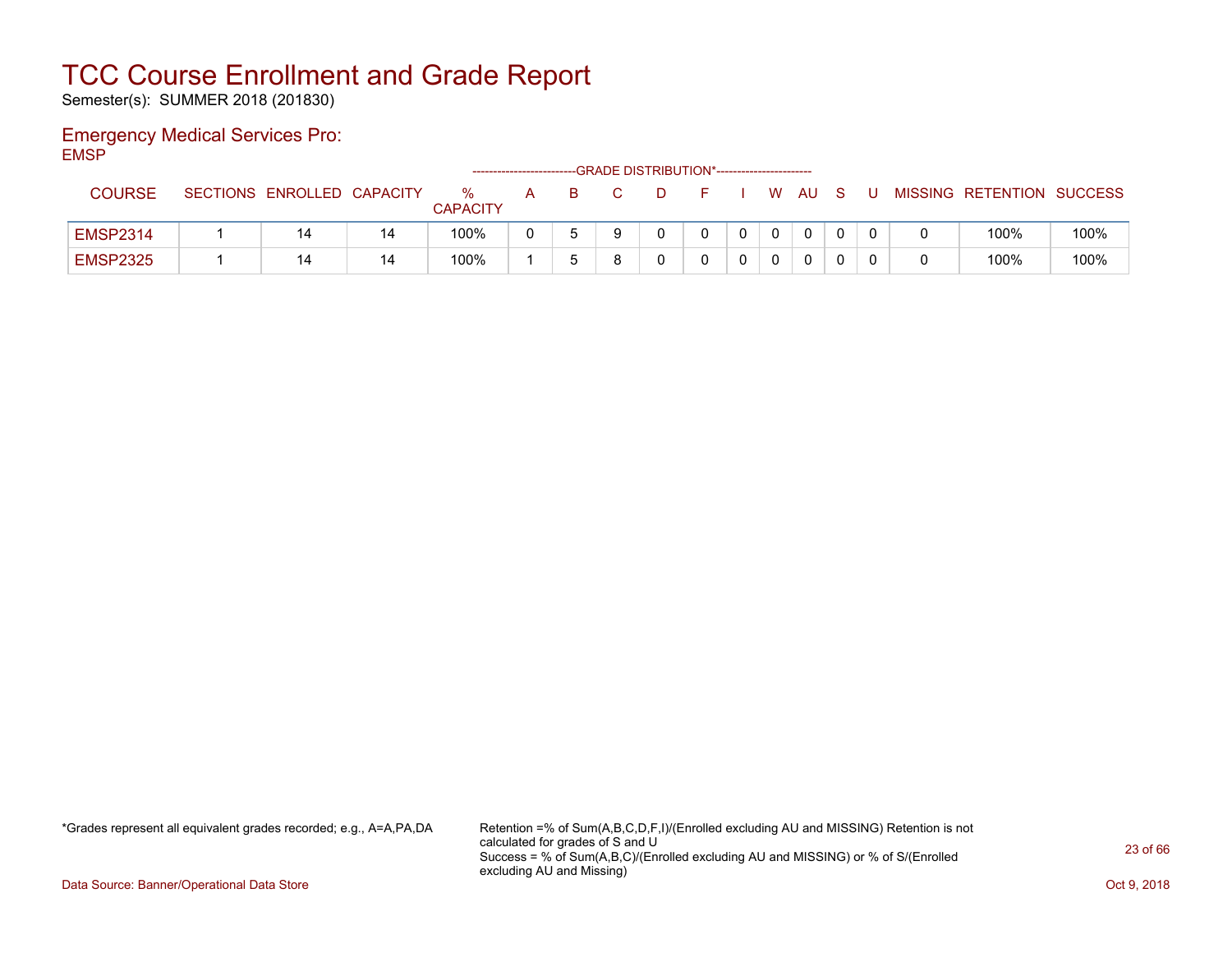Semester(s): SUMMER 2018 (201830)

#### Emergency Medical Services Pro: EMSP

|                 |                            |    |                         | ------------------------ |   | --GRADE DISTRIBUTION*----------------------- |   |     |   |                           |      |
|-----------------|----------------------------|----|-------------------------|--------------------------|---|----------------------------------------------|---|-----|---|---------------------------|------|
| <b>COURSE</b>   | SECTIONS ENROLLED CAPACITY |    | $\%$<br><b>CAPACITY</b> | А                        |   |                                              | W | AU. | U | MISSING RETENTION SUCCESS |      |
| <b>EMSP2314</b> |                            | 14 | 100%                    |                          | 9 |                                              |   |     |   | 100%                      | 100% |
| <b>EMSP2325</b> |                            | 14 | 100%                    |                          |   |                                              |   |     |   | 100%                      | 100% |

\*Grades represent all equivalent grades recorded; e.g., A=A,PA,DA Retention =% of Sum(A,B,C,D,F,I)/(Enrolled excluding AU and MISSING) Retention is not calculated for grades of S and U Success = % of Sum(A,B,C)/(Enrolled excluding AU and MISSING) or % of S/(Enrolled excluding AU and Missing)

Data Source: Banner/Operational Data Store Content of the Content of Content of the Content of the Content of the Content of the Content of the Content of the Content of the Content of the Content of the Content of the Con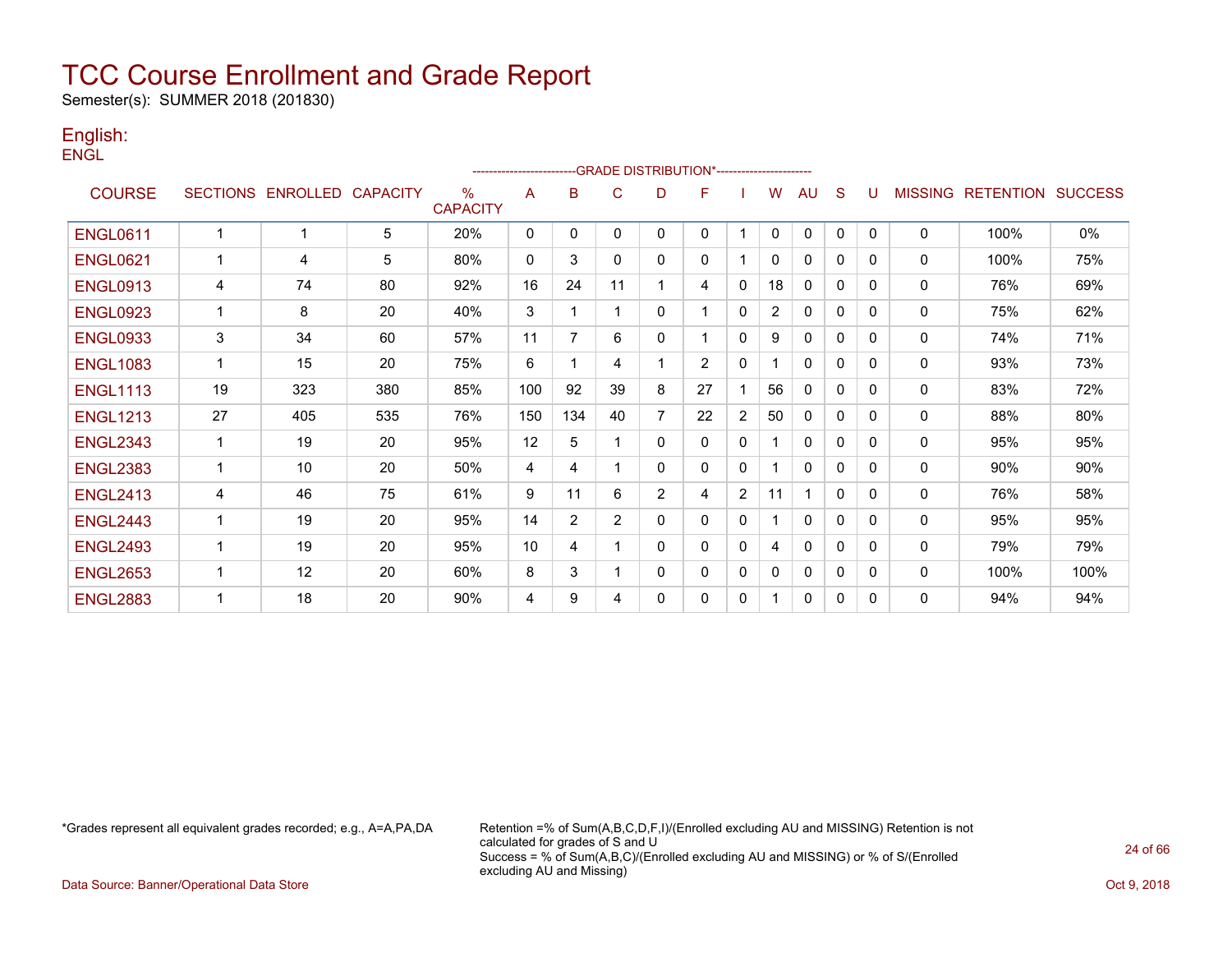Semester(s): SUMMER 2018 (201830)

#### English: ENGL

|                 |                 |          |                 |                         |              |                |                | -GRADE DISTRIBUTION*----------------------- |                |                |                |              |              |              |                |                  |                |
|-----------------|-----------------|----------|-----------------|-------------------------|--------------|----------------|----------------|---------------------------------------------|----------------|----------------|----------------|--------------|--------------|--------------|----------------|------------------|----------------|
| <b>COURSE</b>   | <b>SECTIONS</b> | ENROLLED | <b>CAPACITY</b> | $\%$<br><b>CAPACITY</b> | A            | в              | C              | D                                           | F              |                | w              | AU           | S            |              | <b>MISSING</b> | <b>RETENTION</b> | <b>SUCCESS</b> |
| <b>ENGL0611</b> |                 | 1        | 5               | 20%                     | $\mathbf{0}$ | 0              | 0              | 0                                           | 0              |                | $\Omega$       | 0            | $\mathbf{0}$ | $\mathbf{0}$ | $\mathbf 0$    | 100%             | 0%             |
| <b>ENGL0621</b> | 1               | 4        | 5               | 80%                     | 0            | 3              | 0              | 0                                           | 0              |                | 0              | 0            | 0            | 0            | 0              | 100%             | 75%            |
| <b>ENGL0913</b> | 4               | 74       | 80              | 92%                     | 16           | 24             | 11             |                                             | 4              | 0              | 18             | $\Omega$     | 0            | 0            | $\mathbf 0$    | 76%              | 69%            |
| <b>ENGL0923</b> | 1               | 8        | 20              | 40%                     | 3            | 1              |                | 0                                           | 1              | 0              | $\overline{2}$ | 0            | $\mathbf{0}$ | 0            | 0              | 75%              | 62%            |
| <b>ENGL0933</b> | 3               | 34       | 60              | 57%                     | 11           | 7              | 6              | 0                                           | 1              | $\Omega$       | 9              | 0            | 0            | 0            | $\mathbf{0}$   | 74%              | 71%            |
| <b>ENGL1083</b> |                 | 15       | 20              | 75%                     | 6            |                | 4              |                                             | $\overline{2}$ | $\mathbf{0}$   |                | $\mathbf{0}$ | $\Omega$     | 0            | $\mathbf{0}$   | 93%              | 73%            |
| <b>ENGL1113</b> | 19              | 323      | 380             | 85%                     | 100          | 92             | 39             | 8                                           | 27             |                | 56             | 0            | 0            | 0            | 0              | 83%              | 72%            |
| <b>ENGL1213</b> | 27              | 405      | 535             | 76%                     | 150          | 134            | 40             | $\overline{7}$                              | 22             | $\overline{2}$ | 50             | $\mathbf{0}$ | 0            | $\Omega$     | $\mathbf{0}$   | 88%              | 80%            |
| <b>ENGL2343</b> |                 | 19       | 20              | 95%                     | 12           | 5              |                | 0                                           | 0              | 0              |                | $\mathbf{0}$ | 0            | 0            | $\mathbf{0}$   | 95%              | 95%            |
| <b>ENGL2383</b> | 1               | 10       | 20              | 50%                     | 4            | 4              |                | 0                                           | 0              | 0              |                | 0            | 0            | 0            | 0              | 90%              | 90%            |
| <b>ENGL2413</b> | 4               | 46       | 75              | 61%                     | 9            | 11             | 6              | $\overline{2}$                              | 4              | 2              | 11             |              | $\Omega$     | 0            | $\mathbf{0}$   | 76%              | 58%            |
| <b>ENGL2443</b> |                 | 19       | 20              | 95%                     | 14           | $\overline{2}$ | $\overline{2}$ | 0                                           | 0              | 0              |                | $\Omega$     | $\mathbf{0}$ | 0            | 0              | 95%              | 95%            |
| <b>ENGL2493</b> | 1               | 19       | 20              | 95%                     | 10           | 4              |                | 0                                           | 0              | $\mathbf{0}$   | 4              | 0            | $\mathbf 0$  | 0            | 0              | 79%              | 79%            |
| <b>ENGL2653</b> | 1               | 12       | 20              | 60%                     | 8            | 3              |                | 0                                           | 0              | 0              | 0              | $\mathbf{0}$ | $\mathbf{0}$ | 0            | $\mathbf{0}$   | 100%             | 100%           |
| <b>ENGL2883</b> |                 | 18       | 20              | 90%                     | 4            | 9              | 4              | 0                                           | 0              | 0              |                | 0            | 0            | 0            | 0              | 94%              | 94%            |

\*Grades represent all equivalent grades recorded; e.g., A=A,PA,DA Retention =% of Sum(A,B,C,D,F,I)/(Enrolled excluding AU and MISSING) Retention is not calculated for grades of S and U Success = % of Sum(A,B,C)/(Enrolled excluding AU and MISSING) or % of S/(Enrolled excluding AU and Missing)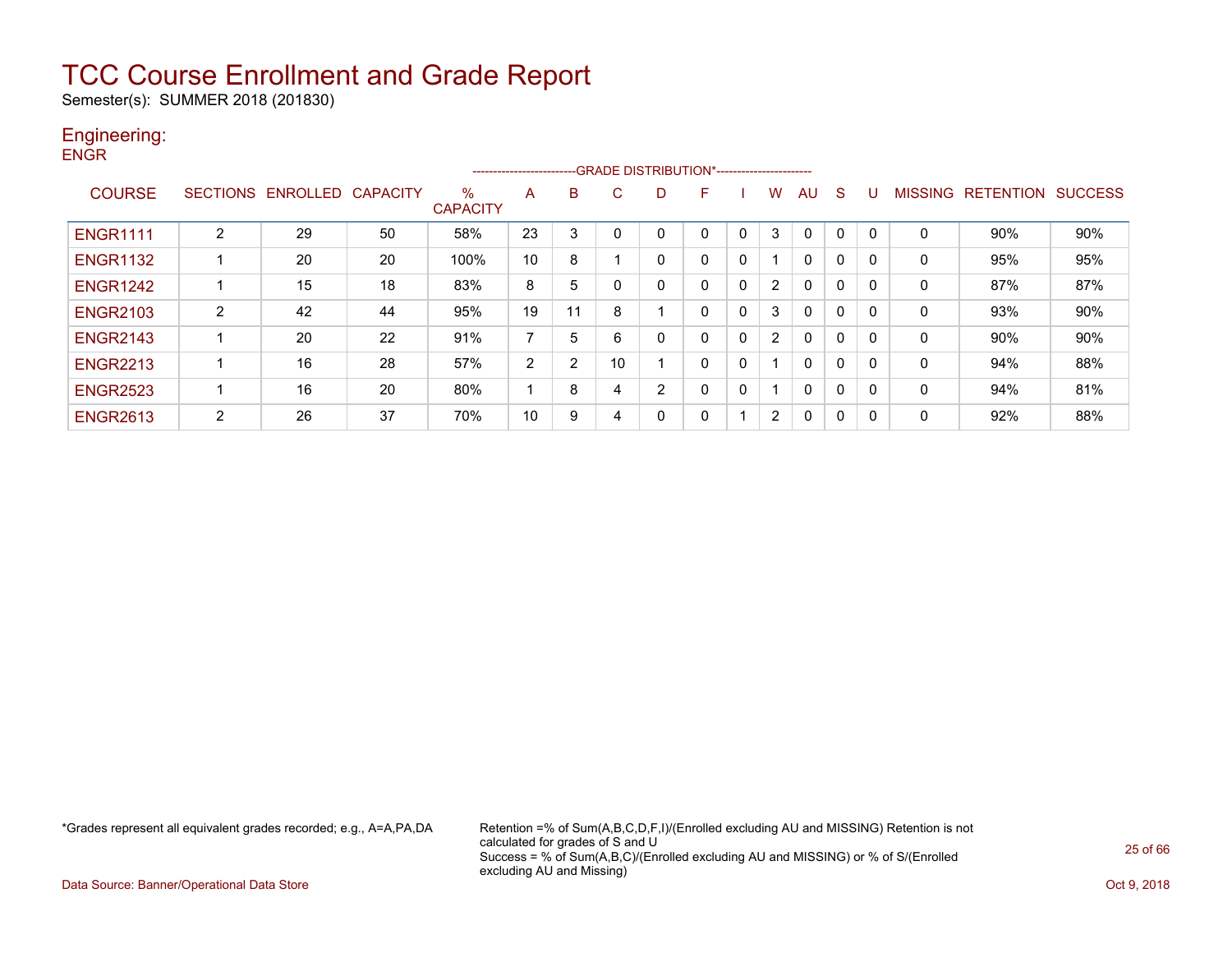Semester(s): SUMMER 2018 (201830)

#### Engineering:

**ENGR** 

|                 |                |                   |                 |                         | ----------------------- |    | --GRADE DISTRIBUTION*----------------------- |   |   |   |                |             |              |                |                  |                |
|-----------------|----------------|-------------------|-----------------|-------------------------|-------------------------|----|----------------------------------------------|---|---|---|----------------|-------------|--------------|----------------|------------------|----------------|
| <b>COURSE</b>   |                | SECTIONS ENROLLED | <b>CAPACITY</b> | $\%$<br><b>CAPACITY</b> | A                       | B  | C.                                           | D | F |   | w              | AU          | S            | <b>MISSING</b> | <b>RETENTION</b> | <b>SUCCESS</b> |
| <b>ENGR1111</b> | $\overline{2}$ | 29                | 50              | 58%                     | 23                      | 3  |                                              |   | 0 |   | 3              | $\mathbf 0$ | 0            | 0              | 90%              | 90%            |
| <b>ENGR1132</b> |                | 20                | 20              | 100%                    | 10                      | 8  |                                              |   | 0 | 0 |                | $\Omega$    | 0            | 0              | 95%              | 95%            |
| <b>ENGR1242</b> |                | 15                | 18              | 83%                     | 8                       | 5  |                                              |   | 0 | 0 | $\overline{2}$ | $\Omega$    | 0            | 0              | 87%              | 87%            |
| <b>ENGR2103</b> | 2              | 42                | 44              | 95%                     | 19                      | 11 | 8                                            |   | 0 | 0 | 3              | $\Omega$    | $\mathbf{0}$ | 0              | 93%              | 90%            |
| <b>ENGR2143</b> |                | 20                | 22              | 91%                     | 7                       | 5  | 6                                            |   | 0 | 0 | $\overline{2}$ | $\Omega$    | 0            | $\Omega$       | 90%              | 90%            |
| <b>ENGR2213</b> |                | 16                | 28              | 57%                     | 2                       | 2  | 10                                           |   | 0 | 0 |                | $\Omega$    | 0            | 0              | 94%              | 88%            |
| <b>ENGR2523</b> |                | 16                | 20              | 80%                     |                         | 8  | 4                                            | 2 | 0 | 0 |                | $\Omega$    | 0            | 0              | 94%              | 81%            |
| <b>ENGR2613</b> | 2              | 26                | 37              | 70%                     | 10                      | 9  | 4                                            | Ω | 0 |   | $\overline{2}$ | 0           | $\mathbf{0}$ | $\Omega$       | 92%              | 88%            |

\*Grades represent all equivalent grades recorded; e.g., A=A,PA,DA Retention =% of Sum(A,B,C,D,F,I)/(Enrolled excluding AU and MISSING) Retention is not calculated for grades of S and U Success = % of Sum(A,B,C)/(Enrolled excluding AU and MISSING) or % of S/(Enrolled excluding AU and Missing)

Data Source: Banner/Operational Data Store Content of the Content of Content of the Content of the Content of the Content of the Content of the Content of the Content of the Content of the Content of the Content of the Con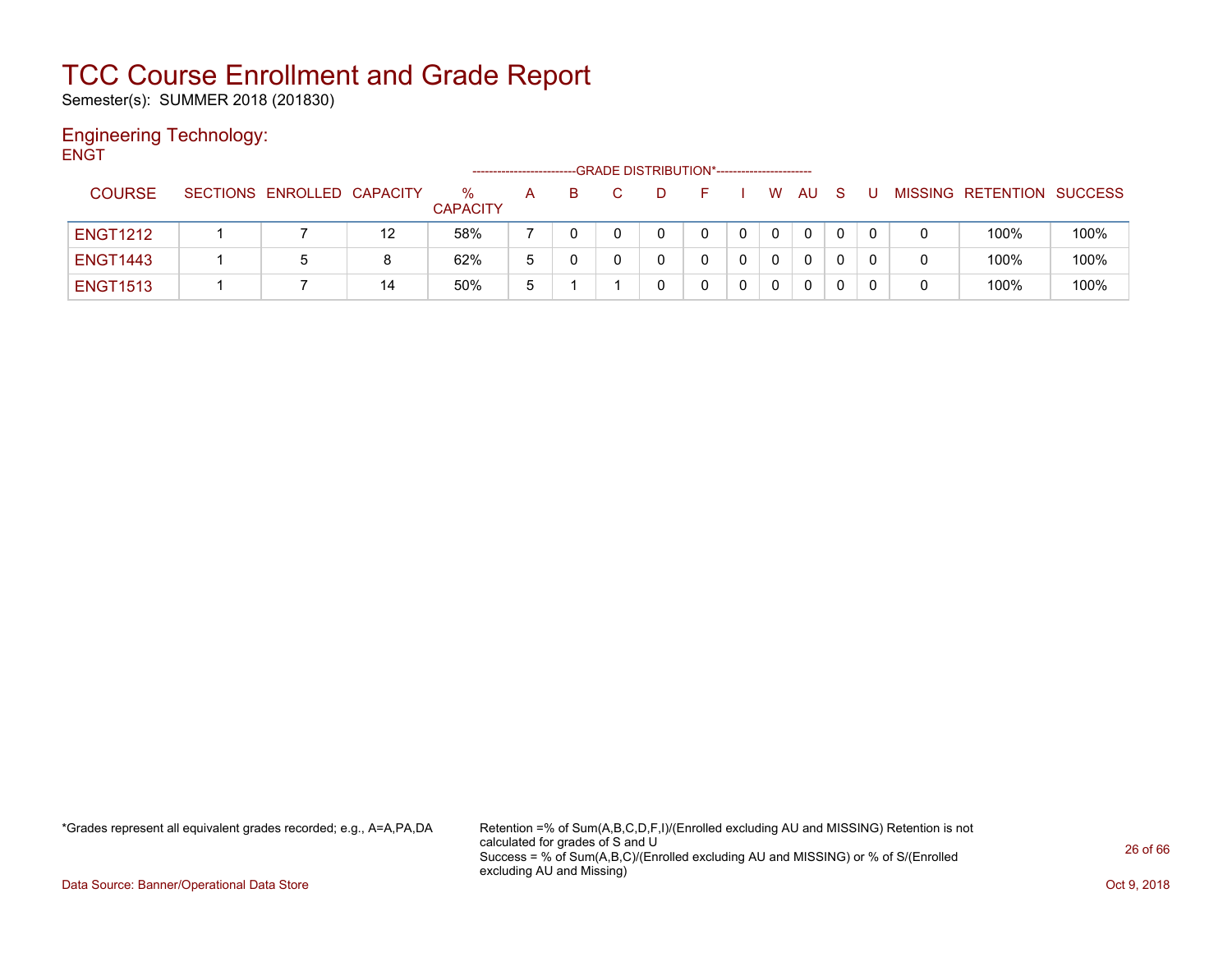Semester(s): SUMMER 2018 (201830)

#### Engineering Technology:

**ENGT** --GRADE DISTRIBUTION\*------------------------COURSE SECTIONS ENROLLED CAPACITY % **CAPACITY** A B C D F I W AU S U MISSING RETENTION SUCCESS ENGT1212 1 7 12 58% 7 0 0 0 0 0 0 0 0 0 0 100% 100% ENGT1443 1 5 8 62% 5 0 0 0 0 0 0 0 0 0 0 100% 100% ENGT1513 | 1 | 7 | 14 | 50% | 5 | 1 | 1 | 0 | 0 | 0 | 0 | 0 | 0 | 0 | 100% | 100%

\*Grades represent all equivalent grades recorded; e.g., A=A,PA,DA Retention =% of Sum(A,B,C,D,F,I)/(Enrolled excluding AU and MISSING) Retention is not calculated for grades of S and U Success = % of Sum(A,B,C)/(Enrolled excluding AU and MISSING) or % of S/(Enrolled excluding AU and Missing)

Data Source: Banner/Operational Data Store **Contract Contract Contract Contract Contract Contract Contract Contract Contract Contract Contract Oct 9, 2018**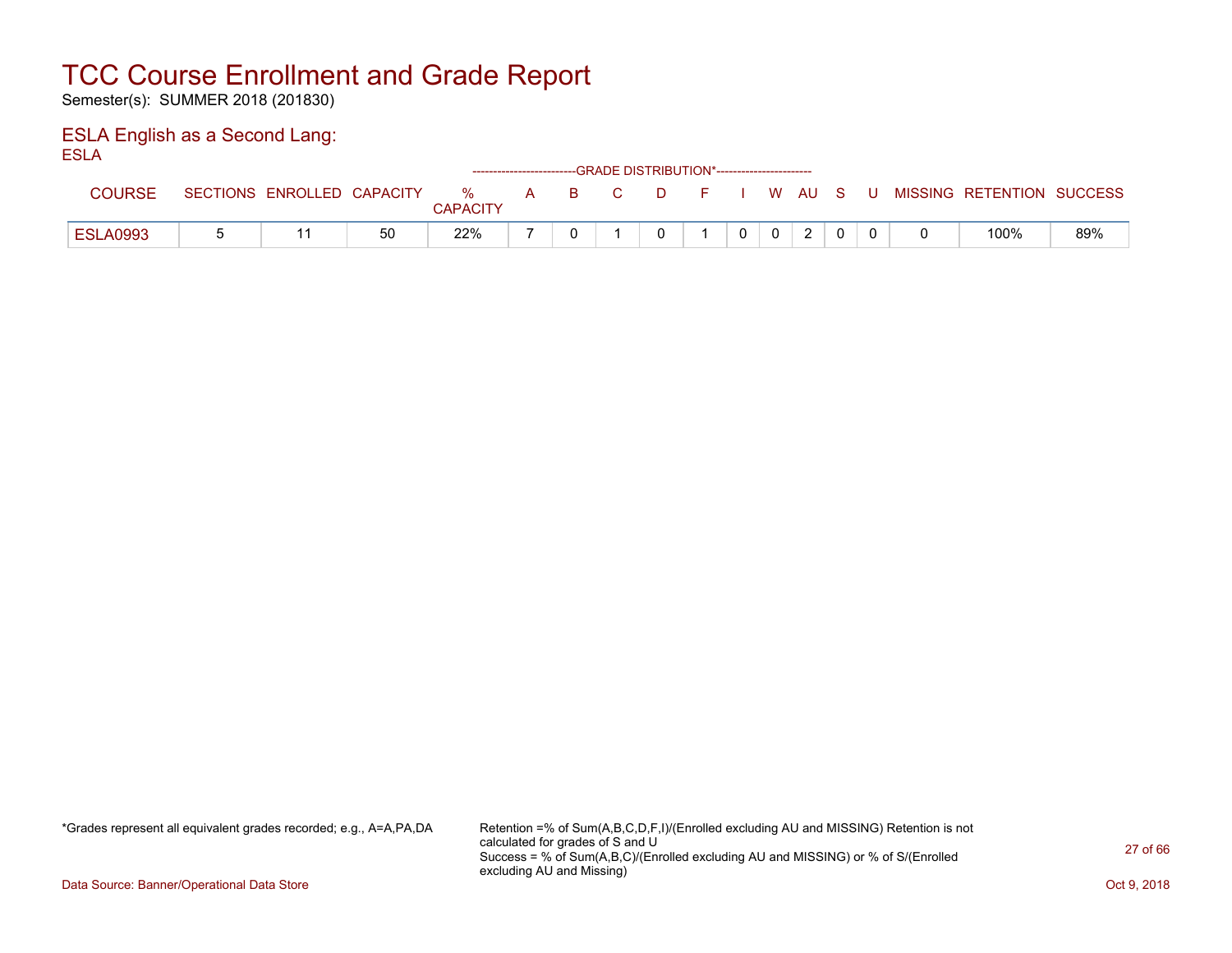Semester(s): SUMMER 2018 (201830)

#### ESLA English as a Second Lang: ESLA

| ___             |                            |    |                         |  |       | ------------------------GRADE DISTRIBUTION*----------------------- |  |               |  |                                          |     |
|-----------------|----------------------------|----|-------------------------|--|-------|--------------------------------------------------------------------|--|---------------|--|------------------------------------------|-----|
| <b>COURSE</b>   | SECTIONS ENROLLED CAPACITY |    | $\%$<br><b>CAPACITY</b> |  | A B C |                                                                    |  |               |  | D F I W AU S U MISSING RETENTION SUCCESS |     |
| <b>ESLA0993</b> |                            | 50 | 22%                     |  |       |                                                                    |  | $\mathcal{D}$ |  | 100%                                     | 89% |

\*Grades represent all equivalent grades recorded; e.g., A=A,PA,DA Retention =% of Sum(A,B,C,D,F,I)/(Enrolled excluding AU and MISSING) Retention is not calculated for grades of S and U Success = % of Sum(A,B,C)/(Enrolled excluding AU and MISSING) or % of S/(Enrolled excluding AU and Missing)

Data Source: Banner/Operational Data Store Content of the Content of Content of the Content of the Content of the Content of the Content of the Content of the Content of the Content of the Content of the Content of the Con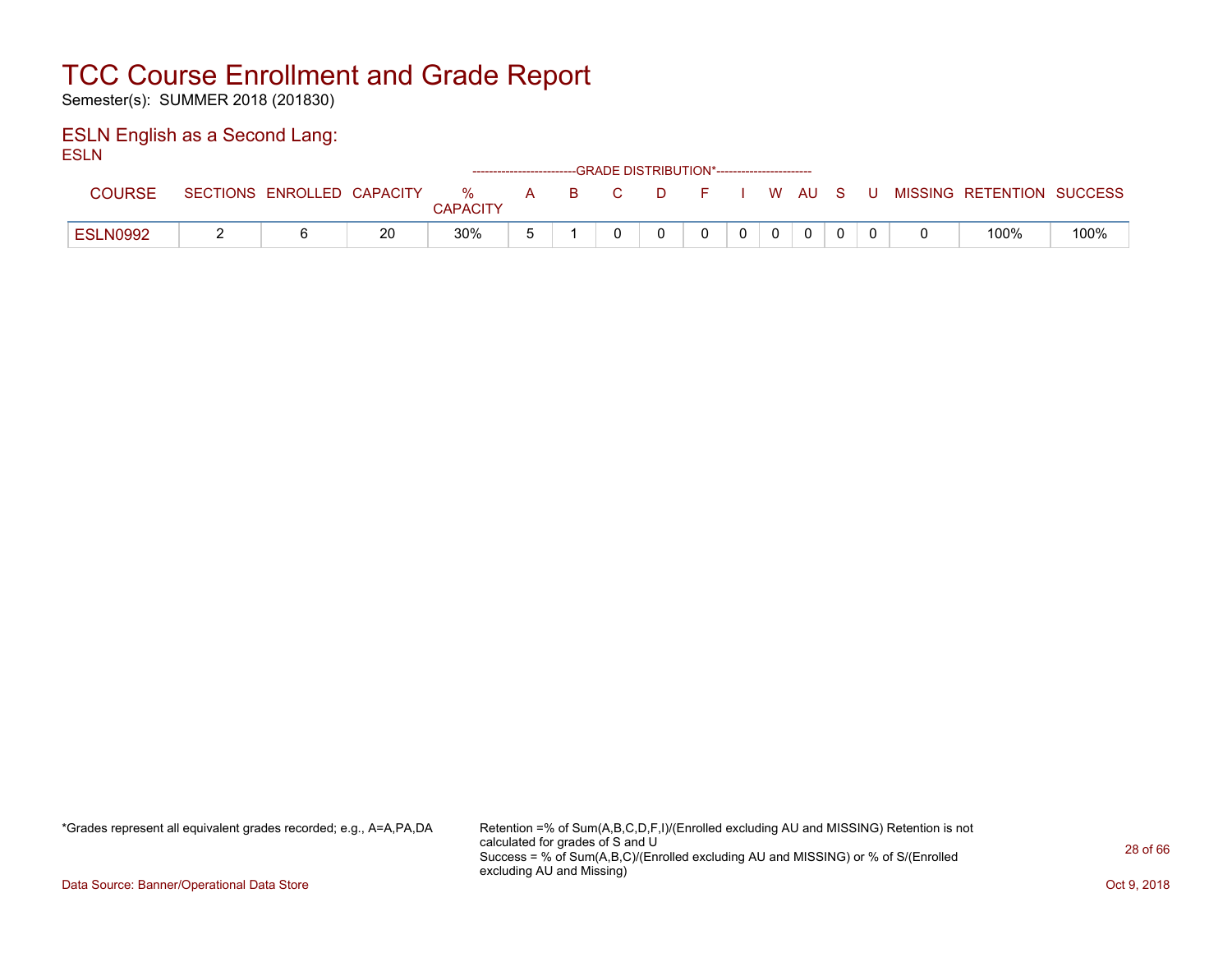Semester(s): SUMMER 2018 (201830)

#### ESLN English as a Second Lang: ESLN

|                 |                            |    |                         |              |                | ------------------------GRADE DISTRIBUTION*----------------------- |        |          |              |          |     |                           |      |
|-----------------|----------------------------|----|-------------------------|--------------|----------------|--------------------------------------------------------------------|--------|----------|--------------|----------|-----|---------------------------|------|
| <b>COURSE</b>   | SECTIONS ENROLLED CAPACITY |    | $\%$<br><b>CAPACITY</b> | $\mathbf{A}$ | $\overline{B}$ | C.                                                                 | $\Box$ | <b>E</b> |              | WAUS     | - U | MISSING RETENTION SUCCESS |      |
| <b>ESLN0992</b> |                            | 20 | 30%                     |              |                |                                                                    |        |          | $\mathbf{0}$ | $\Omega$ |     | 100%                      | 100% |

\*Grades represent all equivalent grades recorded; e.g., A=A,PA,DA Retention =% of Sum(A,B,C,D,F,I)/(Enrolled excluding AU and MISSING) Retention is not calculated for grades of S and U Success = % of Sum(A,B,C)/(Enrolled excluding AU and MISSING) or % of S/(Enrolled excluding AU and Missing)

Data Source: Banner/Operational Data Store Content of the Content of Content of the Content of the Content of the Content of the Content of the Content of the Content of the Content of the Content of the Content of the Con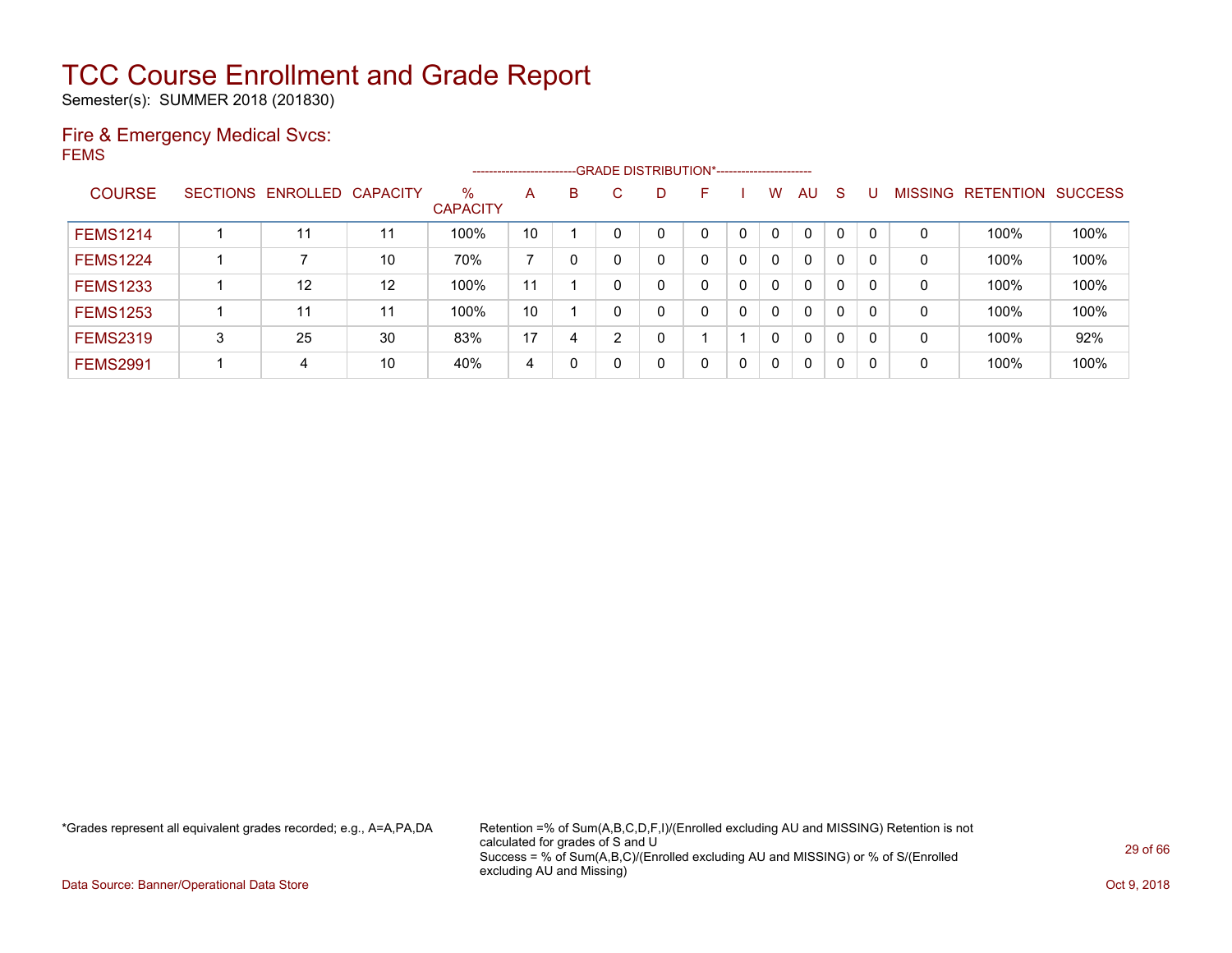Semester(s): SUMMER 2018 (201830)

#### Fire & Emergency Medical Svcs: FEMS

|                 |   |                            |                   |                         | ----------------------- |   |    |   |   |   |              |              |    |          |                |                          |      |
|-----------------|---|----------------------------|-------------------|-------------------------|-------------------------|---|----|---|---|---|--------------|--------------|----|----------|----------------|--------------------------|------|
| <b>COURSE</b>   |   | SECTIONS ENROLLED CAPACITY |                   | $\%$<br><b>CAPACITY</b> | A                       | B | C. | D | F |   | W            | AU           | -S | U        | <b>MISSING</b> | <b>RETENTION SUCCESS</b> |      |
| <b>FEMS1214</b> |   | 11                         |                   | 100%                    | 10                      |   |    |   |   | 0 | $\mathbf{0}$ | 0            | 0  | $\Omega$ | 0              | 100%                     | 100% |
| <b>FEMS1224</b> |   |                            | 10                | 70%                     |                         |   |    |   | 0 | 0 | 0            | $\Omega$     | 0  | $\Omega$ | 0              | 100%                     | 100% |
| <b>FEMS1233</b> |   | 12                         | $12 \overline{ }$ | 100%                    | 11                      |   |    |   | 0 | 0 | 0            | $\mathbf{0}$ | 0  | $\Omega$ | 0              | 100%                     | 100% |
| <b>FEMS1253</b> |   | 11                         | 11                | 100%                    | 10                      |   |    |   | 0 | 0 | 0            | $\Omega$     | 0  | $\Omega$ | 0              | 100%                     | 100% |
| <b>FEMS2319</b> | 3 | 25                         | 30                | 83%                     | 17                      | 4 | っ  |   |   |   | $\Omega$     | $\mathbf{0}$ | 0  | 0        | 0              | 100%                     | 92%  |
| <b>FEMS2991</b> |   | 4                          | 10                | 40%                     | 4                       |   |    |   | 0 | 0 | $\mathbf 0$  | $\Omega$     | 0  | $\Omega$ | 0              | 100%                     | 100% |

\*Grades represent all equivalent grades recorded; e.g., A=A,PA,DA Retention =% of Sum(A,B,C,D,F,I)/(Enrolled excluding AU and MISSING) Retention is not calculated for grades of S and U Success = % of Sum(A,B,C)/(Enrolled excluding AU and MISSING) or % of S/(Enrolled excluding AU and Missing)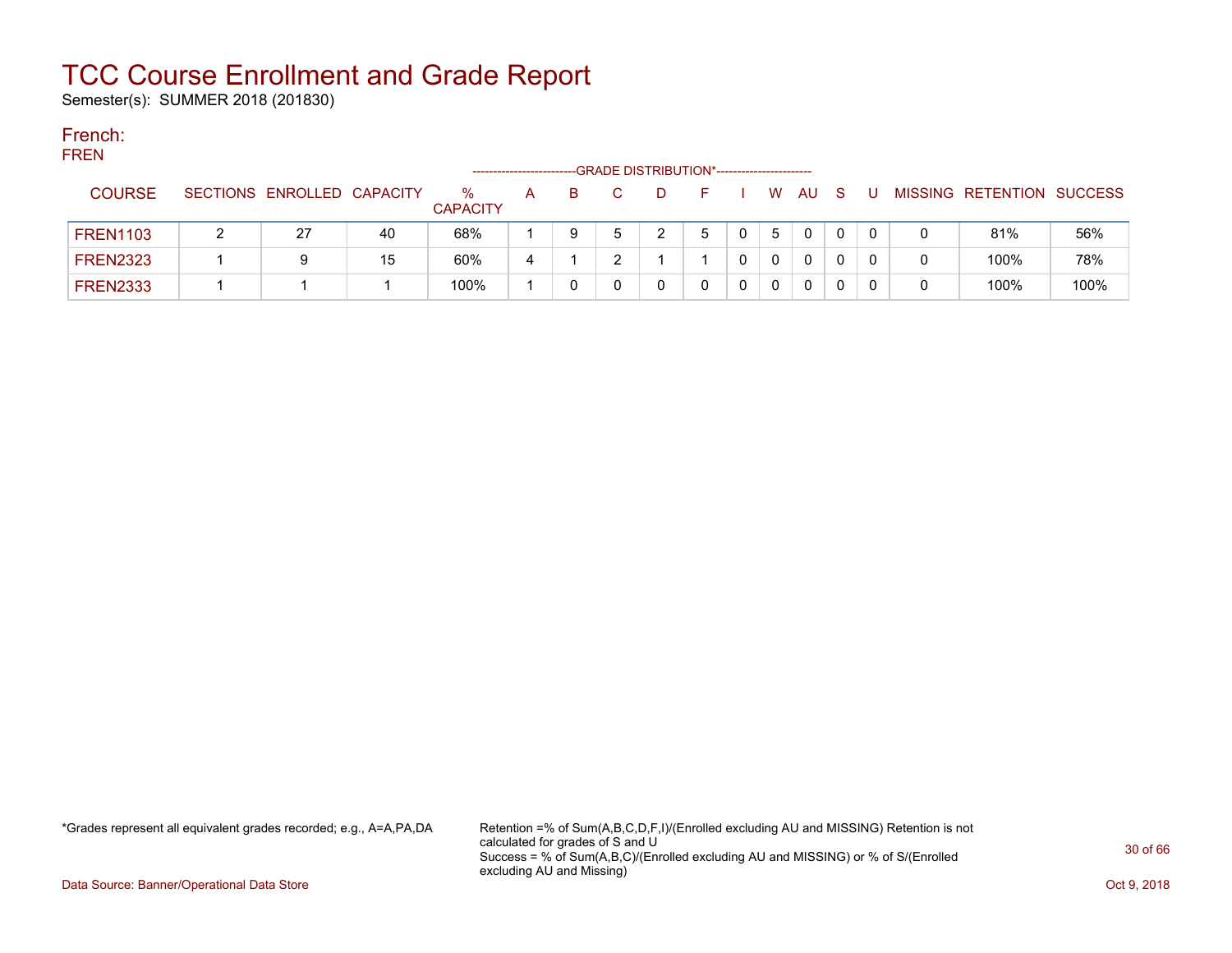Semester(s): SUMMER 2018 (201830)

#### French: **EDEN**

| ENEN            |                            |    | --------------------    |   |    | -GRADE DISTRIBUTION*----------------------- |   |    |                |          |              |          |          |                           |      |
|-----------------|----------------------------|----|-------------------------|---|----|---------------------------------------------|---|----|----------------|----------|--------------|----------|----------|---------------------------|------|
| <b>COURSE</b>   | SECTIONS ENROLLED CAPACITY |    | $\%$<br><b>CAPACITY</b> | A | B. |                                             | D | н. |                | W.       | AU           | - S      |          | MISSING RETENTION SUCCESS |      |
| <b>FREN1103</b> | 27                         | 40 | 68%                     |   | 9  |                                             |   | 5  | $\overline{0}$ | 5        | $\mathbf{0}$ | 0        |          | 81%                       | 56%  |
| <b>FREN2323</b> |                            | 15 | 60%                     | 4 |    |                                             |   |    | $\mathbf{0}$   | $\Omega$ | $\mathbf{0}$ | 0        | 0        | 100%                      | 78%  |
| <b>FREN2333</b> |                            |    | 100%                    |   |    |                                             |   |    |                | 0        | 0            | $\Omega$ | $\Omega$ | 100%                      | 100% |

\*Grades represent all equivalent grades recorded; e.g., A=A,PA,DA Retention =% of Sum(A,B,C,D,F,I)/(Enrolled excluding AU and MISSING) Retention is not calculated for grades of S and U Success = % of Sum(A,B,C)/(Enrolled excluding AU and MISSING) or % of S/(Enrolled excluding AU and Missing)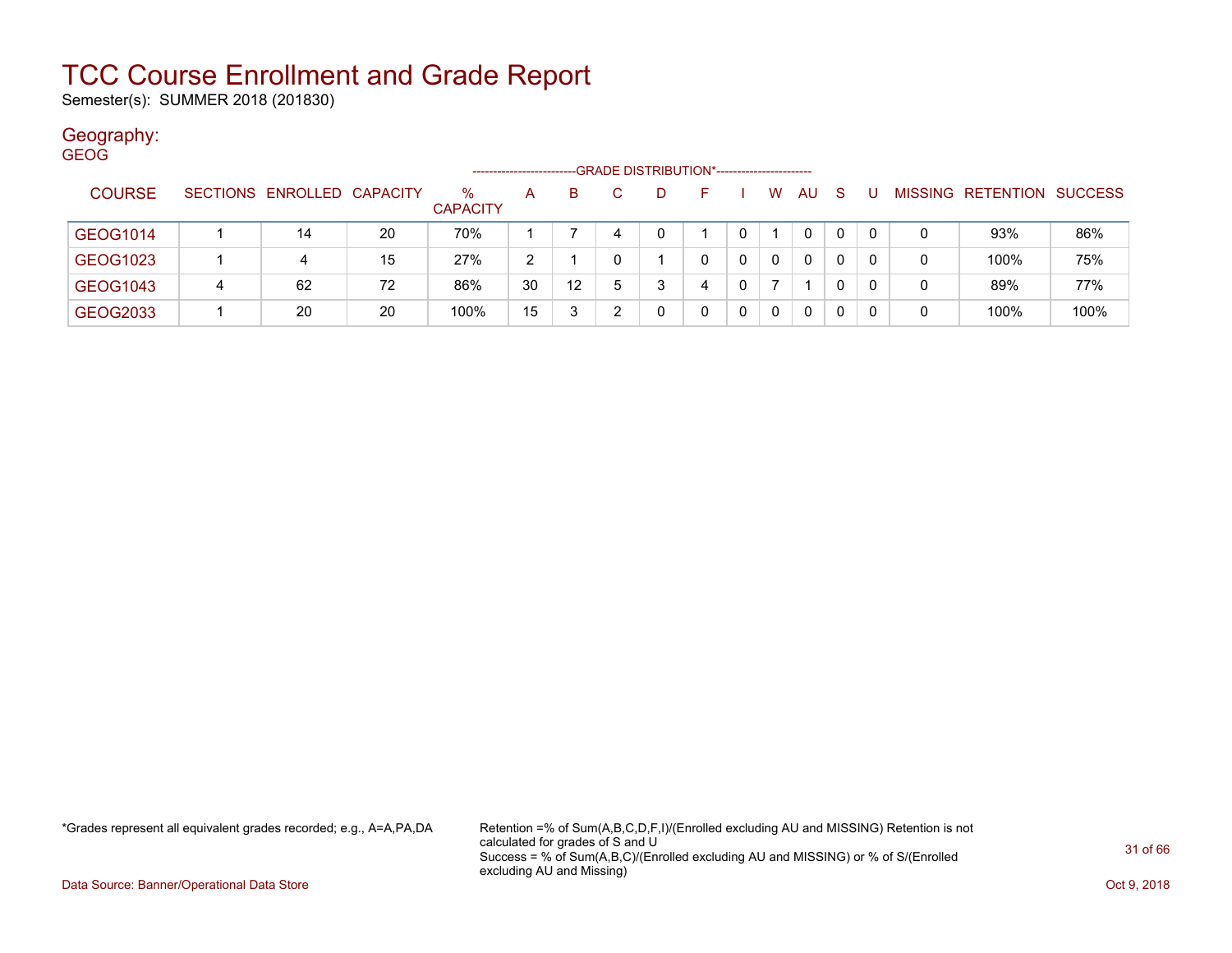Semester(s): SUMMER 2018 (201830)

#### Geography:

| <b>GEOG</b>   |   |                            |    |                      |    |                   |   | -GRADE DISTRIBUTION*---------------------- |   |             |              |              |   |                   |                |
|---------------|---|----------------------------|----|----------------------|----|-------------------|---|--------------------------------------------|---|-------------|--------------|--------------|---|-------------------|----------------|
| <b>COURSE</b> |   | SECTIONS ENROLLED CAPACITY |    | %<br><b>CAPACITY</b> | A  | B.                | D | F.                                         |   | W           | AU           | -S           |   | MISSING RETENTION | <b>SUCCESS</b> |
| GEOG1014      |   | 14                         | 20 | 70%                  |    |                   |   |                                            |   |             | $\mathbf{0}$ | $\mathbf{0}$ |   | 93%               | 86%            |
| GEOG1023      |   | 4                          | 15 | 27%                  | 2  |                   |   |                                            | 0 | 0           | $\Omega$     | 0            | 0 | 100%              | 75%            |
| GEOG1043      | 4 | 62                         | 72 | 86%                  | 30 | $12 \overline{ }$ | 3 | 4                                          |   |             |              | 0            | 0 | 89%               | 77%            |
| GEOG2033      |   | 20                         | 20 | 100%                 | 15 | 3                 |   |                                            | 0 | $\mathbf 0$ | $\Omega$     | 0            | 0 | 100%              | 100%           |

\*Grades represent all equivalent grades recorded; e.g., A=A,PA,DA Retention =% of Sum(A,B,C,D,F,I)/(Enrolled excluding AU and MISSING) Retention is not calculated for grades of S and U Success = % of Sum(A,B,C)/(Enrolled excluding AU and MISSING) or % of S/(Enrolled excluding AU and Missing)

Data Source: Banner/Operational Data Store Content of the Content of Content of the Content of the Content of the Content of the Content of the Content of the Content of the Content of the Content of the Content of the Con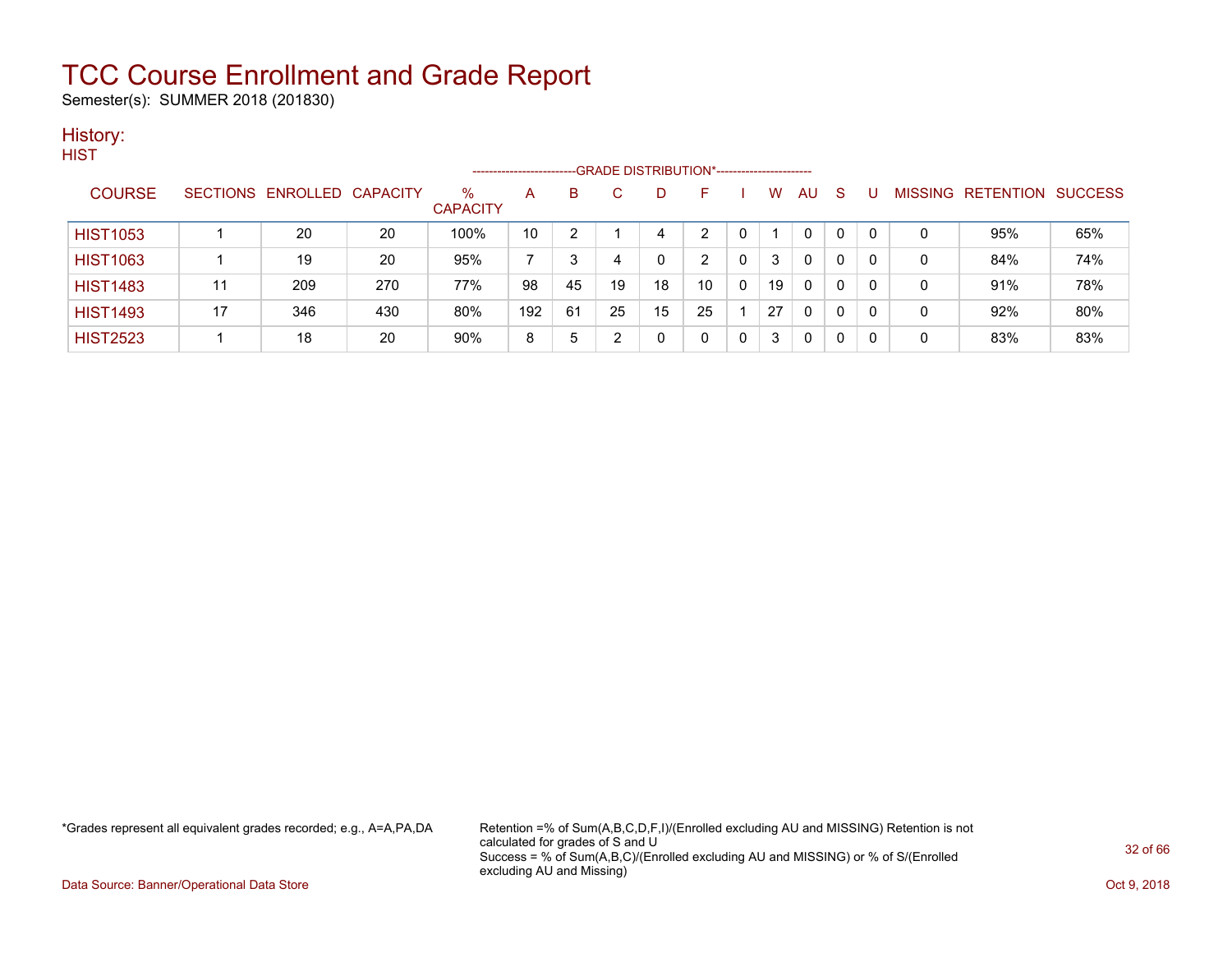Semester(s): SUMMER 2018 (201830)

#### History: **HIST**

|                 |    |                   |          |                      | -------------------- |    |    | -GRADE DISTRIBUTION*----------------------- |    |              |    |          |          |              |              |                          |                |
|-----------------|----|-------------------|----------|----------------------|----------------------|----|----|---------------------------------------------|----|--------------|----|----------|----------|--------------|--------------|--------------------------|----------------|
| <b>COURSE</b>   |    | SECTIONS ENROLLED | CAPACITY | %<br><b>CAPACITY</b> | A                    | в  | C. | D                                           | ⊢  |              | W  | AU       | S.       |              |              | <b>MISSING RETENTION</b> | <b>SUCCESS</b> |
| <b>HIST1053</b> |    | 20                | 20       | 100%                 | 10                   |    |    | 4                                           |    | 0            |    | $\Omega$ | $\Omega$ | $\mathbf{0}$ | $\mathbf{0}$ | 95%                      | 65%            |
| <b>HIST1063</b> |    | 19                | 20       | 95%                  |                      | 3  | 4  |                                             |    | 0            | 3  | $\Omega$ | $\Omega$ | 0            | $\mathbf{0}$ | 84%                      | 74%            |
| <b>HIST1483</b> | 11 | 209               | 270      | 77%                  | 98                   | 45 | 19 | 18                                          | 10 | $\mathbf{0}$ | 19 | $\Omega$ | $\Omega$ | 0            | $\mathbf{0}$ | 91%                      | 78%            |
| <b>HIST1493</b> | 17 | 346               | 430      | 80%                  | 192                  | 61 | 25 | 15                                          | 25 |              | 27 | $\Omega$ | $\Omega$ | 0            | 0            | 92%                      | 80%            |
| <b>HIST2523</b> |    | 18                | 20       | 90%                  | 8                    | 5  | າ  |                                             |    | 0            | 3  | $\Omega$ | $\Omega$ | 0            | 0            | 83%                      | 83%            |

\*Grades represent all equivalent grades recorded; e.g., A=A,PA,DA Retention =% of Sum(A,B,C,D,F,I)/(Enrolled excluding AU and MISSING) Retention is not calculated for grades of S and U Success = % of Sum(A,B,C)/(Enrolled excluding AU and MISSING) or % of S/(Enrolled excluding AU and Missing)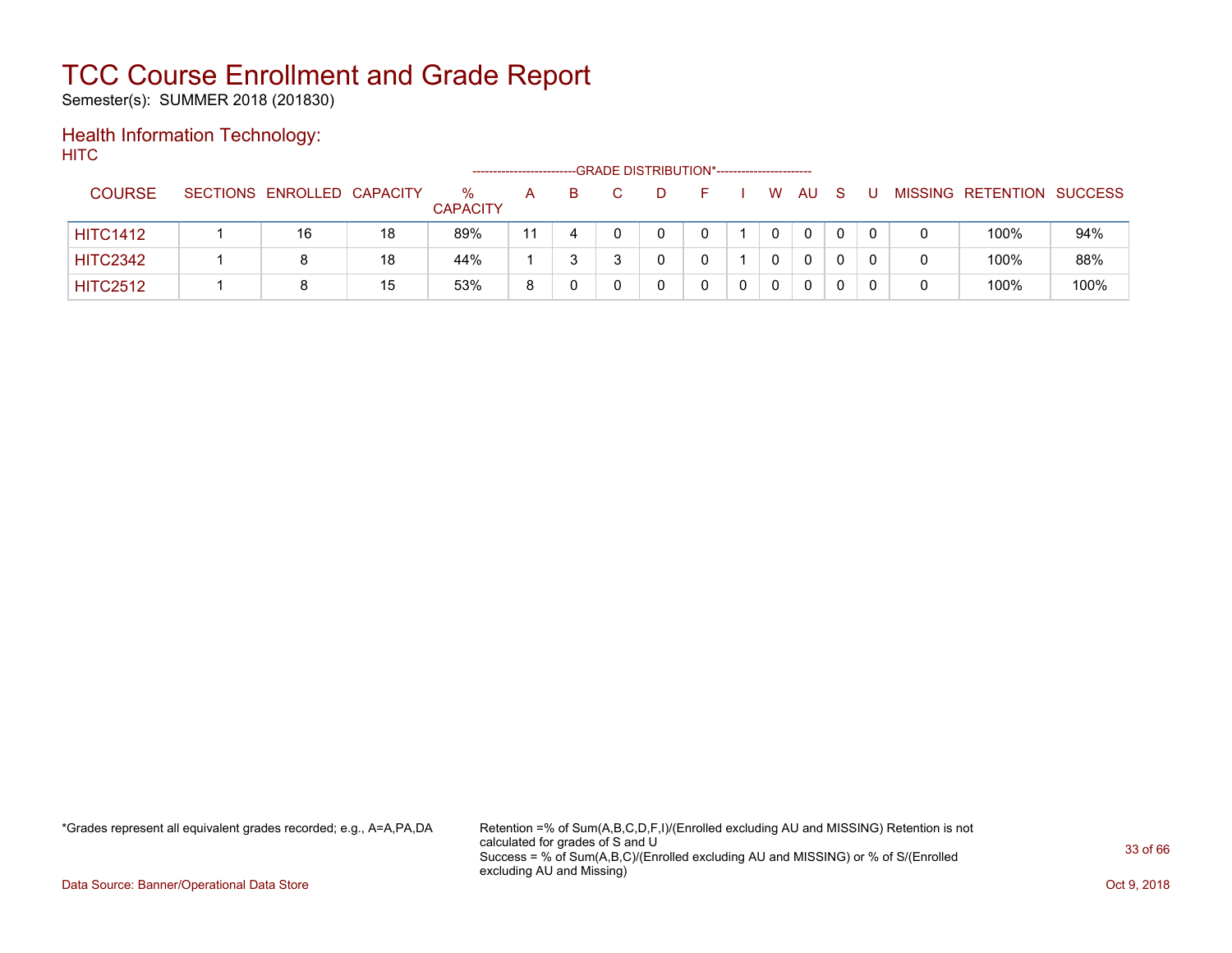Semester(s): SUMMER 2018 (201830)

#### Health Information Technology: **HITC**

|                 |                            |    | -----------------       |   |    | -GRADE DISTRIBUTION*----------------------- |  |    |    |  |                           |      |
|-----------------|----------------------------|----|-------------------------|---|----|---------------------------------------------|--|----|----|--|---------------------------|------|
| <b>COURSE</b>   | SECTIONS ENROLLED CAPACITY |    | $\%$<br><b>CAPACITY</b> | А | B. |                                             |  | W. | AU |  | MISSING RETENTION SUCCESS |      |
| <b>HITC1412</b> | 16                         | 18 | 89%                     |   | 4  |                                             |  |    | 0  |  | 100%                      | 94%  |
| <b>HITC2342</b> |                            | 18 | 44%                     |   |    |                                             |  |    | 0  |  | 100%                      | 88%  |
| <b>HITC2512</b> |                            | 15 | 53%                     | 8 |    |                                             |  |    | 0  |  | 100%                      | 100% |

\*Grades represent all equivalent grades recorded; e.g., A=A,PA,DA Retention =% of Sum(A,B,C,D,F,I)/(Enrolled excluding AU and MISSING) Retention is not calculated for grades of S and U Success = % of Sum(A,B,C)/(Enrolled excluding AU and MISSING) or % of S/(Enrolled excluding AU and Missing)

Data Source: Banner/Operational Data Store Content of the Content of Content of the Content of the Content of the Content of the Content of the Content of the Content of the Content of the Content of the Content of the Con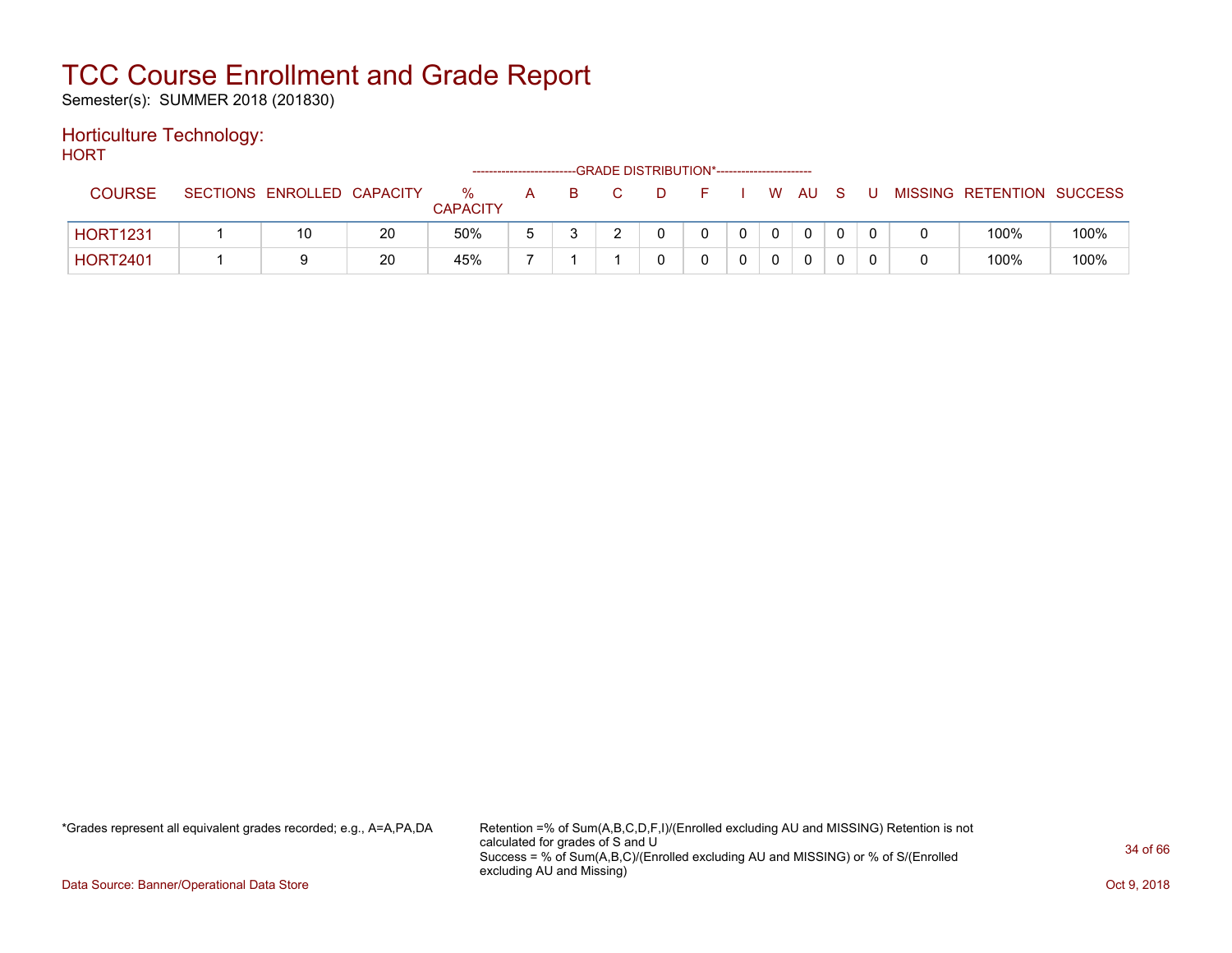Semester(s): SUMMER 2018 (201830)

#### Horticulture Technology: **HORT**

| ורושו           |                            |    |                      |   |     |     | -GRADE DISTRIBUTION*----------------------- |  |              |    |                           |      |
|-----------------|----------------------------|----|----------------------|---|-----|-----|---------------------------------------------|--|--------------|----|---------------------------|------|
| <b>COURSE</b>   | SECTIONS ENROLLED CAPACITY |    | %<br><b>CAPACITY</b> | A | - B | D F |                                             |  | . WAUS       | U. | MISSING RETENTION SUCCESS |      |
| <b>HORT1231</b> | 10                         | 20 | 50%                  |   |     |     |                                             |  | $\mathbf{0}$ |    | 100%                      | 100% |
| <b>HORT2401</b> |                            | 20 | 45%                  |   |     |     |                                             |  |              |    | 100%                      | 100% |

\*Grades represent all equivalent grades recorded; e.g., A=A,PA,DA Retention =% of Sum(A,B,C,D,F,I)/(Enrolled excluding AU and MISSING) Retention is not calculated for grades of S and U Success = % of Sum(A,B,C)/(Enrolled excluding AU and MISSING) or % of S/(Enrolled excluding AU and Missing)

Data Source: Banner/Operational Data Store Content of the Content of Content of the Content of the Content of the Content of the Content of the Content of the Content of the Content of the Content of the Content of the Con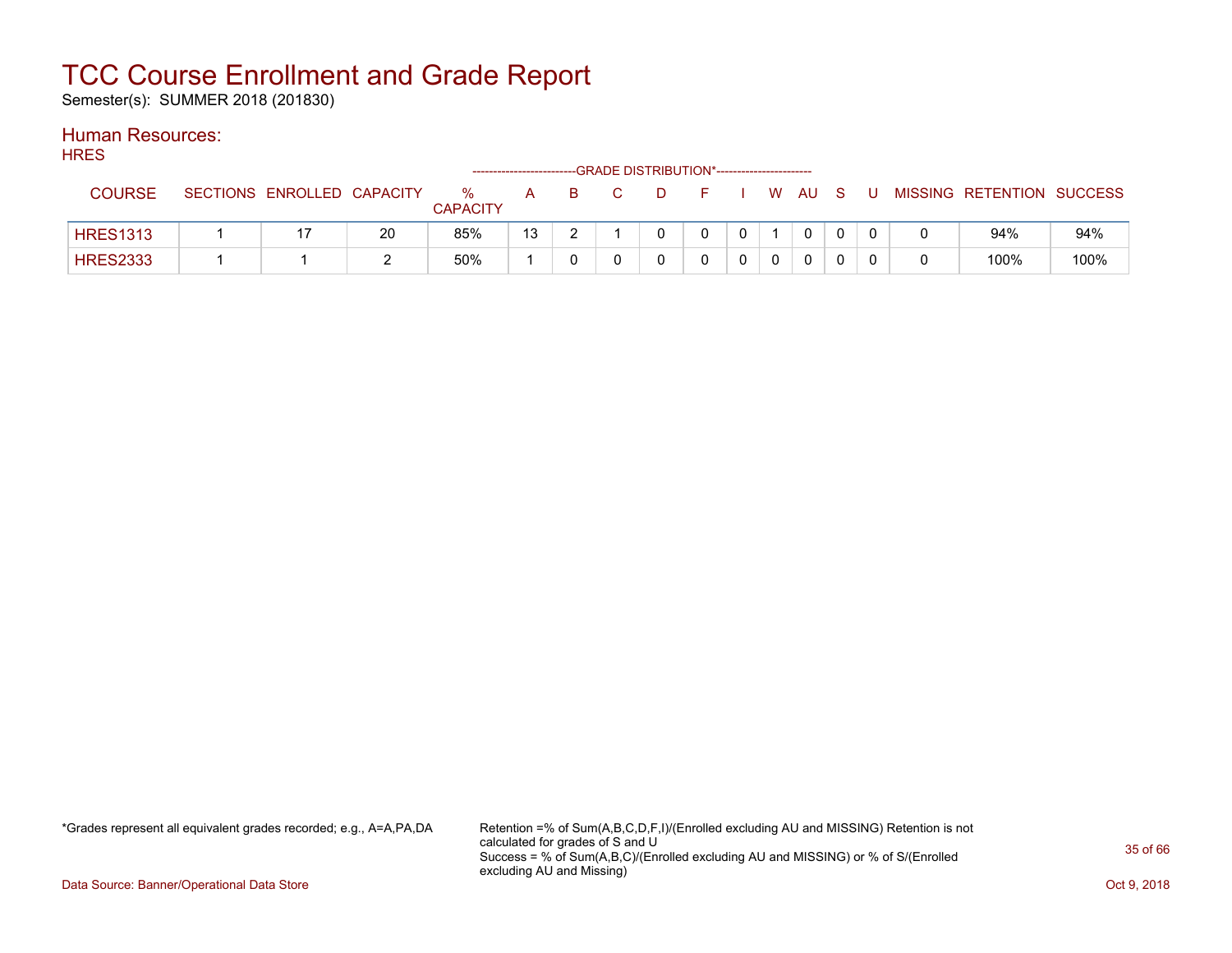Semester(s): SUMMER 2018 (201830)

#### Human Resources: **HDES**

| ט∟חו            |                            |    |                      | ----------------------- |    |                                   | --GRADE DISTRIBUTION*----------------------- |     |  |              |     |                           |      |
|-----------------|----------------------------|----|----------------------|-------------------------|----|-----------------------------------|----------------------------------------------|-----|--|--------------|-----|---------------------------|------|
| <b>COURSE</b>   | SECTIONS ENROLLED CAPACITY |    | %<br><b>CAPACITY</b> | A                       | -B | $\cdot$ . C $\cdot$ . The $\cdot$ | <b>D</b>                                     | E I |  | W AU S       | - U | MISSING RETENTION SUCCESS |      |
| <b>HRES1313</b> |                            | 20 | 85%                  | 13                      |    |                                   |                                              |     |  | $\mathbf{0}$ |     | 94%                       | 94%  |
| <b>HRES2333</b> |                            |    | 50%                  |                         |    |                                   |                                              |     |  | 0            |     | 100%                      | 100% |

\*Grades represent all equivalent grades recorded; e.g., A=A,PA,DA Retention =% of Sum(A,B,C,D,F,I)/(Enrolled excluding AU and MISSING) Retention is not calculated for grades of S and U Success = % of Sum(A,B,C)/(Enrolled excluding AU and MISSING) or % of S/(Enrolled excluding AU and Missing)

Data Source: Banner/Operational Data Store Content of the Content of Content of the Content of the Content of the Content of the Content of the Content of the Content of the Content of the Content of the Content of the Con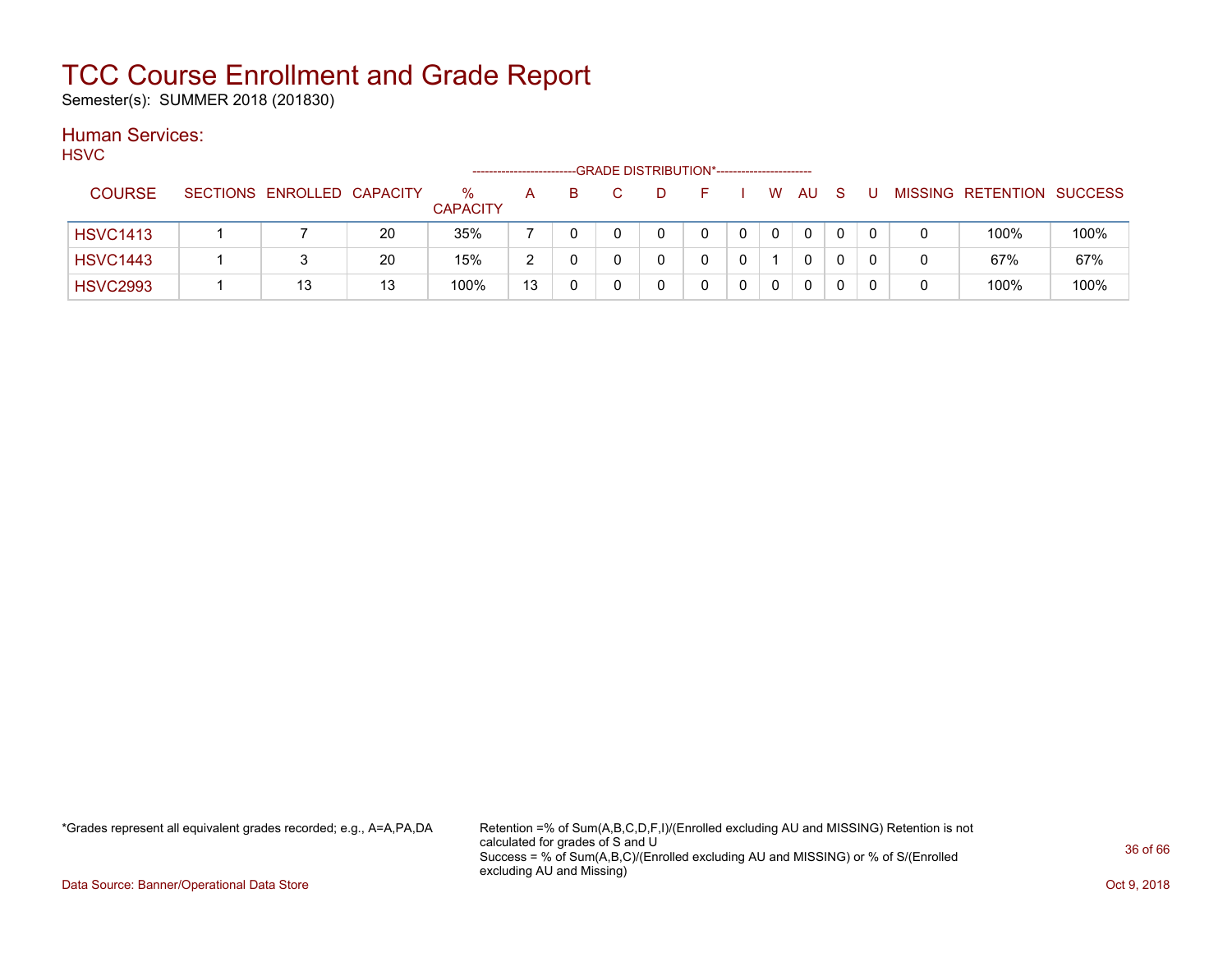Semester(s): SUMMER 2018 (201830)

#### Human Services: HSVC

| .               |                            |    | -------------------     |    |   | -GRADE DISTRIBUTION*----------------------- |   |   |    |   |  |                           |      |
|-----------------|----------------------------|----|-------------------------|----|---|---------------------------------------------|---|---|----|---|--|---------------------------|------|
| <b>COURSE</b>   | SECTIONS ENROLLED CAPACITY |    | $\%$<br><b>CAPACITY</b> | А  | B |                                             |   | W | AU |   |  | MISSING RETENTION SUCCESS |      |
| <b>HSVC1413</b> |                            | 20 | 35%                     |    |   | U.                                          | 0 |   | 0  |   |  | 100%                      | 100% |
| <b>HSVC1443</b> |                            | 20 | 15%                     | ◠  |   |                                             |   |   | 0  | 0 |  | 67%                       | 67%  |
| <b>HSVC2993</b> | 13                         | 13 | 100%                    | 13 |   |                                             |   |   | 0  |   |  | 100%                      | 100% |

\*Grades represent all equivalent grades recorded; e.g., A=A,PA,DA Retention =% of Sum(A,B,C,D,F,I)/(Enrolled excluding AU and MISSING) Retention is not calculated for grades of S and U Success = % of Sum(A,B,C)/(Enrolled excluding AU and MISSING) or % of S/(Enrolled excluding AU and Missing)

Data Source: Banner/Operational Data Store Content of the Content of Content of the Content of the Content of the Content of the Content of the Content of the Content of the Content of the Content of the Content of the Con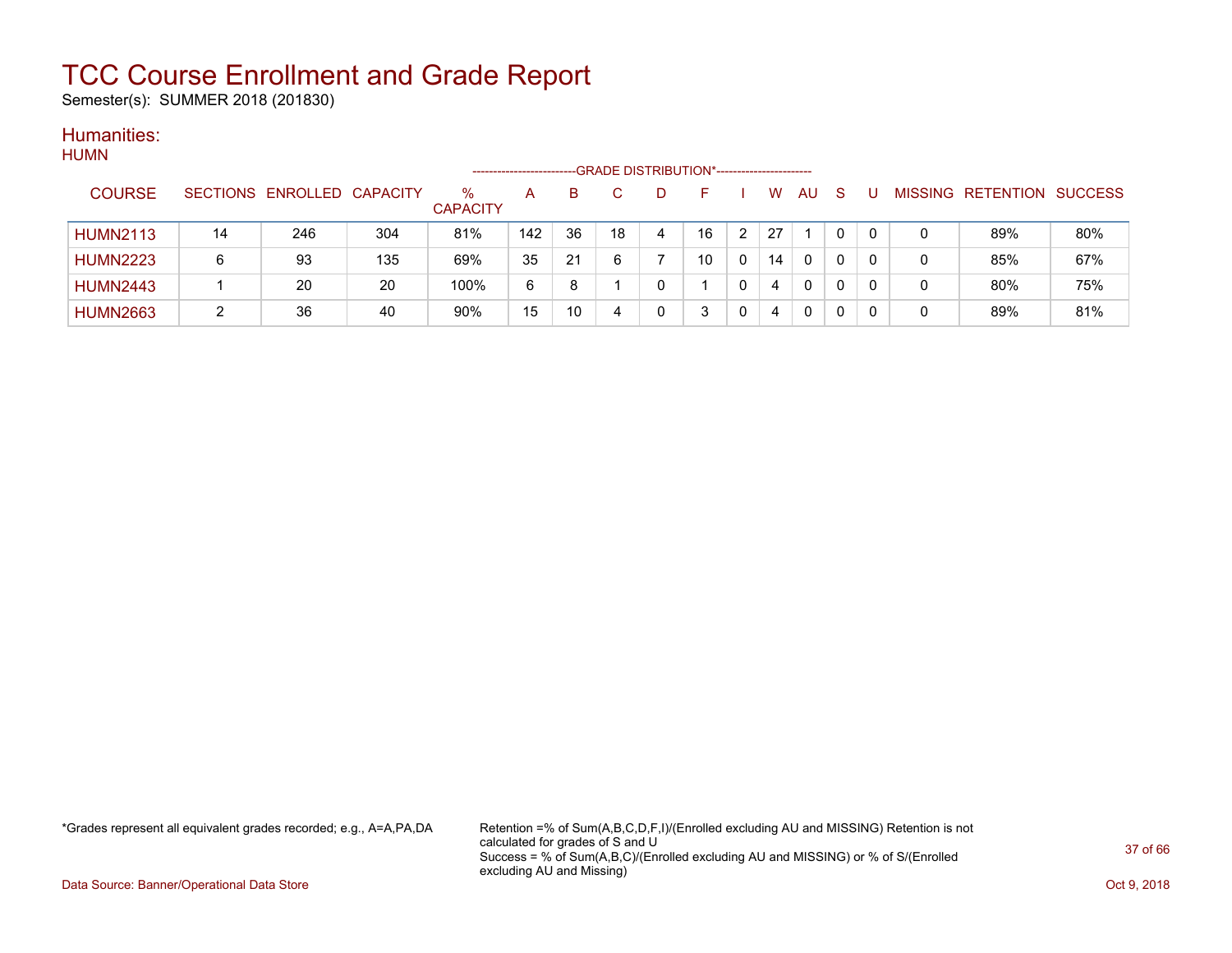Semester(s): SUMMER 2018 (201830)

#### Humanities: HUM<sub>N</sub>

| .               |    |                            |     |                         | ---------------------- |    |    | -GRADE DISTRIBUTION*----------------------- |    |    |              |              |   |                           |     |
|-----------------|----|----------------------------|-----|-------------------------|------------------------|----|----|---------------------------------------------|----|----|--------------|--------------|---|---------------------------|-----|
| <b>COURSE</b>   |    | SECTIONS ENROLLED CAPACITY |     | $\%$<br><b>CAPACITY</b> | A                      | B  |    | D                                           |    | W  | AU           | <sub>S</sub> |   | MISSING RETENTION SUCCESS |     |
| <b>HUMN2113</b> | 14 | 246                        | 304 | 81%                     | 142                    | 36 | 18 | 4                                           | 16 | 27 |              |              |   | 89%                       | 80% |
| <b>HUMN2223</b> | 6  | 93                         | 135 | 69%                     | 35                     | 21 |    |                                             | 10 | 14 | $\mathbf{0}$ |              | 0 | 85%                       | 67% |
| <b>HUMN2443</b> |    | 20                         | 20  | 100%                    | 6                      | 8  |    | n                                           |    | 4  | $\mathbf{0}$ |              | 0 | 80%                       | 75% |
| <b>HUMN2663</b> | ົ  | 36                         | 40  | 90%                     | 15                     | 10 |    |                                             |    | 4  | 0            |              |   | 89%                       | 81% |

\*Grades represent all equivalent grades recorded; e.g., A=A,PA,DA Retention =% of Sum(A,B,C,D,F,I)/(Enrolled excluding AU and MISSING) Retention is not calculated for grades of S and U Success = % of Sum(A,B,C)/(Enrolled excluding AU and MISSING) or % of S/(Enrolled excluding AU and Missing)

Data Source: Banner/Operational Data Store Content of the Content of Content of the Content of the Content of the Content of the Content of the Content of the Content of the Content of the Content of the Content of the Con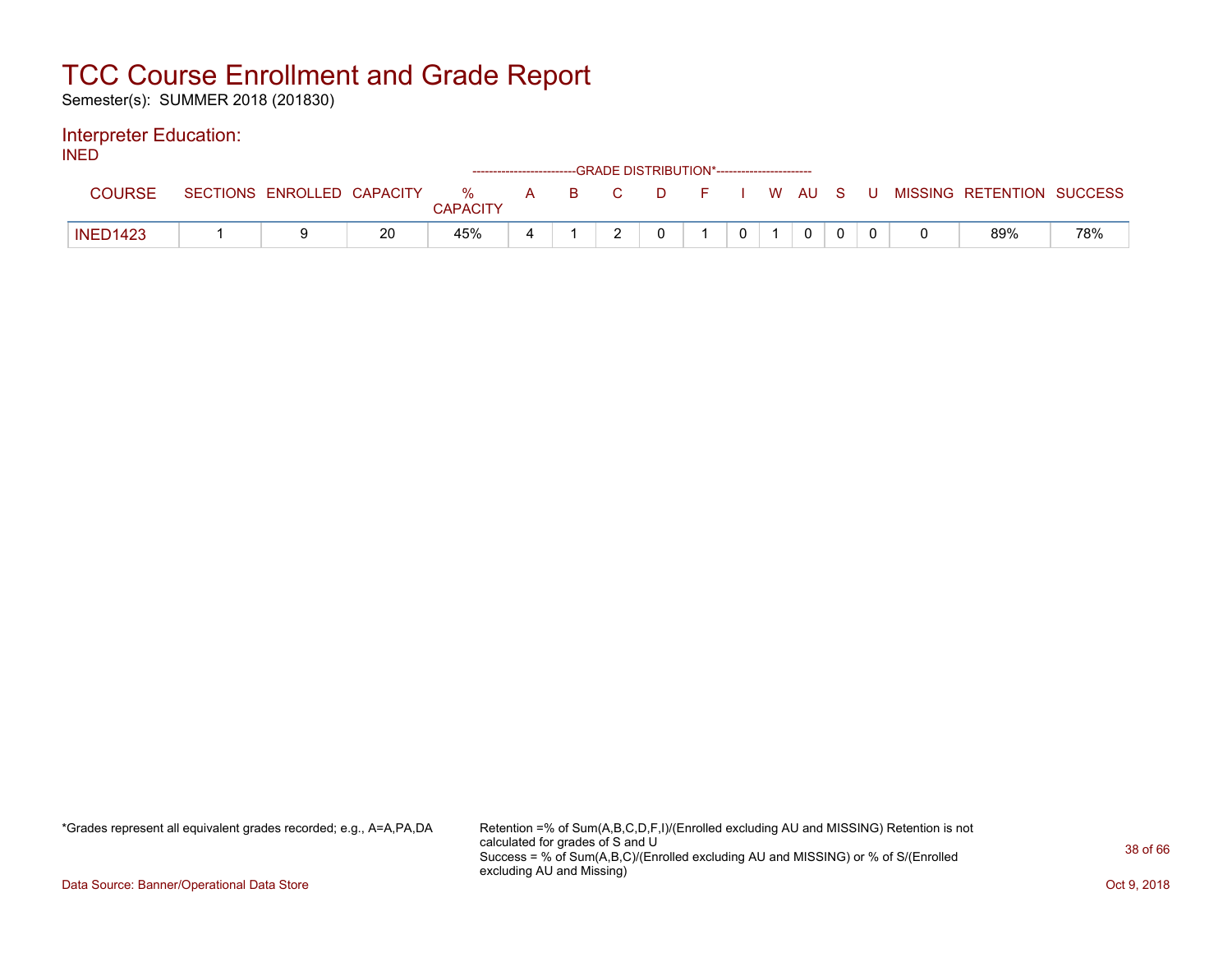Semester(s): SUMMER 2018 (201830)

#### Interpreter Education:

INED

|                 |                            |    |                      | ------------------------GRADE        DISTRIBUTION*----------------------- |          |          |  |      |    |   |                           |     |
|-----------------|----------------------------|----|----------------------|---------------------------------------------------------------------------|----------|----------|--|------|----|---|---------------------------|-----|
| <b>COURSE</b>   | SECTIONS ENROLLED CAPACITY |    | %<br><b>CAPACITY</b> | A B C                                                                     | <b>D</b> | i Filmon |  | W AU | S. | U | MISSING RETENTION SUCCESS |     |
| <b>INED1423</b> |                            | 20 | 45%                  |                                                                           |          |          |  | 0    |    |   | 89%                       | 78% |

\*Grades represent all equivalent grades recorded; e.g., A=A,PA,DA Retention =% of Sum(A,B,C,D,F,I)/(Enrolled excluding AU and MISSING) Retention is not calculated for grades of S and U Success = % of Sum(A,B,C)/(Enrolled excluding AU and MISSING) or % of S/(Enrolled excluding AU and Missing)

Data Source: Banner/Operational Data Store Content of the Content of Content of the Content of the Content of the Content of the Content of the Content of the Content of the Content of the Content of the Content of the Con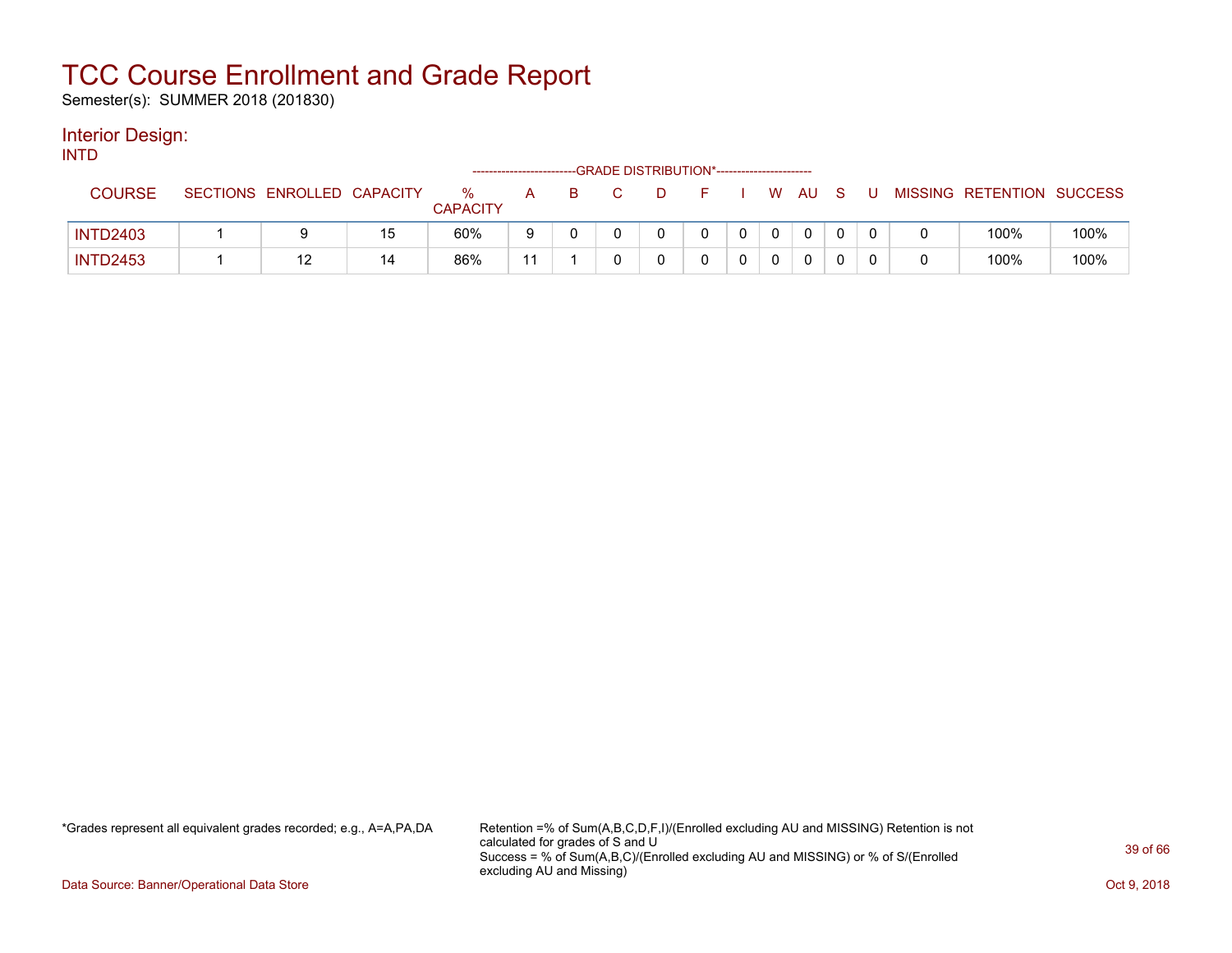Semester(s): SUMMER 2018 (201830)

#### Interior Design: INTD

| <sub>"</sub>    |                            |    |                      |   |   | -GRADE DISTRIBUTION*----------------------- |  |        |     |                           |      |
|-----------------|----------------------------|----|----------------------|---|---|---------------------------------------------|--|--------|-----|---------------------------|------|
| <b>COURSE</b>   | SECTIONS ENROLLED CAPACITY |    | %<br><b>CAPACITY</b> | A | B | D.                                          |  | I W AU | . U | MISSING RETENTION SUCCESS |      |
| <b>INTD2403</b> |                            | 15 | 60%                  |   |   |                                             |  | 0      |     | 100%                      | 100% |
| <b>INTD2453</b> | 12                         | 14 | 86%                  |   |   |                                             |  | 0      |     | 100%                      | 100% |

\*Grades represent all equivalent grades recorded; e.g., A=A,PA,DA Retention =% of Sum(A,B,C,D,F,I)/(Enrolled excluding AU and MISSING) Retention is not calculated for grades of S and U Success = % of Sum(A,B,C)/(Enrolled excluding AU and MISSING) or % of S/(Enrolled excluding AU and Missing)

Data Source: Banner/Operational Data Store Content of the Content of Content of the Content of the Content of the Content of the Content of the Content of the Content of the Content of the Content of the Content of the Con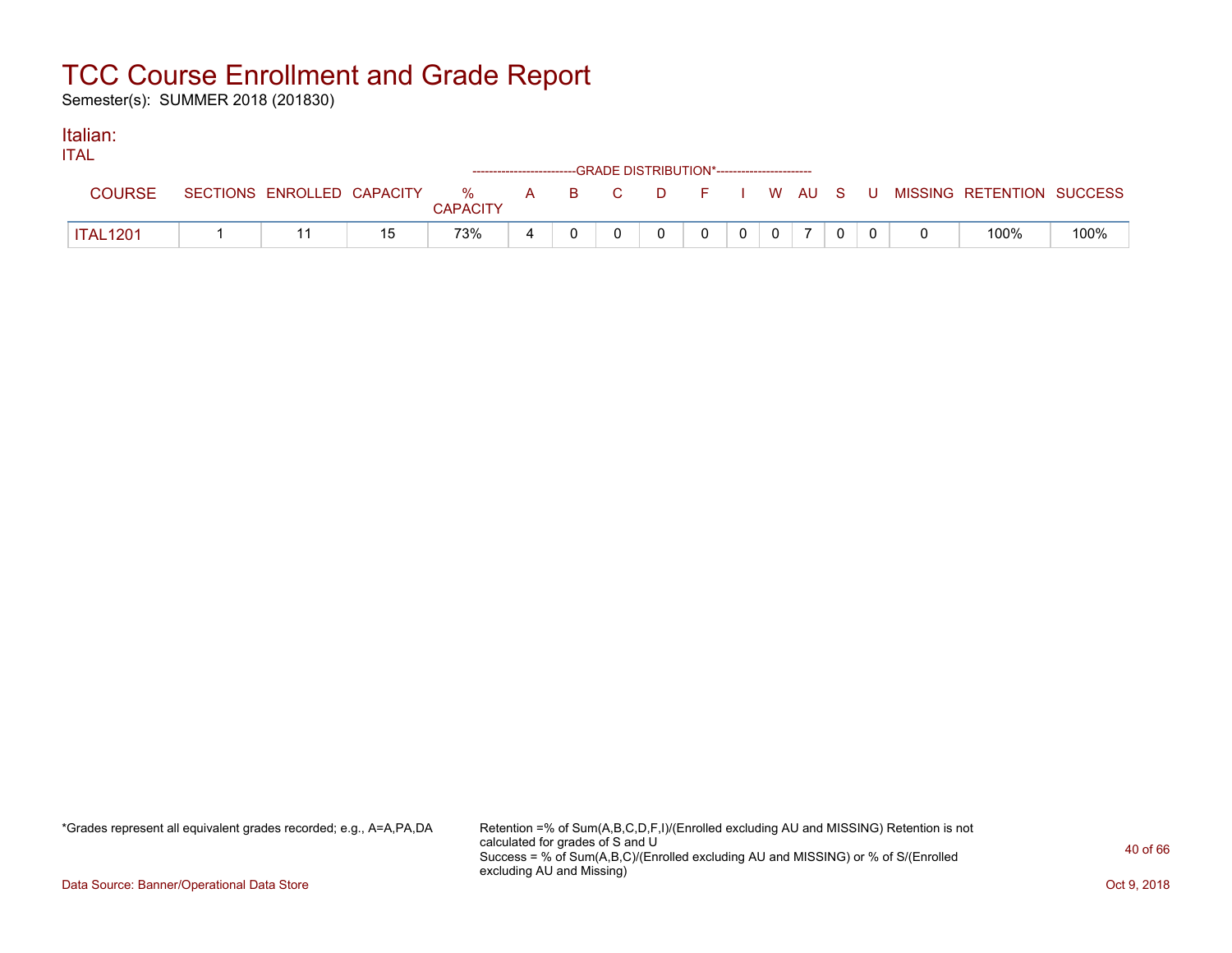Semester(s): SUMMER 2018 (201830)

#### Italian: ITAL

| IIAL            |                            |    |                      | ------------------------GRADE DISTRIBUTION*----------------------- |        |  |             |         |  |                           |      |
|-----------------|----------------------------|----|----------------------|--------------------------------------------------------------------|--------|--|-------------|---------|--|---------------------------|------|
| <b>COURSE</b>   | SECTIONS ENROLLED CAPACITY |    | %<br><b>CAPACITY</b> | A B C                                                              | $\Box$ |  |             | I WAUSU |  | MISSING RETENTION SUCCESS |      |
| <b>ITAL1201</b> |                            | 15 | 73%                  |                                                                    |        |  | $\mathbf 0$ |         |  | 100%                      | 100% |

\*Grades represent all equivalent grades recorded; e.g., A=A,PA,DA Retention =% of Sum(A,B,C,D,F,I)/(Enrolled excluding AU and MISSING) Retention is not calculated for grades of S and U Success = % of Sum(A,B,C)/(Enrolled excluding AU and MISSING) or % of S/(Enrolled excluding AU and Missing)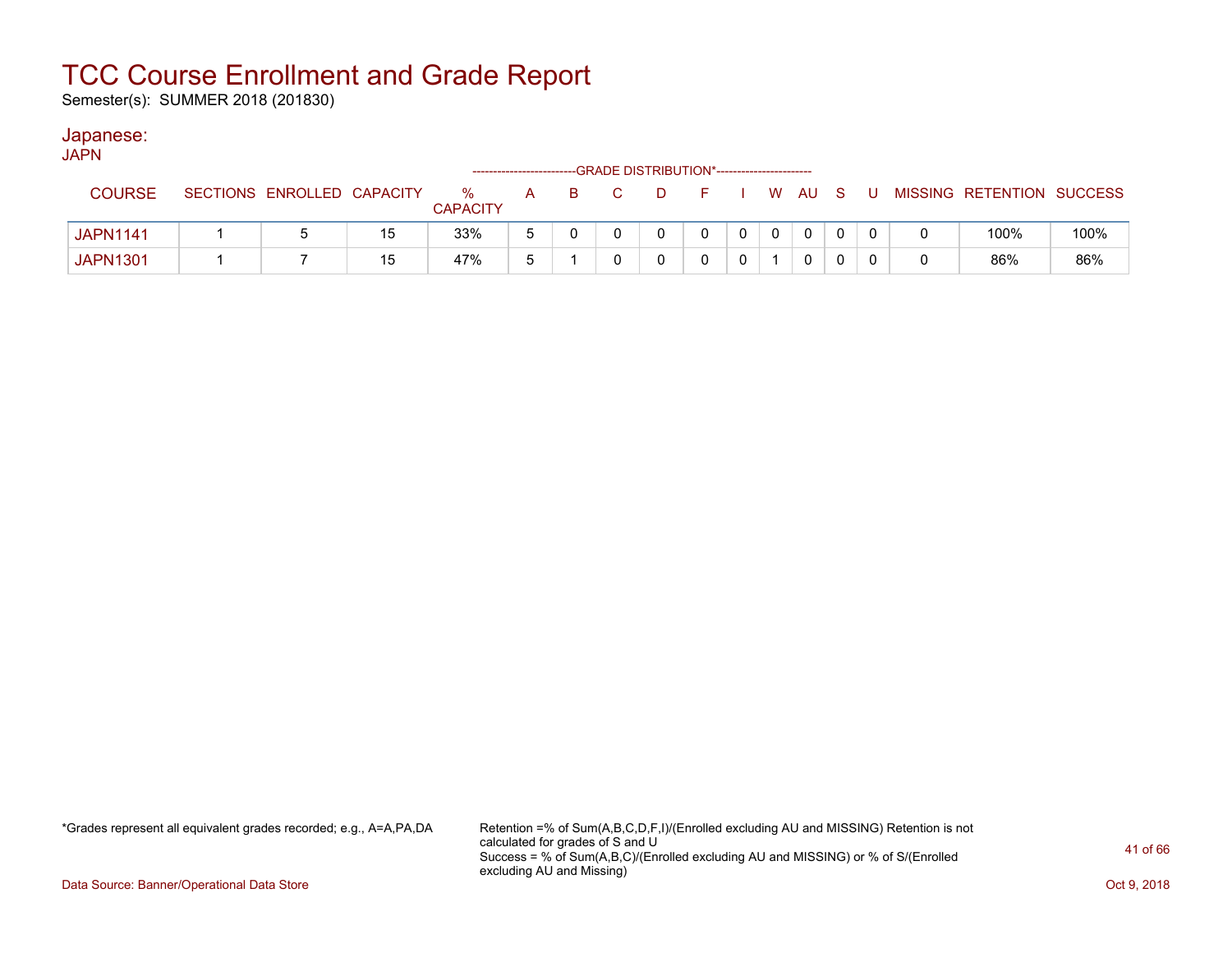Semester(s): SUMMER 2018 (201830)

#### Japanese:

| JAPN            |                            |    |                         |              |    |                                             |    |    |  |             |     |                           |      |
|-----------------|----------------------------|----|-------------------------|--------------|----|---------------------------------------------|----|----|--|-------------|-----|---------------------------|------|
|                 |                            |    |                         |              |    | -GRADE DISTRIBUTION*----------------------- |    |    |  |             |     |                           |      |
| <b>COURSE</b>   | SECTIONS ENROLLED CAPACITY |    | $\%$<br><b>CAPACITY</b> | $\mathsf{A}$ | B. |                                             | D. | E. |  | I WAUS      | . U | MISSING RETENTION SUCCESS |      |
| <b>JAPN1141</b> |                            | 15 | 33%                     | ა            |    |                                             |    |    |  | $\mathbf 0$ |     | 100%                      | 100% |
| <b>JAPN1301</b> |                            | 15 | 47%                     |              |    |                                             |    |    |  | 0           |     | 86%                       | 86%  |

\*Grades represent all equivalent grades recorded; e.g., A=A,PA,DA Retention =% of Sum(A,B,C,D,F,I)/(Enrolled excluding AU and MISSING) Retention is not calculated for grades of S and U Success = % of Sum(A,B,C)/(Enrolled excluding AU and MISSING) or % of S/(Enrolled excluding AU and Missing)

Data Source: Banner/Operational Data Store Content of the Content of Content of the Content of the Content of the Content of the Content of the Content of the Content of the Content of the Content of the Content of the Con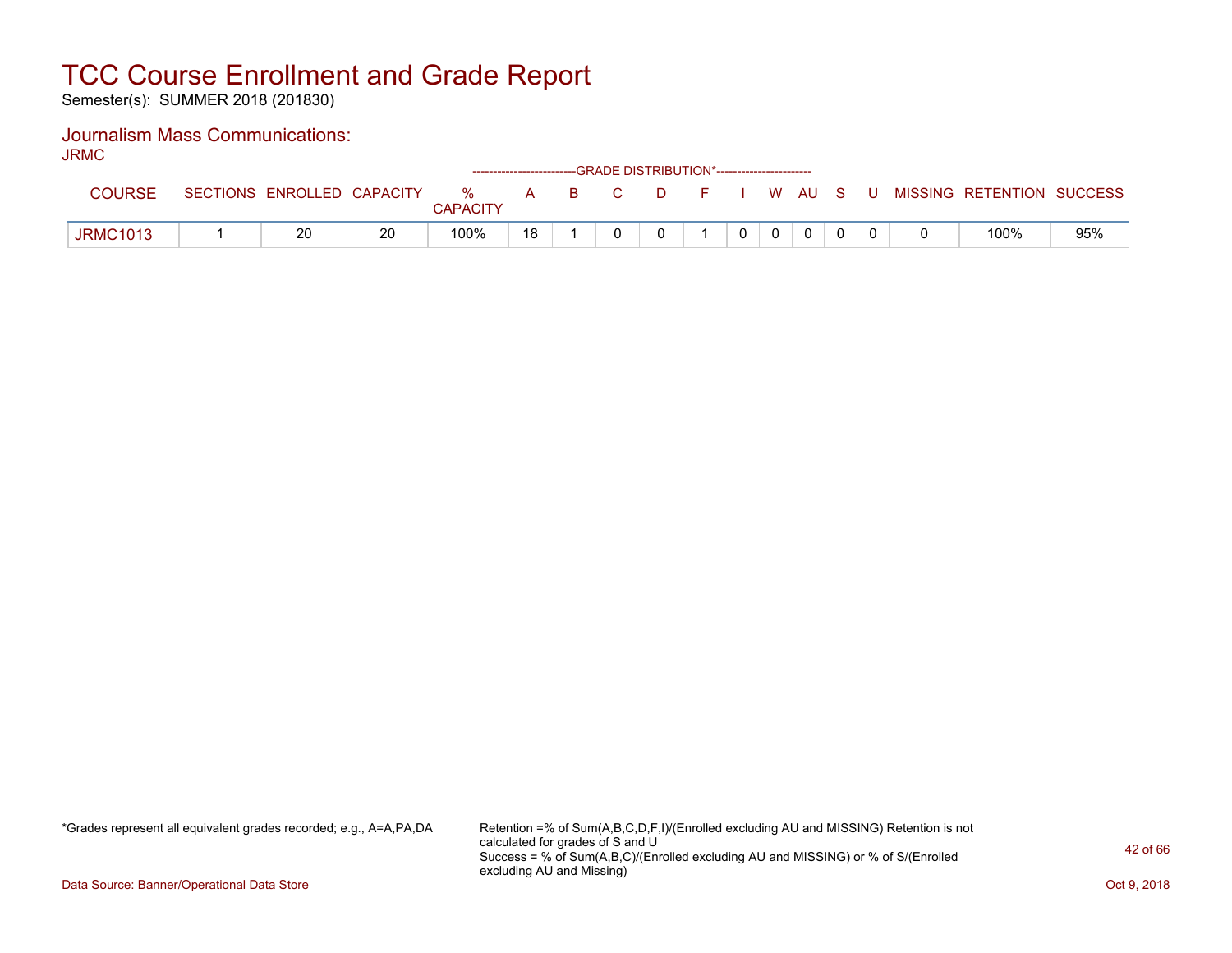Semester(s): SUMMER 2018 (201830)

#### Journalism Mass Communications:

JRMC ---GRADE DISTRIBUTION\*------------------------COURSE SECTIONS ENROLLED CAPACITY % **CAPACITY** A B C D F I W AU S U MISSING RETENTION SUCCESS

| <b>JRMC1013</b> | $\sim$<br>∠∪ | 20 | 100% | 18 |  |  |  | . . |  | 100% | 95% |
|-----------------|--------------|----|------|----|--|--|--|-----|--|------|-----|

\*Grades represent all equivalent grades recorded; e.g., A=A,PA,DA Retention =% of Sum(A,B,C,D,F,I)/(Enrolled excluding AU and MISSING) Retention is not calculated for grades of S and U Success = % of Sum(A,B,C)/(Enrolled excluding AU and MISSING) or % of S/(Enrolled excluding AU and Missing)

Data Source: Banner/Operational Data Store **Contract Contract Contract Contract Contract Contract Contract Contract Contract Contract Contract Oct 9, 2018**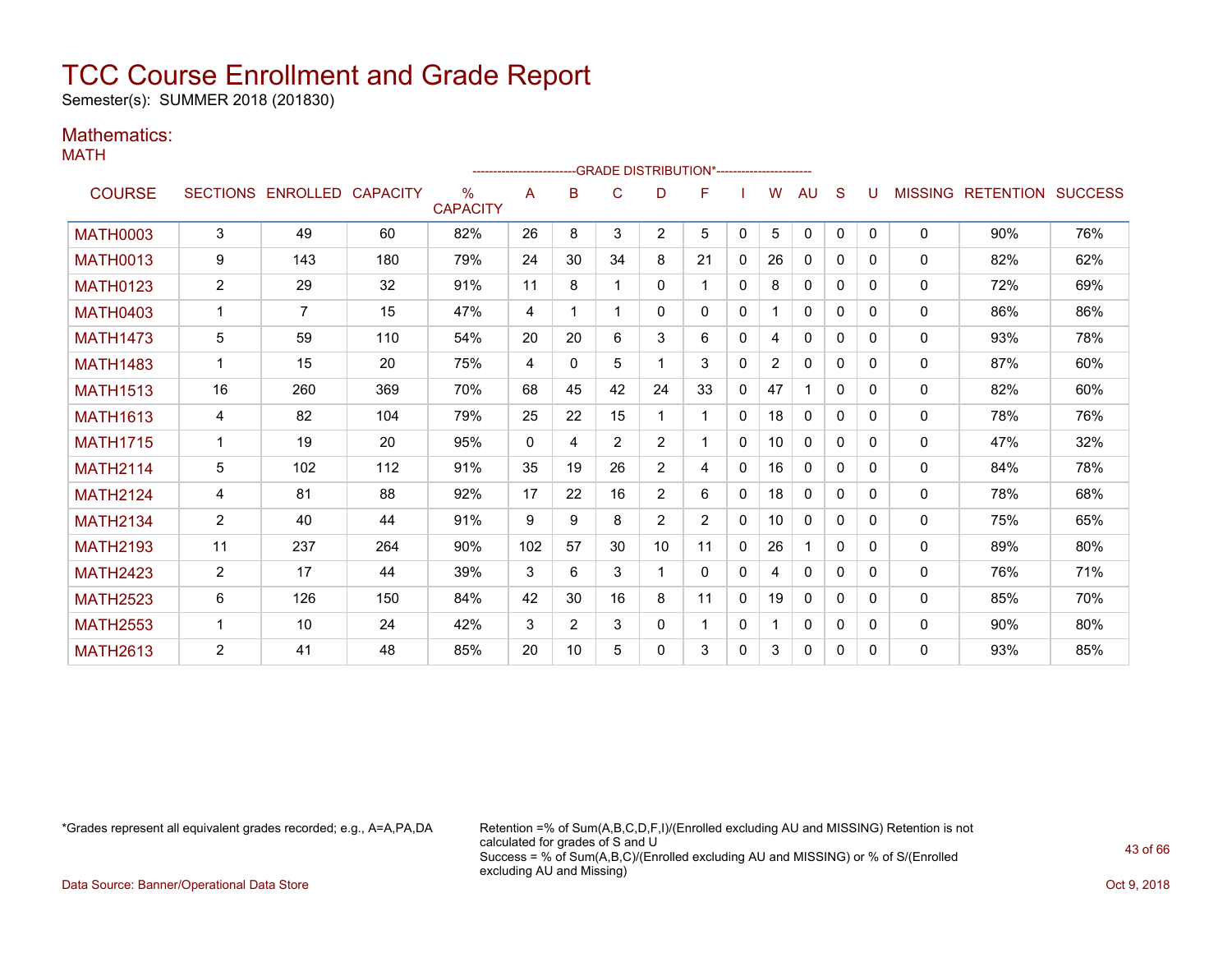Semester(s): SUMMER 2018 (201830)

#### Mathematics:

MATH

|                 |                |                   |                 |                         | ------------------------ |                |                |                | --GRADE DISTRIBUTION*----------------------- |              |                |              |          |          |                |                          |     |
|-----------------|----------------|-------------------|-----------------|-------------------------|--------------------------|----------------|----------------|----------------|----------------------------------------------|--------------|----------------|--------------|----------|----------|----------------|--------------------------|-----|
| <b>COURSE</b>   |                | SECTIONS ENROLLED | <b>CAPACITY</b> | $\%$<br><b>CAPACITY</b> | A                        | B              | C              | D              | F                                            |              | w              | AU           | S        |          | <b>MISSING</b> | <b>RETENTION SUCCESS</b> |     |
| <b>MATH0003</b> | 3              | 49                | 60              | 82%                     | 26                       | 8              | 3              | $\overline{2}$ | 5                                            | $\Omega$     | 5              | $\Omega$     | $\Omega$ | $\Omega$ | 0              | 90%                      | 76% |
| <b>MATH0013</b> | 9              | 143               | 180             | 79%                     | 24                       | 30             | 34             | 8              | 21                                           | $\Omega$     | 26             | $\mathbf{0}$ | $\Omega$ | $\Omega$ | $\Omega$       | 82%                      | 62% |
| <b>MATH0123</b> | $\overline{2}$ | 29                | 32              | 91%                     | 11                       | 8              |                | 0              | 1                                            | $\Omega$     | 8              | $\mathbf{0}$ | $\Omega$ | $\Omega$ | $\Omega$       | 72%                      | 69% |
| <b>MATH0403</b> | 1              | $\overline{7}$    | 15              | 47%                     | 4                        |                |                | 0              | 0                                            | $\mathbf{0}$ |                | 0            | $\Omega$ | $\Omega$ | 0              | 86%                      | 86% |
| <b>MATH1473</b> | 5              | 59                | 110             | 54%                     | 20                       | 20             | 6              | 3              | 6                                            | $\Omega$     | 4              | 0            | 0        | 0        | 0              | 93%                      | 78% |
| <b>MATH1483</b> | $\mathbf{1}$   | 15                | 20              | 75%                     | 4                        | 0              | 5              |                | 3                                            | $\Omega$     | $\overline{2}$ | 0            | $\Omega$ | $\Omega$ | 0              | 87%                      | 60% |
| <b>MATH1513</b> | 16             | 260               | 369             | 70%                     | 68                       | 45             | 42             | 24             | 33                                           | $\mathbf{0}$ | 47             |              | $\Omega$ | 0        | 0              | 82%                      | 60% |
| <b>MATH1613</b> | 4              | 82                | 104             | 79%                     | 25                       | 22             | 15             |                | 1                                            | 0            | 18             | 0            | $\Omega$ | 0        | $\mathbf{0}$   | 78%                      | 76% |
| <b>MATH1715</b> |                | 19                | 20              | 95%                     | $\mathbf{0}$             | 4              | $\overline{2}$ | $\overline{2}$ |                                              | $\mathbf{0}$ | 10             | $\mathbf{0}$ | $\Omega$ | 0        | 0              | 47%                      | 32% |
| <b>MATH2114</b> | 5              | 102               | 112             | 91%                     | 35                       | 19             | 26             | $\overline{2}$ | 4                                            | $\mathbf{0}$ | 16             | $\mathbf{0}$ | $\Omega$ | 0        | 0              | 84%                      | 78% |
| <b>MATH2124</b> | 4              | 81                | 88              | 92%                     | 17                       | 22             | 16             | $\overline{2}$ | 6                                            | $\Omega$     | 18             | $\Omega$     | $\Omega$ | 0        | 0              | 78%                      | 68% |
| <b>MATH2134</b> | $\overline{2}$ | 40                | 44              | 91%                     | 9                        | 9              | 8              | $\overline{2}$ | $\overline{2}$                               | $\Omega$     | 10             | $\Omega$     | $\Omega$ | $\Omega$ | $\mathbf{0}$   | 75%                      | 65% |
| <b>MATH2193</b> | 11             | 237               | 264             | 90%                     | 102                      | 57             | 30             | 10             | 11                                           | $\Omega$     | 26             |              | $\Omega$ | $\Omega$ | $\mathbf{0}$   | 89%                      | 80% |
| <b>MATH2423</b> | $\overline{2}$ | 17                | 44              | 39%                     | 3                        | 6              | 3              |                | 0                                            | $\Omega$     | 4              | $\Omega$     | $\Omega$ | $\Omega$ | $\mathbf{0}$   | 76%                      | 71% |
| <b>MATH2523</b> | 6              | 126               | 150             | 84%                     | 42                       | 30             | 16             | 8              | 11                                           | $\Omega$     | 19             | $\mathbf{0}$ | $\Omega$ | $\Omega$ | $\Omega$       | 85%                      | 70% |
| <b>MATH2553</b> |                | 10                | 24              | 42%                     | 3                        | $\overline{2}$ | 3              | 0              | 1                                            | $\mathbf{0}$ |                | $\mathbf{0}$ | $\Omega$ | $\Omega$ | $\mathbf{0}$   | 90%                      | 80% |
| <b>MATH2613</b> | 2              | 41                | 48              | 85%                     | 20                       | 10             | 5              | 0              | 3                                            | 0            | 3              | 0            | 0        | 0        | 0              | 93%                      | 85% |

\*Grades represent all equivalent grades recorded; e.g., A=A,PA,DA Retention =% of Sum(A,B,C,D,F,I)/(Enrolled excluding AU and MISSING) Retention is not calculated for grades of S and U Success = % of Sum(A,B,C)/(Enrolled excluding AU and MISSING) or % of S/(Enrolled excluding AU and Missing)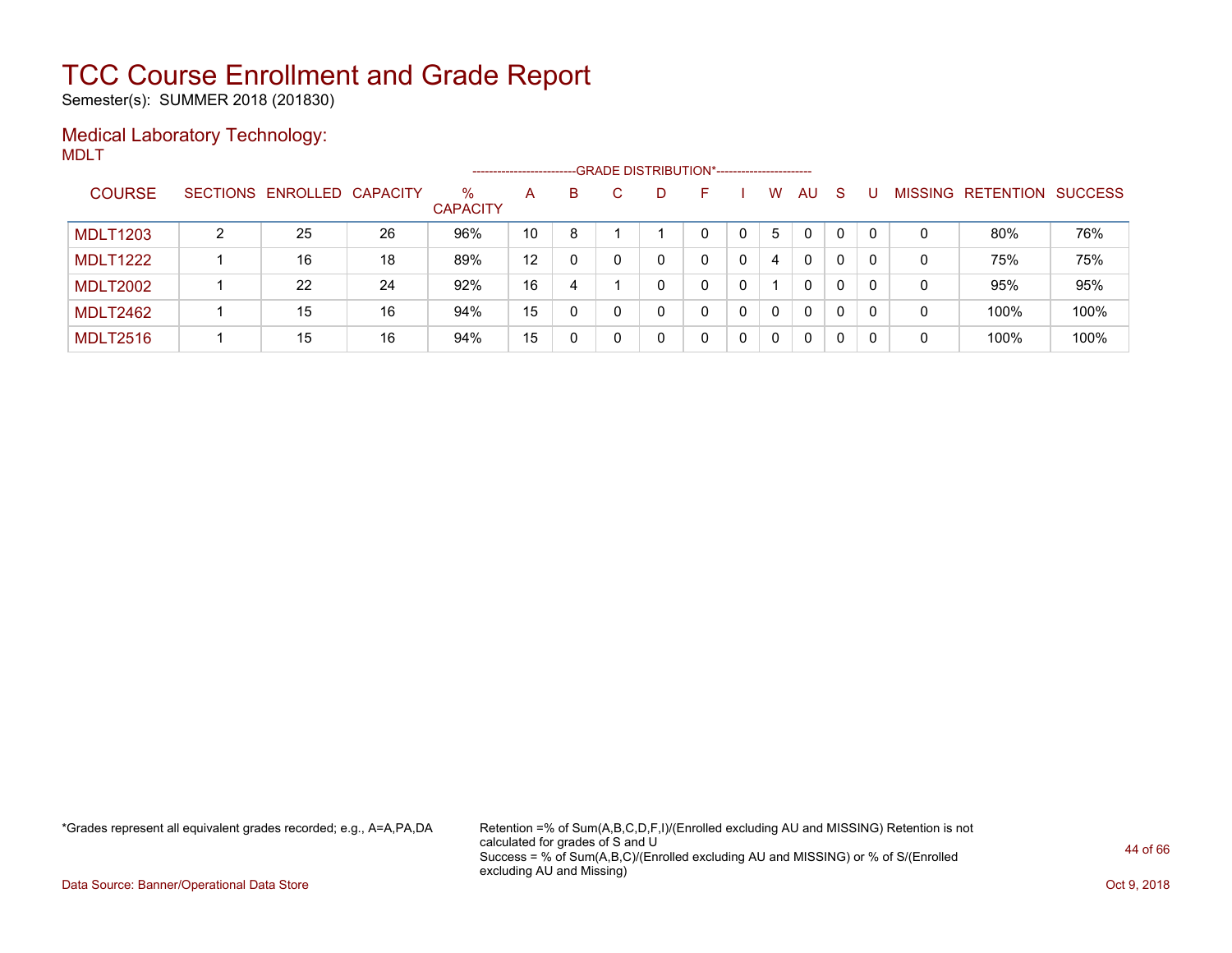Semester(s): SUMMER 2018 (201830)

#### Medical Laboratory Technology: MDLT

|                 |                            |    | -------------------     |    |   | -GRADE DISTRIBUTION*----------------------- |    |    |   |          |              |   |                |           |                |
|-----------------|----------------------------|----|-------------------------|----|---|---------------------------------------------|----|----|---|----------|--------------|---|----------------|-----------|----------------|
| <b>COURSE</b>   | SECTIONS ENROLLED CAPACITY |    | $\%$<br><b>CAPACITY</b> | A  | B |                                             | D. | н. | w | AU.      | <sub>S</sub> |   | <b>MISSING</b> | RETENTION | <b>SUCCESS</b> |
| <b>MDLT1203</b> | 25                         | 26 | 96%                     | 10 | 8 |                                             |    |    | 5 | 0        | 0            |   | 0              | 80%       | 76%            |
| <b>MDLT1222</b> | 16                         | 18 | 89%                     | 12 |   |                                             |    |    | 4 | $\Omega$ | 0            | 0 |                | 75%       | 75%            |
| <b>MDLT2002</b> | 22                         | 24 | 92%                     | 16 | 4 |                                             |    | 0  |   | 0        | 0            |   | 0              | 95%       | 95%            |
| <b>MDLT2462</b> | 15                         | 16 | 94%                     | 15 |   |                                             |    | 0  | 0 | 0        | 0            |   | 0              | 100%      | 100%           |
| <b>MDLT2516</b> | 15                         | 16 | 94%                     | 15 |   |                                             |    |    | 0 | 0        | 0            |   | 0              | 100%      | 100%           |

\*Grades represent all equivalent grades recorded; e.g., A=A,PA,DA Retention =% of Sum(A,B,C,D,F,I)/(Enrolled excluding AU and MISSING) Retention is not calculated for grades of S and U Success = % of Sum(A,B,C)/(Enrolled excluding AU and MISSING) or % of S/(Enrolled excluding AU and Missing)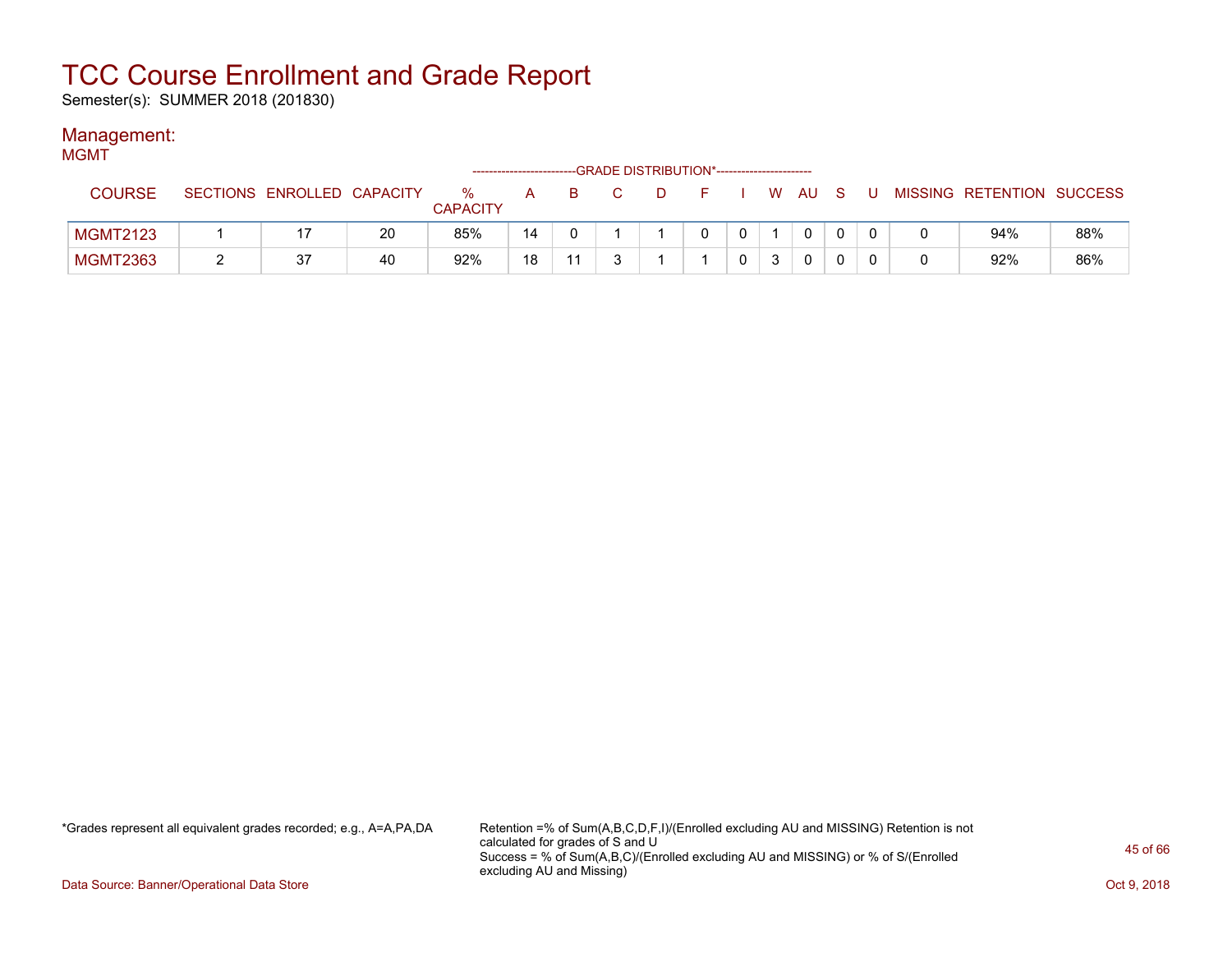Semester(s): SUMMER 2018 (201830)

#### Management:

| <b>MGMT</b>     |                            |    |                         |              |    |                                             |        |              |              |   |          |     |                           |     |
|-----------------|----------------------------|----|-------------------------|--------------|----|---------------------------------------------|--------|--------------|--------------|---|----------|-----|---------------------------|-----|
|                 |                            |    |                         |              |    | -GRADE DISTRIBUTION*----------------------- |        |              |              |   |          |     |                           |     |
| <b>COURSE</b>   | SECTIONS ENROLLED CAPACITY |    | $\%$<br><b>CAPACITY</b> | $\mathsf{A}$ | B. |                                             | $\Box$ | FIWAUS       |              |   |          | . U | MISSING RETENTION SUCCESS |     |
| <b>MGMT2123</b> |                            | 20 | 85%                     | 14           |    |                                             |        | $\mathbf{0}$ | $\mathbf{0}$ |   | $\Omega$ |     | 94%                       | 88% |
| <b>MGMT2363</b> | 37                         | 40 | 92%                     | 18           |    |                                             |        |              |              | 3 | 0        |     | 92%                       | 86% |

\*Grades represent all equivalent grades recorded; e.g., A=A,PA,DA Retention =% of Sum(A,B,C,D,F,I)/(Enrolled excluding AU and MISSING) Retention is not calculated for grades of S and U Success = % of Sum(A,B,C)/(Enrolled excluding AU and MISSING) or % of S/(Enrolled excluding AU and Missing)

Data Source: Banner/Operational Data Store Content of the Content of Content of the Content of the Content of the Content of the Content of the Content of the Content of the Content of the Content of the Content of the Con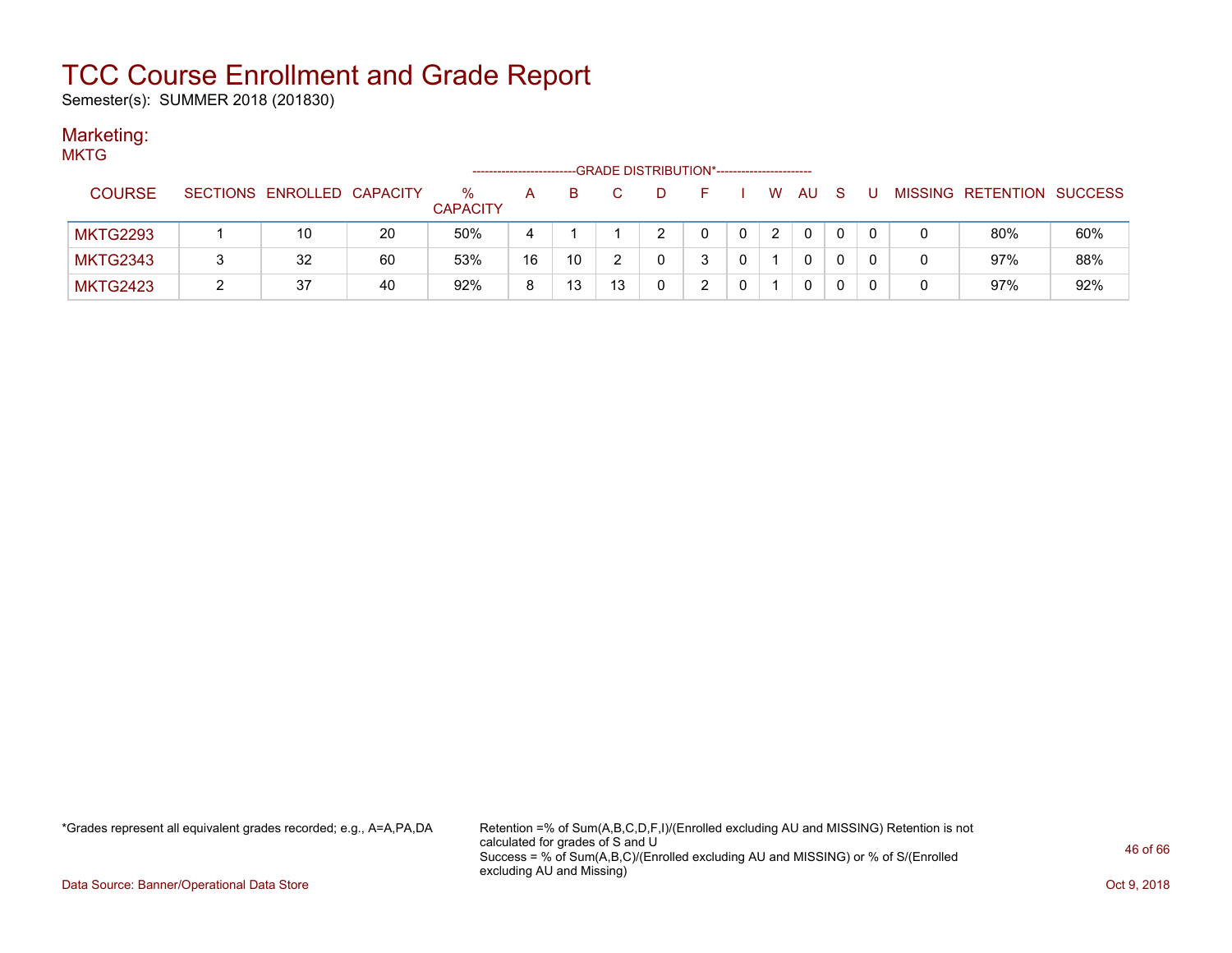Semester(s): SUMMER 2018 (201830)

#### Marketing:

| <b>MKTG</b>     |                            |    |                         |              |    | -GRADE DISTRIBUTION*----------------------- |   |          |          |   |      |     |          |   |                           |     |
|-----------------|----------------------------|----|-------------------------|--------------|----|---------------------------------------------|---|----------|----------|---|------|-----|----------|---|---------------------------|-----|
| <b>COURSE</b>   | SECTIONS ENROLLED CAPACITY |    | $\%$<br><b>CAPACITY</b> | $\mathsf{A}$ | B. |                                             | D | $\vdash$ |          |   | W AU | - S | -U       |   | MISSING RETENTION SUCCESS |     |
| <b>MKTG2293</b> | 10                         | 20 | 50%                     | 4            |    |                                             |   | 0        | $\Omega$ | 2 | 0    | 0   | $\Omega$ | 0 | 80%                       | 60% |
| <b>MKTG2343</b> | 32                         | 60 | 53%                     | 16           | 10 |                                             |   | 3        |          |   | 0    |     | 0        | 0 | 97%                       | 88% |
| <b>MKTG2423</b> | 37                         | 40 | 92%                     | 8            | 13 | 13                                          |   | າ        |          |   | 0    |     |          | 0 | 97%                       | 92% |

\*Grades represent all equivalent grades recorded; e.g., A=A,PA,DA Retention =% of Sum(A,B,C,D,F,I)/(Enrolled excluding AU and MISSING) Retention is not calculated for grades of S and U Success = % of Sum(A,B,C)/(Enrolled excluding AU and MISSING) or % of S/(Enrolled excluding AU and Missing)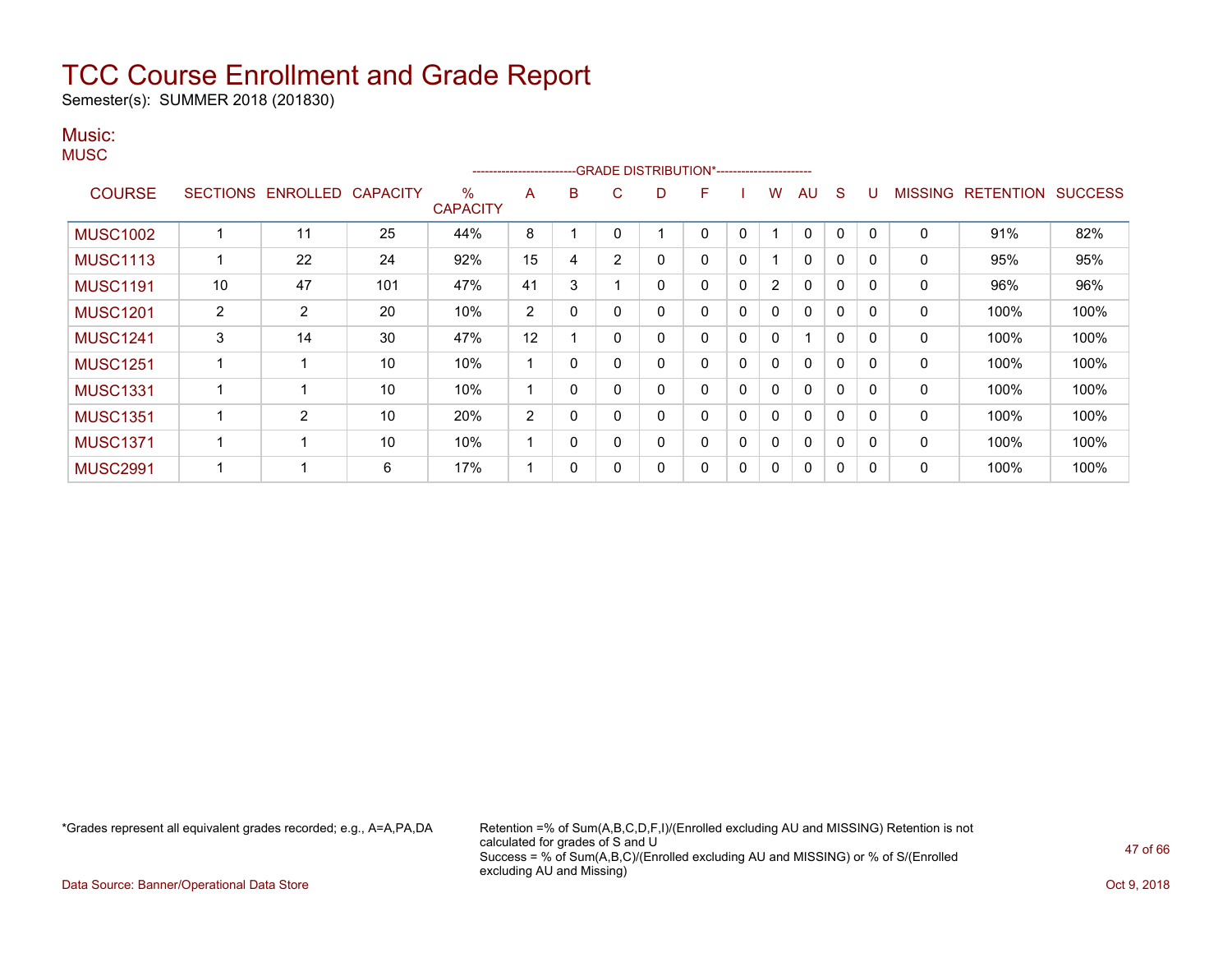Semester(s): SUMMER 2018 (201830)

#### Music:  $MIO$

| SECTIONS ENROLLED CAPACITY<br>COURSE<br><b>MUSC1002</b><br>25<br>11 | <b>MUSC</b> |  |      |
|---------------------------------------------------------------------|-------------|--|------|
|                                                                     |             |  | CAP. |
|                                                                     |             |  |      |

| <b>COURSE</b>   | <b>SECTIONS</b> | <b>ENROLLED</b> | <b>CAPACITY</b> | %<br><b>CAPACITY</b> | A              | В | C | D | F           |   | w              | AU                      | S            | U        | MISSING     | <b>RETENTION</b> | <b>SUCCESS</b> |
|-----------------|-----------------|-----------------|-----------------|----------------------|----------------|---|---|---|-------------|---|----------------|-------------------------|--------------|----------|-------------|------------------|----------------|
| <b>MUSC1002</b> |                 | 11              | 25              | 44%                  | 8              |   | 0 |   | $\mathbf 0$ | 0 |                | 0                       | $\Omega$     | $\Omega$ | 0           | 91%              | 82%            |
| <b>MUSC1113</b> |                 | 22              | 24              | 92%                  | 15             | 4 | 2 | 0 | 0           | 0 |                | 0                       | $\mathbf{0}$ | 0        | 0           | 95%              | 95%            |
| <b>MUSC1191</b> | 10              | 47              | 101             | 47%                  | 41             | 3 |   | 0 | $\Omega$    | 0 | $\overline{2}$ | 0                       | $\mathbf{0}$ | 0        | 0           | 96%              | 96%            |
| <b>MUSC1201</b> | $\overline{2}$  | $\overline{2}$  | 20              | 10%                  | $\overline{c}$ | 0 | 0 | 0 | 0           | 0 | 0              | 0                       | 0            | 0        | 0           | 100%             | 100%           |
| <b>MUSC1241</b> | 3               | 14              | 30              | 47%                  | 12             |   | 0 | 0 | 0           | 0 | 0              | $\overline{\mathbf{A}}$ | $\mathbf{0}$ | 0        | 0           | 100%             | 100%           |
| <b>MUSC1251</b> |                 |                 | 10              | 10%                  | 1              | 0 | 0 | 0 | 0           | 0 | 0              | $\mathbf{0}$            | $\mathbf{0}$ | 0        | $\mathbf 0$ | 100%             | 100%           |
| <b>MUSC1331</b> |                 |                 | 10              | 10%                  | 1              | 0 | 0 | 0 | 0           | 0 | 0              | $\mathbf{0}$            | 0            | 0        | 0           | 100%             | 100%           |
| <b>MUSC1351</b> |                 | $\overline{2}$  | 10              | 20%                  | $\overline{2}$ | 0 | 0 | 0 | 0           | 0 | 0              | $\mathbf{0}$            | $\mathbf{0}$ | 0        | $\mathbf 0$ | 100%             | 100%           |
| <b>MUSC1371</b> |                 |                 | 10              | 10%                  | 1              | 0 | 0 | 0 | 0           | 0 | 0              | 0                       | 0            | 0        | $\mathbf 0$ | 100%             | 100%           |
| <b>MUSC2991</b> |                 |                 | 6               | 17%                  | 1              | 0 | 0 | 0 | 0           | 0 | 0              | 0                       | 0            | 0        | 0           | 100%             | 100%           |
|                 |                 |                 |                 |                      |                |   |   |   |             |   |                |                         |              |          |             |                  |                |

-------------------------GRADE DISTRIBUTION\*-----------------------

\*Grades represent all equivalent grades recorded; e.g., A=A,PA,DA Retention =% of Sum(A,B,C,D,F,I)/(Enrolled excluding AU and MISSING) Retention is not calculated for grades of S and U Success = % of Sum(A,B,C)/(Enrolled excluding AU and MISSING) or % of S/(Enrolled excluding AU and Missing)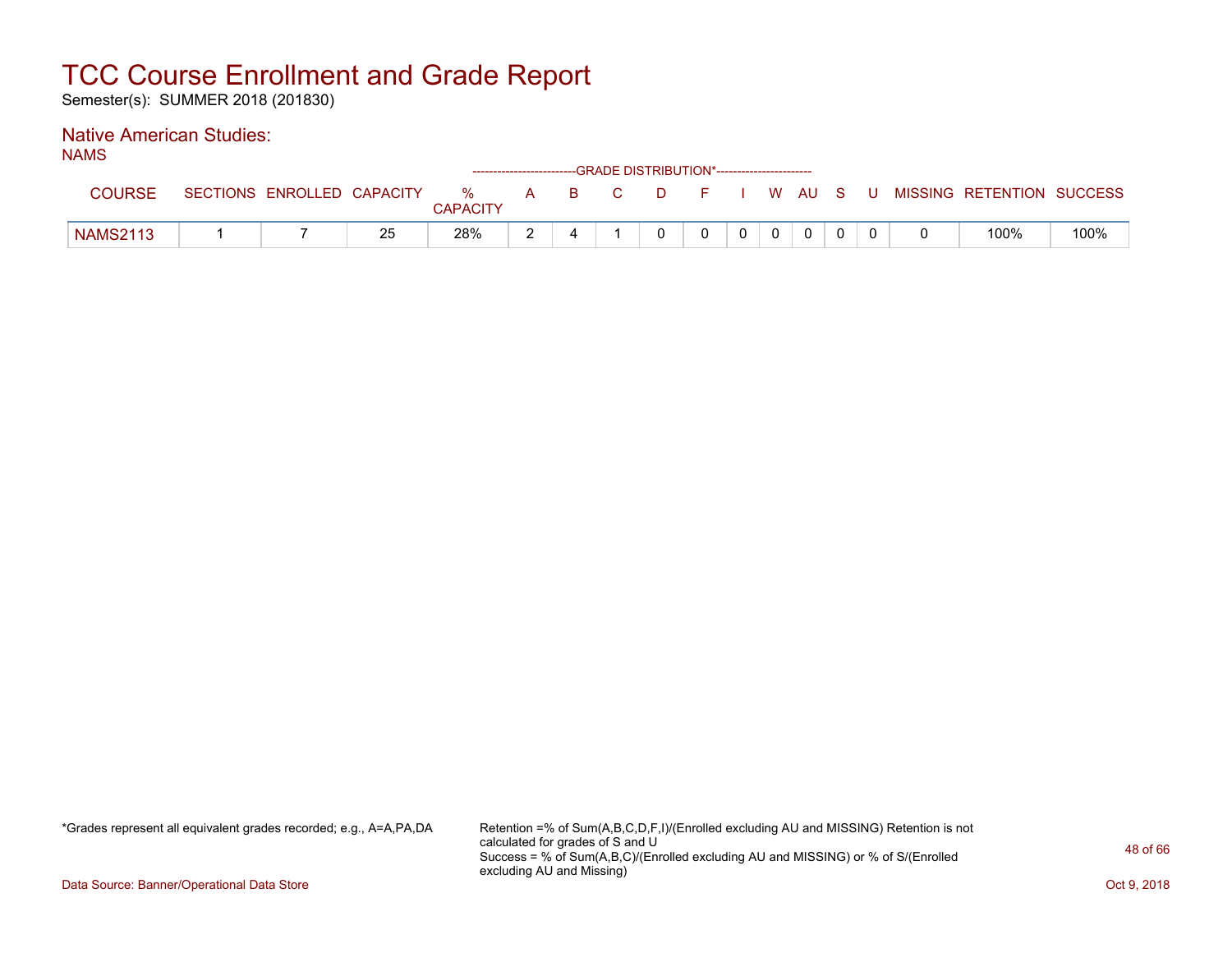Semester(s): SUMMER 2018 (201830)

#### Native American Studies:

NAMS

|                 |                            |    |                 | ------------------------GRADE DISTRIBUTION*----------------------- |     |          |              |              |       |                           |      |
|-----------------|----------------------------|----|-----------------|--------------------------------------------------------------------|-----|----------|--------------|--------------|-------|---------------------------|------|
| COURSE          | SECTIONS ENROLLED CAPACITY |    | $\%$            | A B C                                                              | DFI |          |              | I WAUS       | . U . | MISSING RETENTION SUCCESS |      |
|                 |                            |    | <b>CAPACITY</b> |                                                                    |     |          |              |              |       |                           |      |
| <b>NAMS2113</b> |                            | 25 | 28%             |                                                                    |     | $\Omega$ | $\mathbf{0}$ | $\mathbf{0}$ |       | 100%                      | 100% |

\*Grades represent all equivalent grades recorded; e.g., A=A,PA,DA Retention =% of Sum(A,B,C,D,F,I)/(Enrolled excluding AU and MISSING) Retention is not calculated for grades of S and U Success = % of Sum(A,B,C)/(Enrolled excluding AU and MISSING) or % of S/(Enrolled excluding AU and Missing)

Data Source: Banner/Operational Data Store Content of the Content of Content of the Content of the Content of the Content of the Content of the Content of the Content of the Content of the Content of the Content of the Con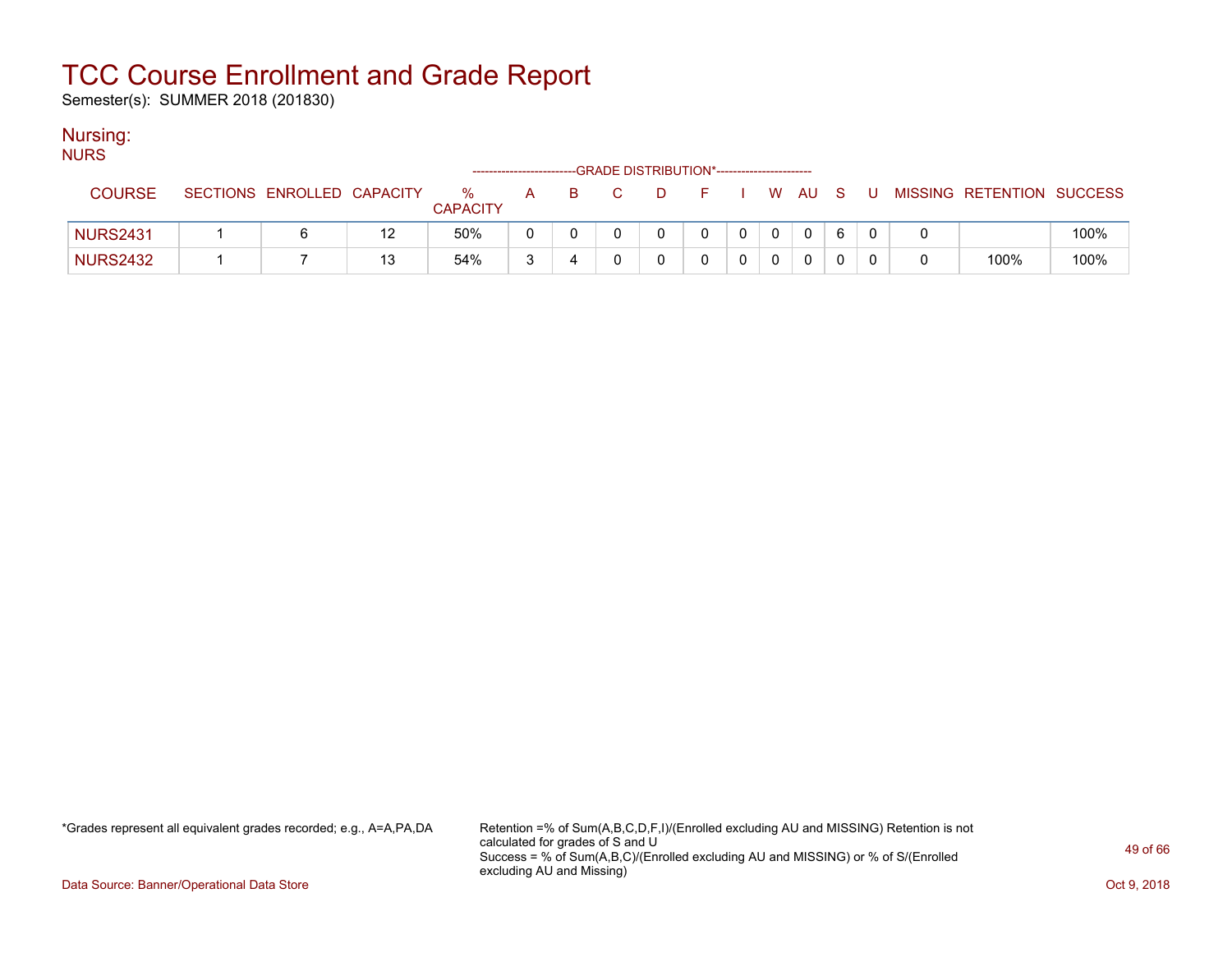Semester(s): SUMMER 2018 (201830)

#### Nursing:

| <b>NURS</b>     |                            |    |                         |          |    |                                              |     |    |          |              |              |   |     |                           |      |
|-----------------|----------------------------|----|-------------------------|----------|----|----------------------------------------------|-----|----|----------|--------------|--------------|---|-----|---------------------------|------|
|                 |                            |    |                         |          |    | --GRADE DISTRIBUTION*----------------------- |     |    |          |              |              |   |     |                           |      |
| <b>COURSE</b>   | SECTIONS ENROLLED CAPACITY |    | $\%$<br><b>CAPACITY</b> | <b>A</b> | B. | C.                                           | ⊟D. | F. |          |              | I WAUS       |   | - U | MISSING RETENTION SUCCESS |      |
| <b>NURS2431</b> |                            | 12 | 50%                     |          |    |                                              |     |    | $\Omega$ | $\mathbf{0}$ | $\mathbf{0}$ | 6 |     |                           | 100% |
| <b>NURS2432</b> |                            |    | 54%                     | ີ        |    |                                              |     |    |          |              | 0            |   |     | 100%                      | 100% |

\*Grades represent all equivalent grades recorded; e.g., A=A,PA,DA Retention =% of Sum(A,B,C,D,F,I)/(Enrolled excluding AU and MISSING) Retention is not calculated for grades of S and U Success = % of Sum(A,B,C)/(Enrolled excluding AU and MISSING) or % of S/(Enrolled excluding AU and Missing)

Data Source: Banner/Operational Data Store Content of the Content of Content of the Content of the Content of the Content of the Content of the Content of the Content of the Content of the Content of the Content of the Con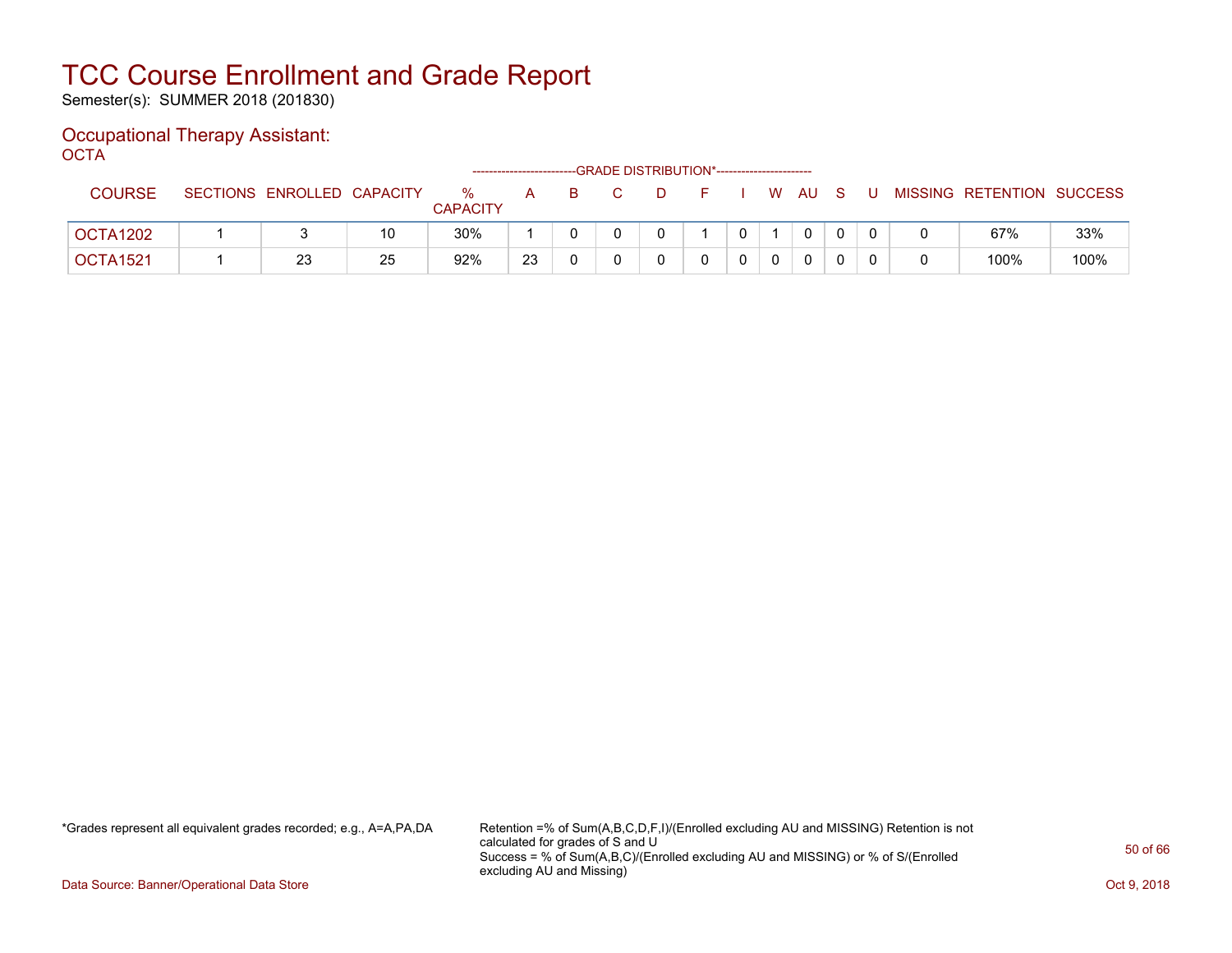Semester(s): SUMMER 2018 (201830)

#### Occupational Therapy Assistant: OCTA<sup>'</sup>

| ___________   |                            |    |                         | ---------------------- |    | --GRADE DISTRIBUTION*----------------------- |  |          |     |                           |      |
|---------------|----------------------------|----|-------------------------|------------------------|----|----------------------------------------------|--|----------|-----|---------------------------|------|
| <b>COURSE</b> | SECTIONS ENROLLED CAPACITY |    | $\%$<br><b>CAPACITY</b> | A                      | B. | D                                            |  | I W AU S | - U | MISSING RETENTION SUCCESS |      |
| OCTA1202      |                            | 10 | 30%                     |                        |    |                                              |  | 0        |     | 67%                       | 33%  |
| OCTA1521      | 23                         | 25 | 92%                     | 23                     |    |                                              |  | 0        |     | 100%                      | 100% |

\*Grades represent all equivalent grades recorded; e.g., A=A,PA,DA Retention =% of Sum(A,B,C,D,F,I)/(Enrolled excluding AU and MISSING) Retention is not calculated for grades of S and U Success = % of Sum(A,B,C)/(Enrolled excluding AU and MISSING) or % of S/(Enrolled excluding AU and Missing)

Data Source: Banner/Operational Data Store Content of the Content of Content of the Content of the Content of the Content of the Content of the Content of the Content of the Content of the Content of the Content of the Con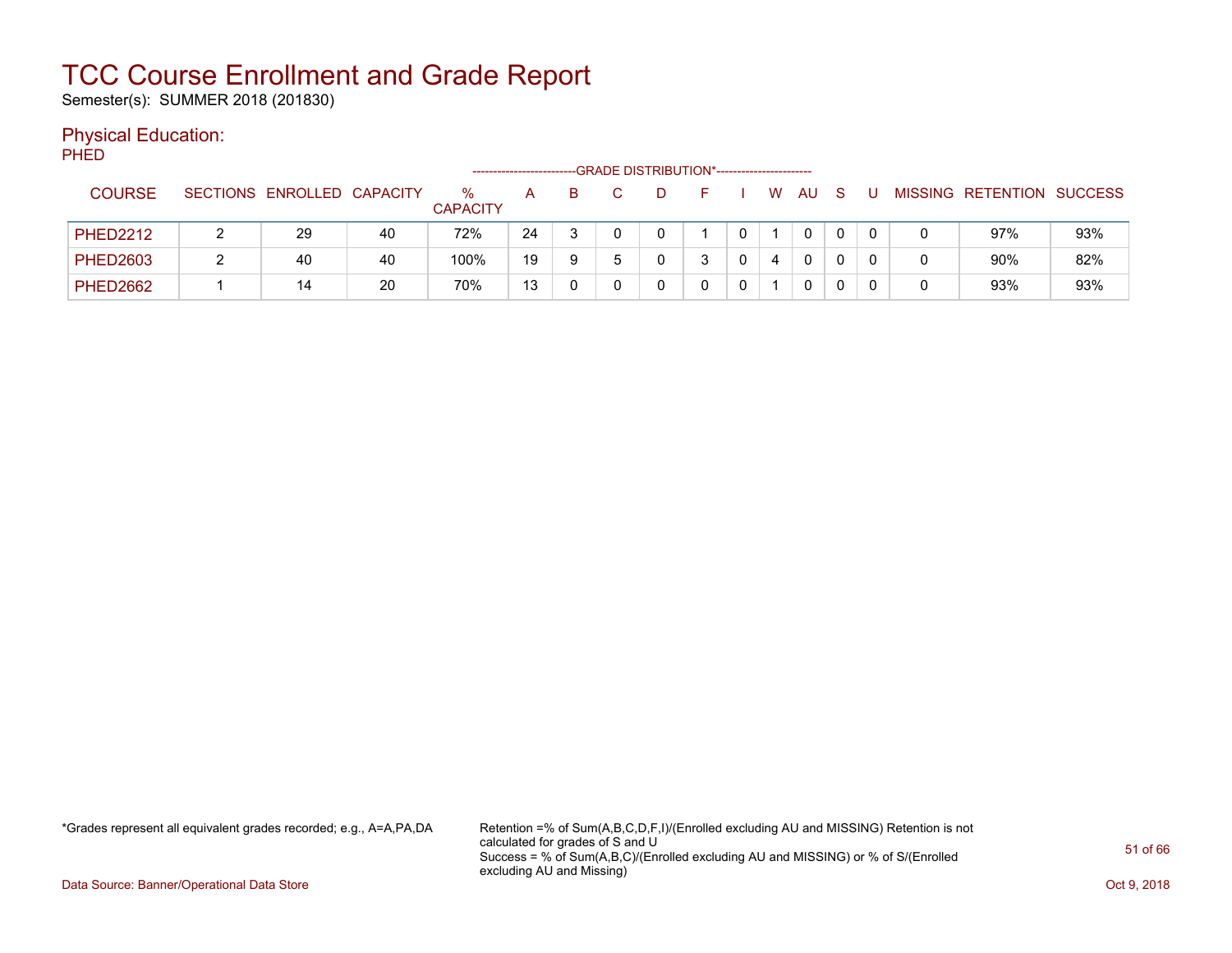Semester(s): SUMMER 2018 (201830)

#### Physical Education:

PHED

|                 |                            |    |                         | ---------------------- |   | --GRADE DISTRIBUTION*------------------------ |  |   |    |              |  |                           |     |
|-----------------|----------------------------|----|-------------------------|------------------------|---|-----------------------------------------------|--|---|----|--------------|--|---------------------------|-----|
| <b>COURSE</b>   | SECTIONS ENROLLED CAPACITY |    | $\%$<br><b>CAPACITY</b> | А                      |   |                                               |  | W | AU | <sub>S</sub> |  | MISSING RETENTION SUCCESS |     |
| <b>PHED2212</b> | 29                         | 40 | 72%                     | 24                     |   |                                               |  |   | 0  |              |  | 97%                       | 93% |
| <b>PHED2603</b> | 40                         | 40 | 100%                    | 19                     | 9 |                                               |  |   | 0  |              |  | 90%                       | 82% |
| <b>PHED2662</b> | 14                         | 20 | 70%                     | 13                     |   |                                               |  |   | 0  |              |  | 93%                       | 93% |

\*Grades represent all equivalent grades recorded; e.g., A=A,PA,DA Retention =% of Sum(A,B,C,D,F,I)/(Enrolled excluding AU and MISSING) Retention is not calculated for grades of S and U Success = % of Sum(A,B,C)/(Enrolled excluding AU and MISSING) or % of S/(Enrolled excluding AU and Missing)

Data Source: Banner/Operational Data Store Content of the Content of Content of the Content of the Content of the Content of the Content of the Content of the Content of the Content of the Content of the Content of the Con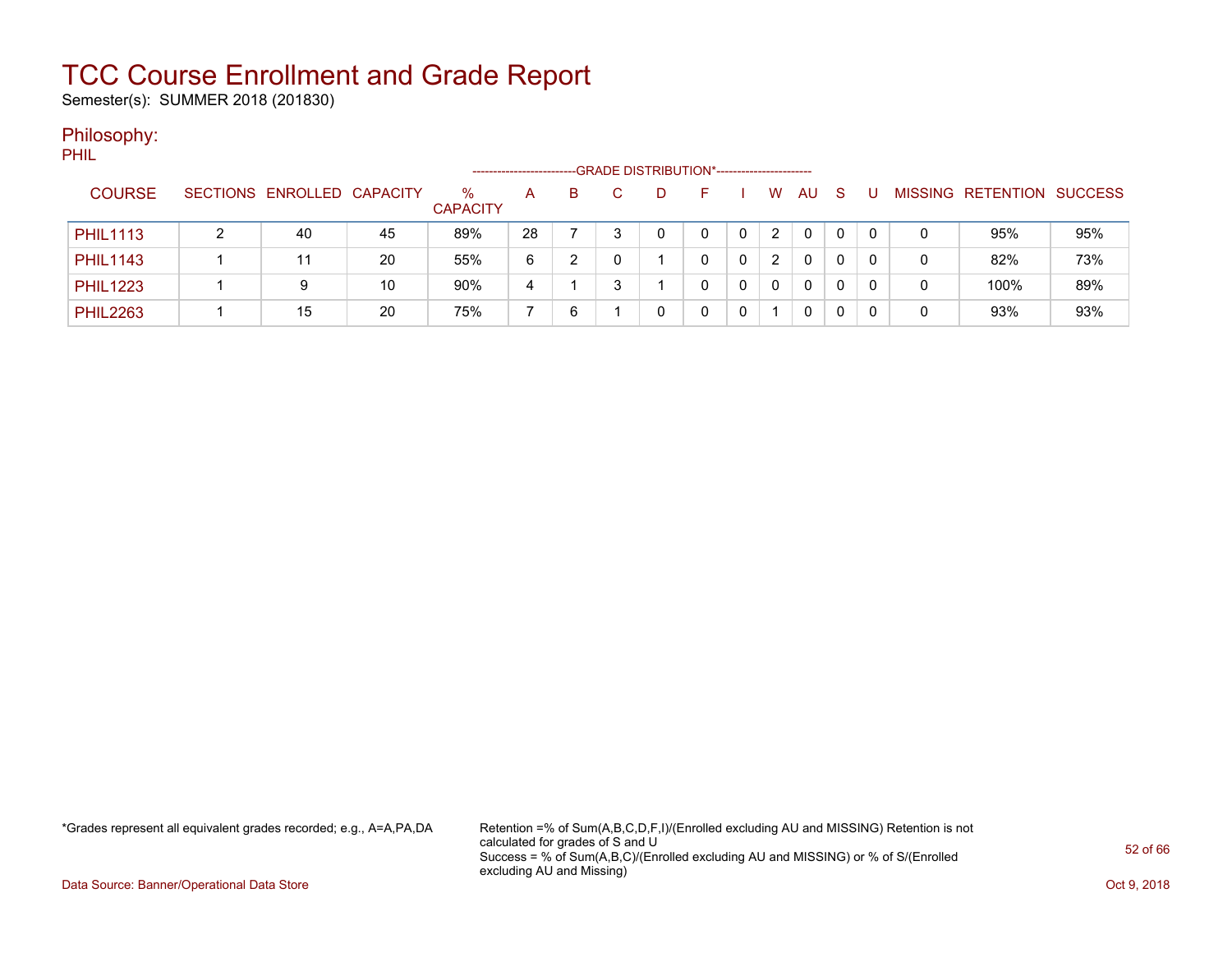Semester(s): SUMMER 2018 (201830)

#### Philosophy:

PHIL

|                 |                            |    | -----------------       |    |    |    | -GRADE DISTRIBUTION*---------------------- |   |                |              |              |   |                           |     |
|-----------------|----------------------------|----|-------------------------|----|----|----|--------------------------------------------|---|----------------|--------------|--------------|---|---------------------------|-----|
| <b>COURSE</b>   | SECTIONS ENROLLED CAPACITY |    | $\%$<br><b>CAPACITY</b> | A  | B. | D. |                                            |   | W              | AU           | <sub>S</sub> |   | MISSING RETENTION SUCCESS |     |
| <b>PHIL1113</b> | 40                         | 45 | 89%                     | 28 |    |    |                                            |   | $\overline{2}$ | $\mathbf{0}$ | $\mathbf{0}$ |   | 95%                       | 95% |
| <b>PHIL1143</b> | 11                         | 20 | 55%                     | 6  |    |    |                                            | 0 | 2              | $\mathbf{0}$ | 0            | 0 | 82%                       | 73% |
| <b>PHIL1223</b> | 9                          | 10 | 90%                     | 4  |    |    |                                            |   | $\Omega$       | $\mathbf{0}$ | 0            | 0 | 100%                      | 89% |
| <b>PHIL2263</b> | 15                         | 20 | 75%                     |    | 6  |    |                                            |   |                | 0            |              | 0 | 93%                       | 93% |

\*Grades represent all equivalent grades recorded; e.g., A=A,PA,DA Retention =% of Sum(A,B,C,D,F,I)/(Enrolled excluding AU and MISSING) Retention is not calculated for grades of S and U Success = % of Sum(A,B,C)/(Enrolled excluding AU and MISSING) or % of S/(Enrolled excluding AU and Missing)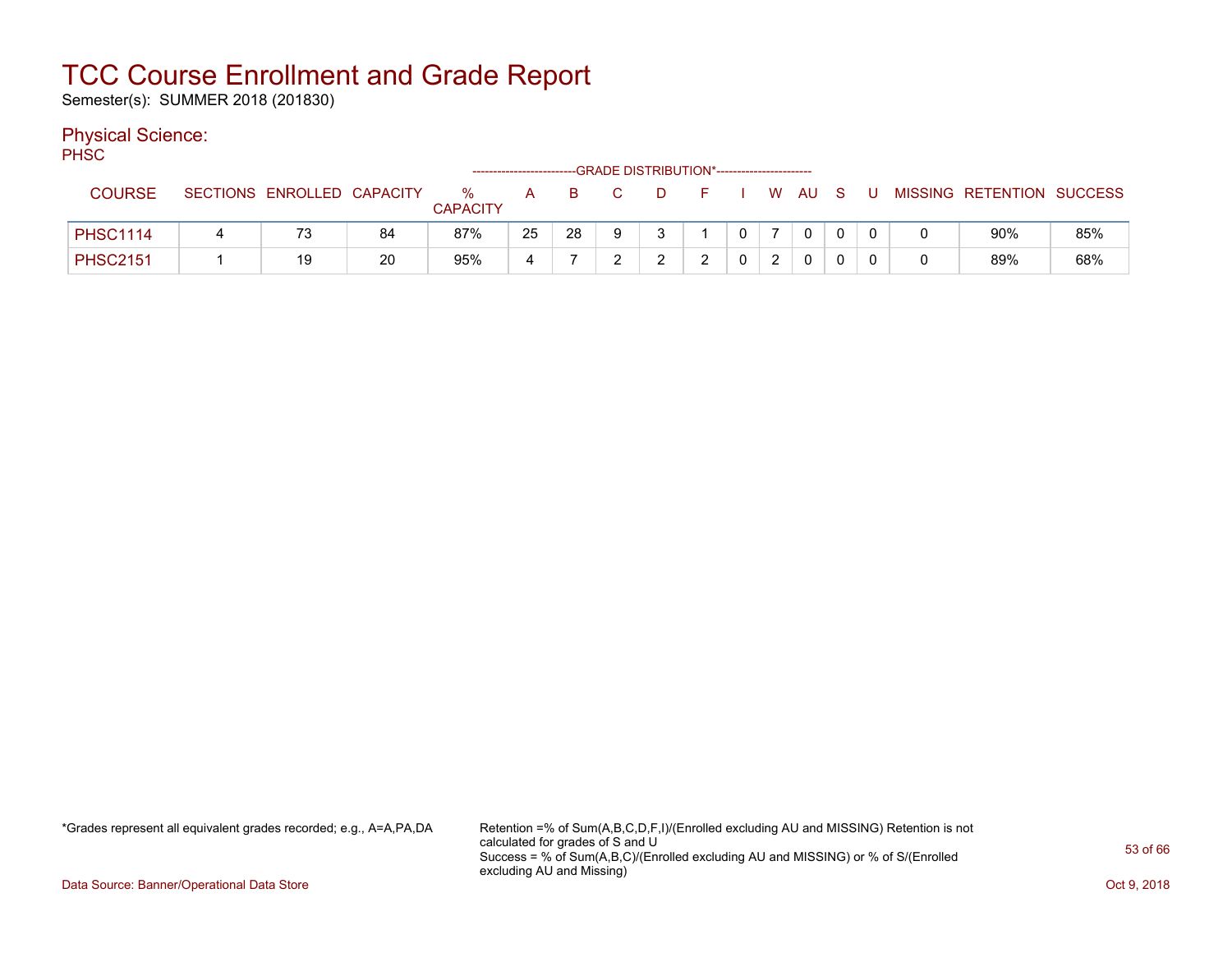Semester(s): SUMMER 2018 (201830)

#### Physical Science:

PH<sub>SC</sub>

|                 |          |                   |    |               |    |    | -GRADE DISTRIBUTION*----------------------- |  |      |  |                           |     |
|-----------------|----------|-------------------|----|---------------|----|----|---------------------------------------------|--|------|--|---------------------------|-----|
| <b>COURSE</b>   | SECTIONS | ENROLLED CAPACITY |    | %<br>CAPACITY | A  | B. | D.                                          |  | W AU |  | MISSING RETENTION SUCCESS |     |
| <b>PHSC1114</b> | 4        | 73                | 84 | 87%           | 25 | 28 |                                             |  |      |  | 90%                       | 85% |
| <b>PHSC2151</b> |          | 19                | 20 | 95%           |    |    |                                             |  |      |  | 89%                       | 68% |

\*Grades represent all equivalent grades recorded; e.g., A=A,PA,DA Retention =% of Sum(A,B,C,D,F,I)/(Enrolled excluding AU and MISSING) Retention is not calculated for grades of S and U Success = % of Sum(A,B,C)/(Enrolled excluding AU and MISSING) or % of S/(Enrolled excluding AU and Missing)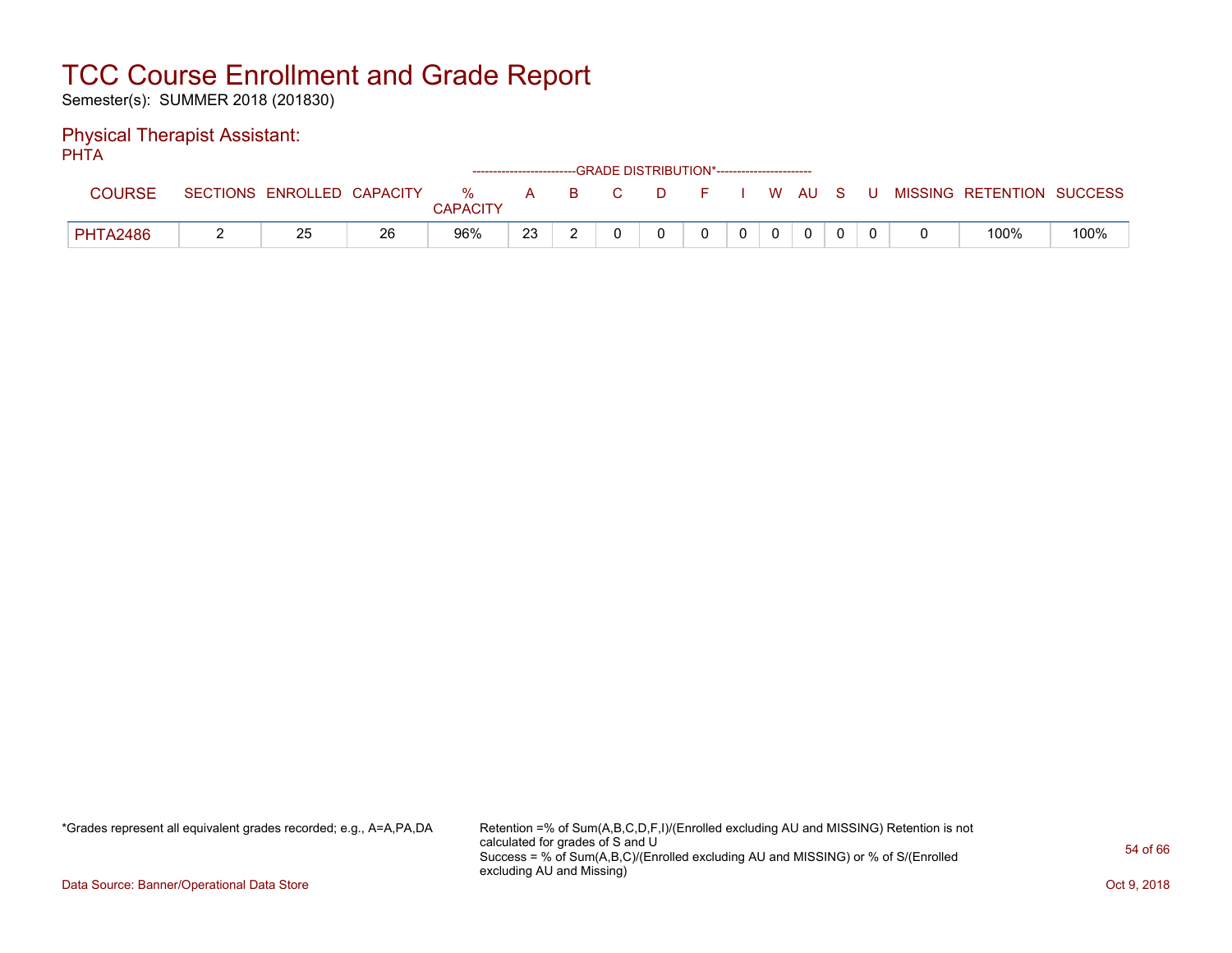Semester(s): SUMMER 2018 (201830)

#### Physical Therapist Assistant: PHTA

| .               |               |                            |    |                      |              |          | ------------------------GRADE DISTRIBUTION*----------------------- |          |               |   |              |  |                           |      |
|-----------------|---------------|----------------------------|----|----------------------|--------------|----------|--------------------------------------------------------------------|----------|---------------|---|--------------|--|---------------------------|------|
|                 | <b>COURSE</b> | SECTIONS ENROLLED CAPACITY |    | %<br><b>CAPACITY</b> | $\mathsf{A}$ | <b>B</b> | C.                                                                 | $\Box$ D | <b>Figure</b> |   | I WAUSU      |  | MISSING RETENTION SUCCESS |      |
| <b>PHTA2486</b> |               | 25                         | 26 | 96%                  | 23           |          |                                                                    |          |               | 0 | $\mathbf{0}$ |  | 100%                      | 100% |

\*Grades represent all equivalent grades recorded; e.g., A=A,PA,DA Retention =% of Sum(A,B,C,D,F,I)/(Enrolled excluding AU and MISSING) Retention is not calculated for grades of S and U Success = % of Sum(A,B,C)/(Enrolled excluding AU and MISSING) or % of S/(Enrolled excluding AU and Missing)

Data Source: Banner/Operational Data Store Content of the Content of Content of the Content of the Content of the Content of the Content of the Content of the Content of the Content of the Content of the Content of the Con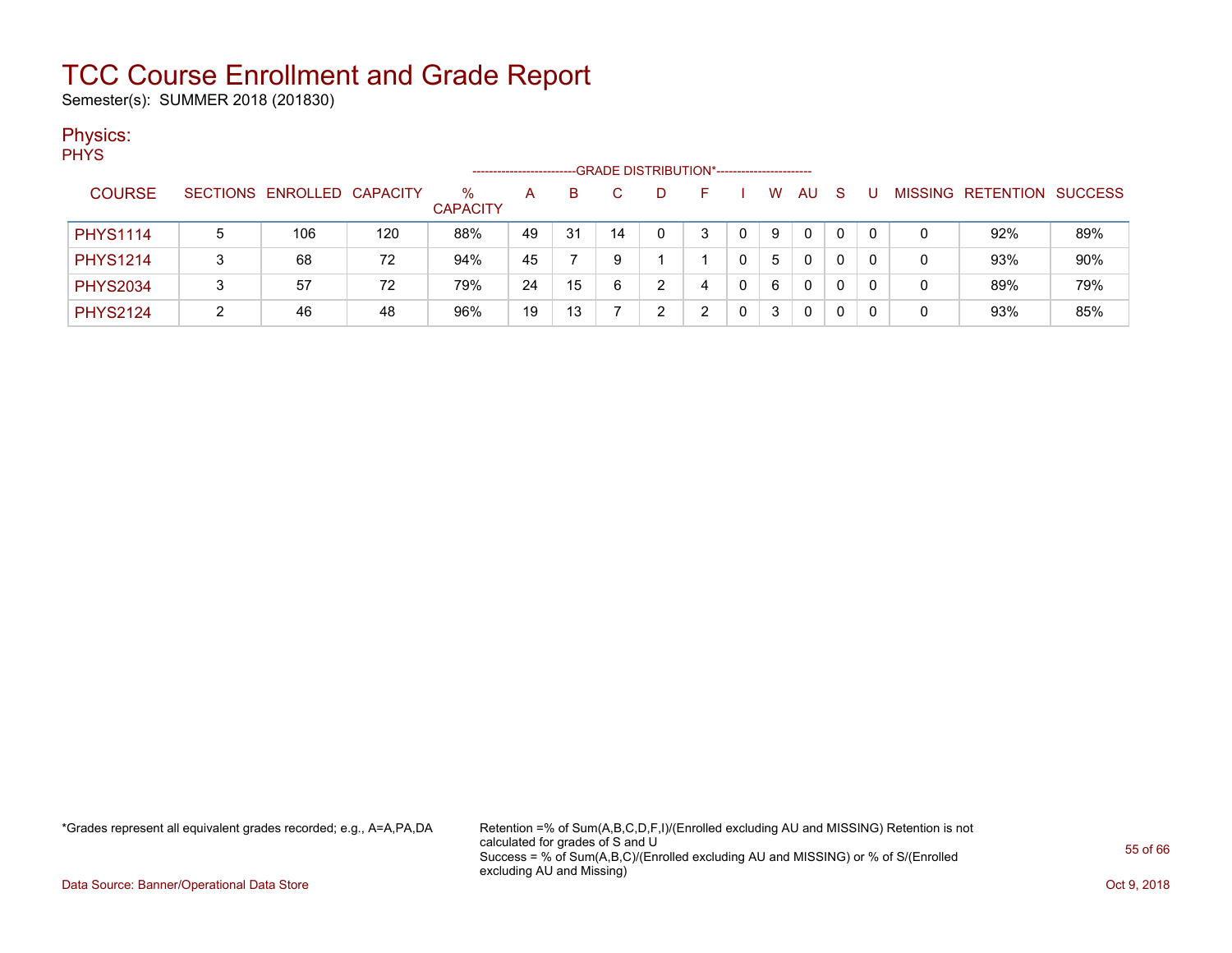Semester(s): SUMMER 2018 (201830)

#### Physics:

|                 | -GRADE DISTRIBUTION*-----------------------<br>-------------------- |                            |     |                      |    |    |    |   |   |   |    |          |              |  |   |                           |     |
|-----------------|---------------------------------------------------------------------|----------------------------|-----|----------------------|----|----|----|---|---|---|----|----------|--------------|--|---|---------------------------|-----|
| <b>COURSE</b>   |                                                                     | SECTIONS ENROLLED CAPACITY |     | ℅<br><b>CAPACITY</b> | A  | в  |    | D |   |   | W  | AU       | <sub>S</sub> |  |   | MISSING RETENTION SUCCESS |     |
| <b>PHYS1114</b> | 5                                                                   | 106                        | 120 | 88%                  | 49 | 31 | 14 |   |   | 0 | 9  | $\Omega$ | $\Omega$     |  | 0 | 92%                       | 89% |
| <b>PHYS1214</b> | 3                                                                   | 68                         | 72  | 94%                  | 45 |    | 9  |   |   | 0 | 5. | $\Omega$ | $\Omega$     |  | 0 | 93%                       | 90% |
| <b>PHYS2034</b> | 3                                                                   | 57                         | 72  | 79%                  | 24 | 15 | 6  |   | 4 | 0 | 6  | $\Omega$ | 0            |  | 0 | 89%                       | 79% |
| <b>PHYS2124</b> |                                                                     | 46                         | 48  | 96%                  | 19 | 13 |    |   |   |   | 3  | $\Omega$ | $\Omega$     |  | 0 | 93%                       | 85% |

\*Grades represent all equivalent grades recorded; e.g., A=A,PA,DA Retention =% of Sum(A,B,C,D,F,I)/(Enrolled excluding AU and MISSING) Retention is not calculated for grades of S and U Success = % of Sum(A,B,C)/(Enrolled excluding AU and MISSING) or % of S/(Enrolled excluding AU and Missing)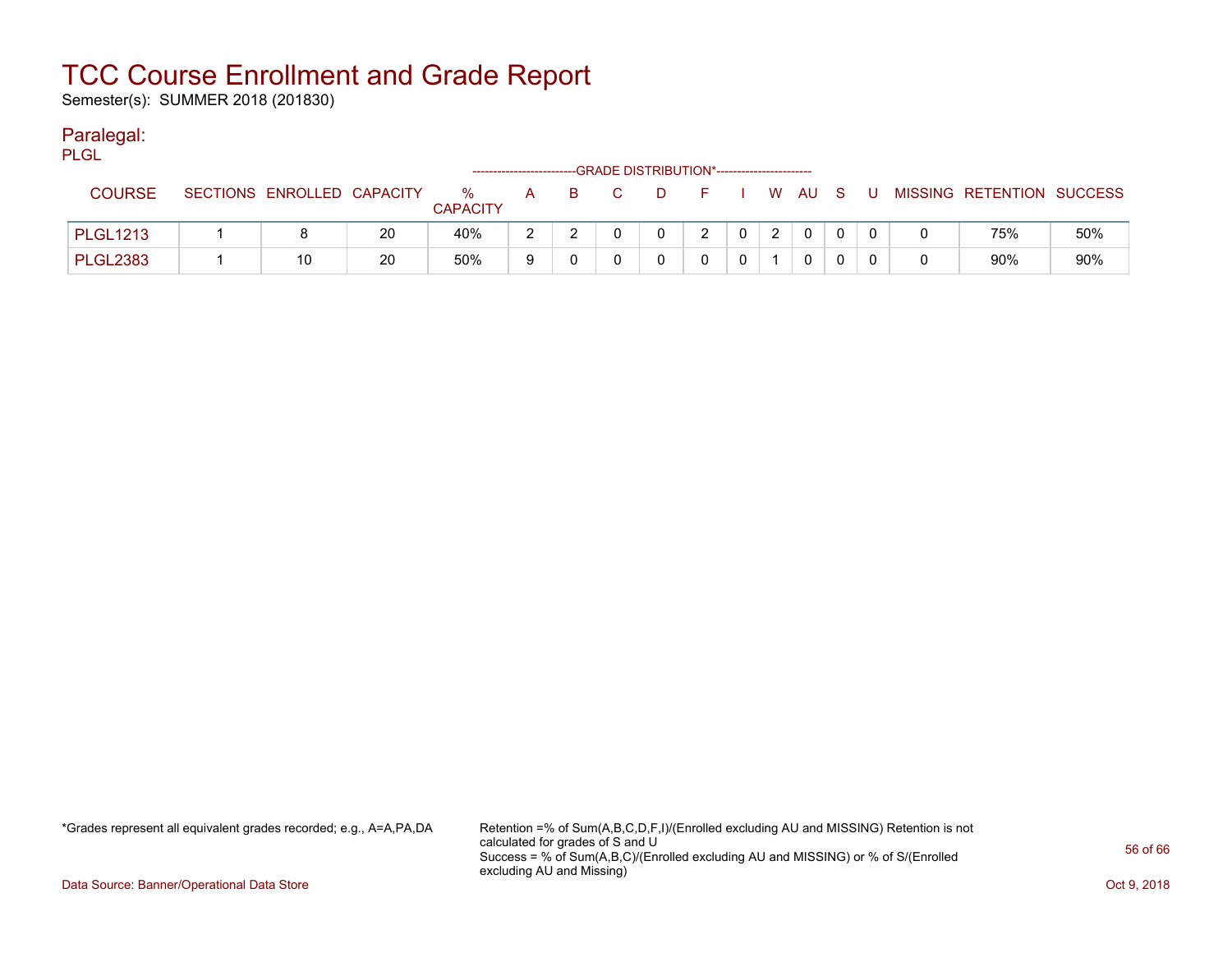Semester(s): SUMMER 2018 (201830)

#### Paralegal:

| <b>PLGL</b>     |                            |    |                         |     |                                              |     |  |   |              |     |                           |     |
|-----------------|----------------------------|----|-------------------------|-----|----------------------------------------------|-----|--|---|--------------|-----|---------------------------|-----|
|                 |                            |    |                         |     | --GRADE DISTRIBUTION*----------------------- |     |  |   |              |     |                           |     |
| <b>COURSE</b>   | SECTIONS ENROLLED CAPACITY |    | $\%$<br><b>CAPACITY</b> | A a | B C                                          | ∴ D |  |   | F I W AU S   | . U | MISSING RETENTION SUCCESS |     |
| <b>PLGL1213</b> |                            | 20 | 40%                     | ົ   |                                              |     |  | 2 | $\mathbf{0}$ |     | 75%                       | 50% |
| <b>PLGL2383</b> |                            | 20 | 50%                     | 9   |                                              |     |  |   | 0            |     | 90%                       | 90% |

\*Grades represent all equivalent grades recorded; e.g., A=A,PA,DA Retention =% of Sum(A,B,C,D,F,I)/(Enrolled excluding AU and MISSING) Retention is not calculated for grades of S and U Success = % of Sum(A,B,C)/(Enrolled excluding AU and MISSING) or % of S/(Enrolled excluding AU and Missing)

Data Source: Banner/Operational Data Store Content of the Content of Content of the Content of the Content of the Content of the Content of the Content of the Content of the Content of the Content of the Content of the Con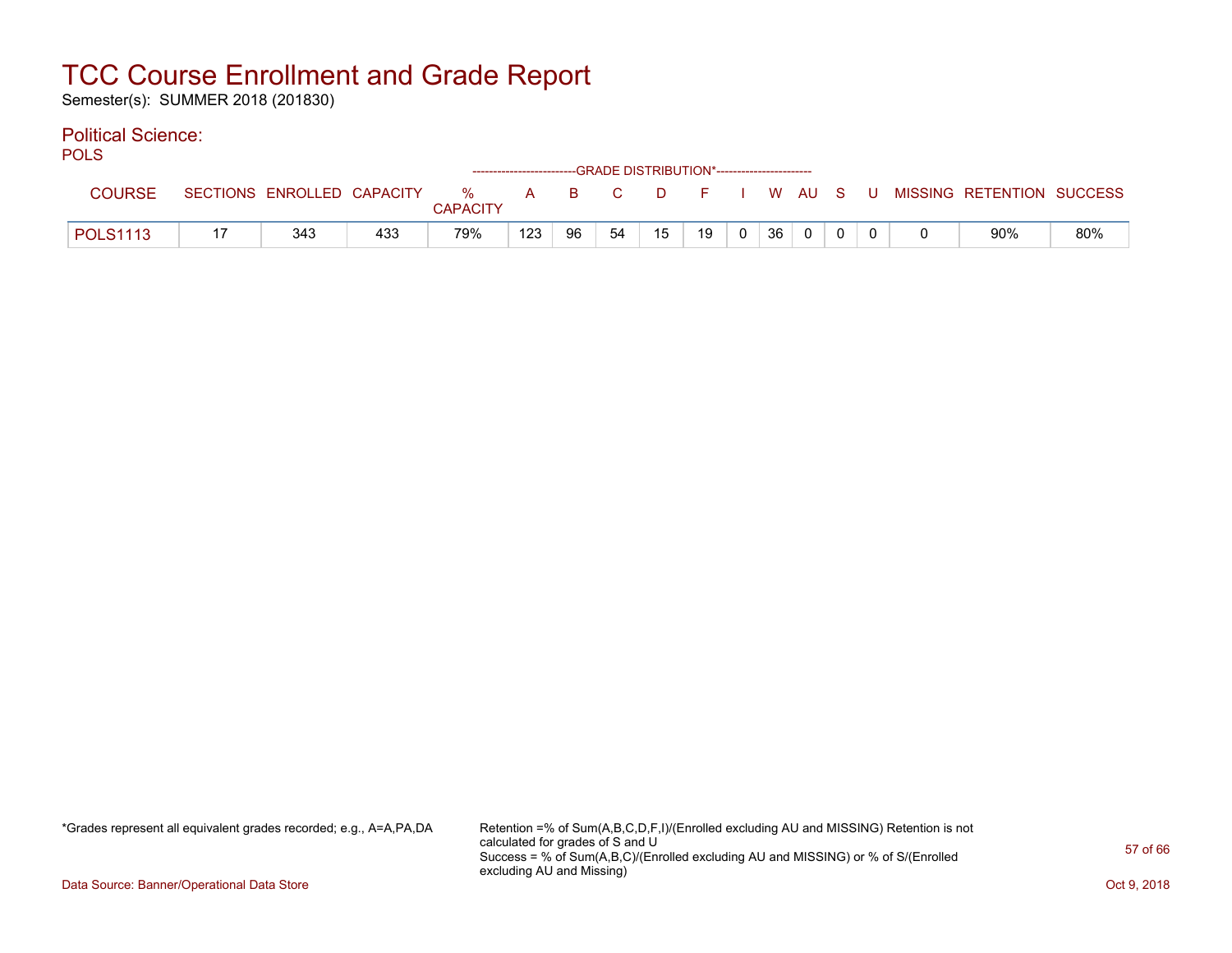Semester(s): SUMMER 2018 (201830)

#### Political Science:

| w | ۰, | ×<br>۰. |
|---|----|---------|
|   |    |         |

|                 |                            |     |          |              |    |    | ------------------------GRADE DISTRIBUTION*----------------------- |     |              |    |        |  |                           |     |
|-----------------|----------------------------|-----|----------|--------------|----|----|--------------------------------------------------------------------|-----|--------------|----|--------|--|---------------------------|-----|
| <b>COURSE</b>   | SECTIONS ENROLLED CAPACITY |     | %        | $\mathsf{A}$ | B. |    | D.                                                                 | . E |              |    | W AU S |  | MISSING RETENTION SUCCESS |     |
|                 |                            |     | CAPACITY |              |    |    |                                                                    |     |              |    |        |  |                           |     |
| <b>POLS1113</b> | 343                        | 433 | 79%      | 123          | 96 | 54 | 15                                                                 | 19  | $\mathbf{0}$ | 36 |        |  | 90%                       | 80% |

\*Grades represent all equivalent grades recorded; e.g., A=A,PA,DA Retention =% of Sum(A,B,C,D,F,I)/(Enrolled excluding AU and MISSING) Retention is not calculated for grades of S and U Success = % of Sum(A,B,C)/(Enrolled excluding AU and MISSING) or % of S/(Enrolled excluding AU and Missing)

Data Source: Banner/Operational Data Store Content of the Content of Content of the Content of the Content of the Content of the Content of the Content of the Content of the Content of the Content of the Content of the Con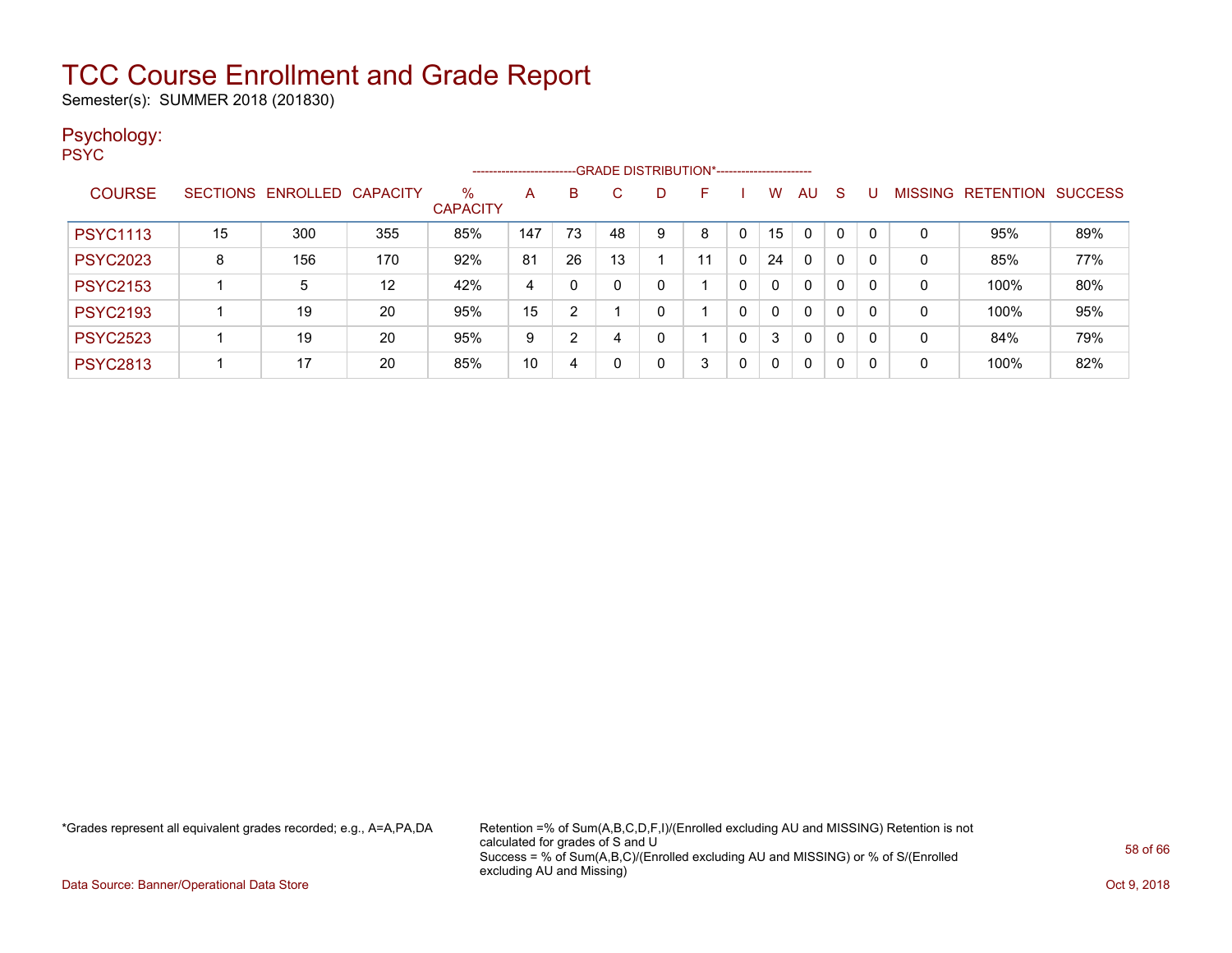Semester(s): SUMMER 2018 (201830)

#### Psychology:

PSYC

|                 |    |                            |     |                         | ----------------------- |                | --- GRADE DISTRIBUTION*------------------------ |   |    |   |              |              |              |     |                |           |                |
|-----------------|----|----------------------------|-----|-------------------------|-------------------------|----------------|-------------------------------------------------|---|----|---|--------------|--------------|--------------|-----|----------------|-----------|----------------|
| <b>COURSE</b>   |    | SECTIONS ENROLLED CAPACITY |     | $\%$<br><b>CAPACITY</b> | A                       | B              | C                                               | D | F  |   | W            | AU           | <sub>S</sub> |     | <b>MISSING</b> | RETENTION | <b>SUCCESS</b> |
| <b>PSYC1113</b> | 15 | 300                        | 355 | 85%                     | 147                     | 73             | 48                                              | 9 | 8  |   | 15           | 0            | 0            |     | 0              | 95%       | 89%            |
| <b>PSYC2023</b> | 8  | 156                        | 170 | 92%                     | 81                      | 26             | 13                                              |   | 11 | 0 | 24           | $\mathbf{0}$ | 0            | -0  | 0              | 85%       | 77%            |
| <b>PSYC2153</b> |    | 5                          | 12  | 42%                     | 4                       |                |                                                 | 0 |    | 0 | $\Omega$     | $\mathbf{0}$ | 0            | - 0 | 0              | 100%      | 80%            |
| <b>PSYC2193</b> |    | 19                         | 20  | 95%                     | 15                      | $\overline{2}$ |                                                 | 0 |    | 0 | $\mathbf{0}$ | $\mathbf{0}$ | $\mathbf{0}$ | - C | 0              | 100%      | 95%            |
| <b>PSYC2523</b> |    | 19                         | 20  | 95%                     | 9                       | 2              |                                                 | 0 |    | 0 | 3            | $\mathbf{0}$ | 0            | -C  | 0              | 84%       | 79%            |
| <b>PSYC2813</b> |    | 17                         | 20  | 85%                     | 10                      | 4              |                                                 | 0 | 3  | 0 | $\Omega$     | 0            | 0            | -0  | 0              | 100%      | 82%            |

\*Grades represent all equivalent grades recorded; e.g., A=A,PA,DA Retention =% of Sum(A,B,C,D,F,I)/(Enrolled excluding AU and MISSING) Retention is not calculated for grades of S and U Success = % of Sum(A,B,C)/(Enrolled excluding AU and MISSING) or % of S/(Enrolled excluding AU and Missing)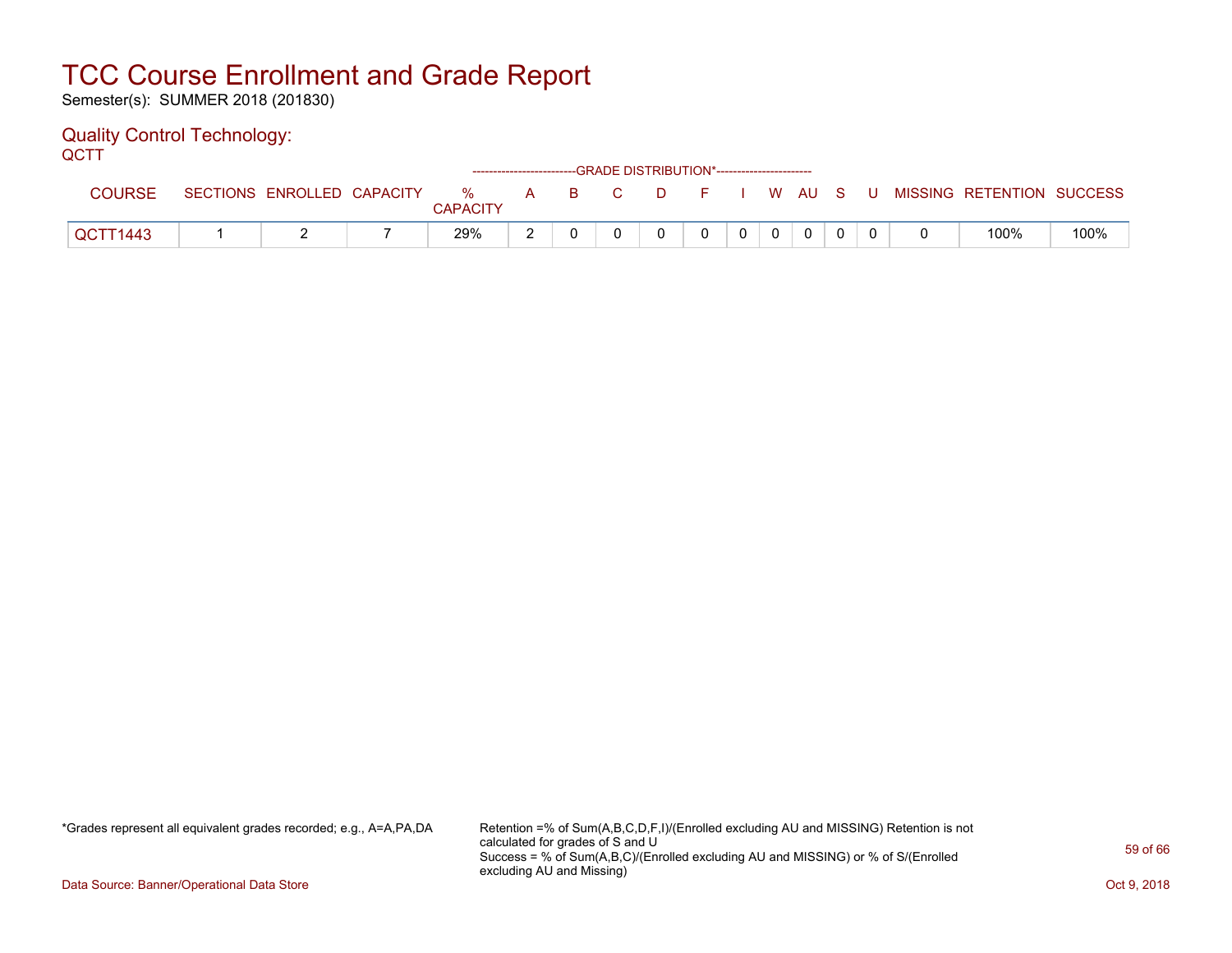Semester(s): SUMMER 2018 (201830)

#### Quality Control Technology: **OCTT**

| - - -         |                            |                      |   |     |       | ------------------------GRADE DISTRIBUTION*----------------------- |  |          |  |                           |      |
|---------------|----------------------------|----------------------|---|-----|-------|--------------------------------------------------------------------|--|----------|--|---------------------------|------|
| <b>COURSE</b> | SECTIONS ENROLLED CAPACITY | %<br><b>CAPACITY</b> | A | BC. | - D - |                                                                    |  | W AU S U |  | MISSING RETENTION SUCCESS |      |
| QCTT1443      |                            | 29%                  |   |     |       |                                                                    |  |          |  | 100%                      | 100% |

\*Grades represent all equivalent grades recorded; e.g., A=A,PA,DA Retention =% of Sum(A,B,C,D,F,I)/(Enrolled excluding AU and MISSING) Retention is not calculated for grades of S and U Success = % of Sum(A,B,C)/(Enrolled excluding AU and MISSING) or % of S/(Enrolled excluding AU and Missing)

Data Source: Banner/Operational Data Store Content of the Content of Content of the Content of the Content of the Content of the Content of the Content of the Content of the Content of the Content of the Content of the Con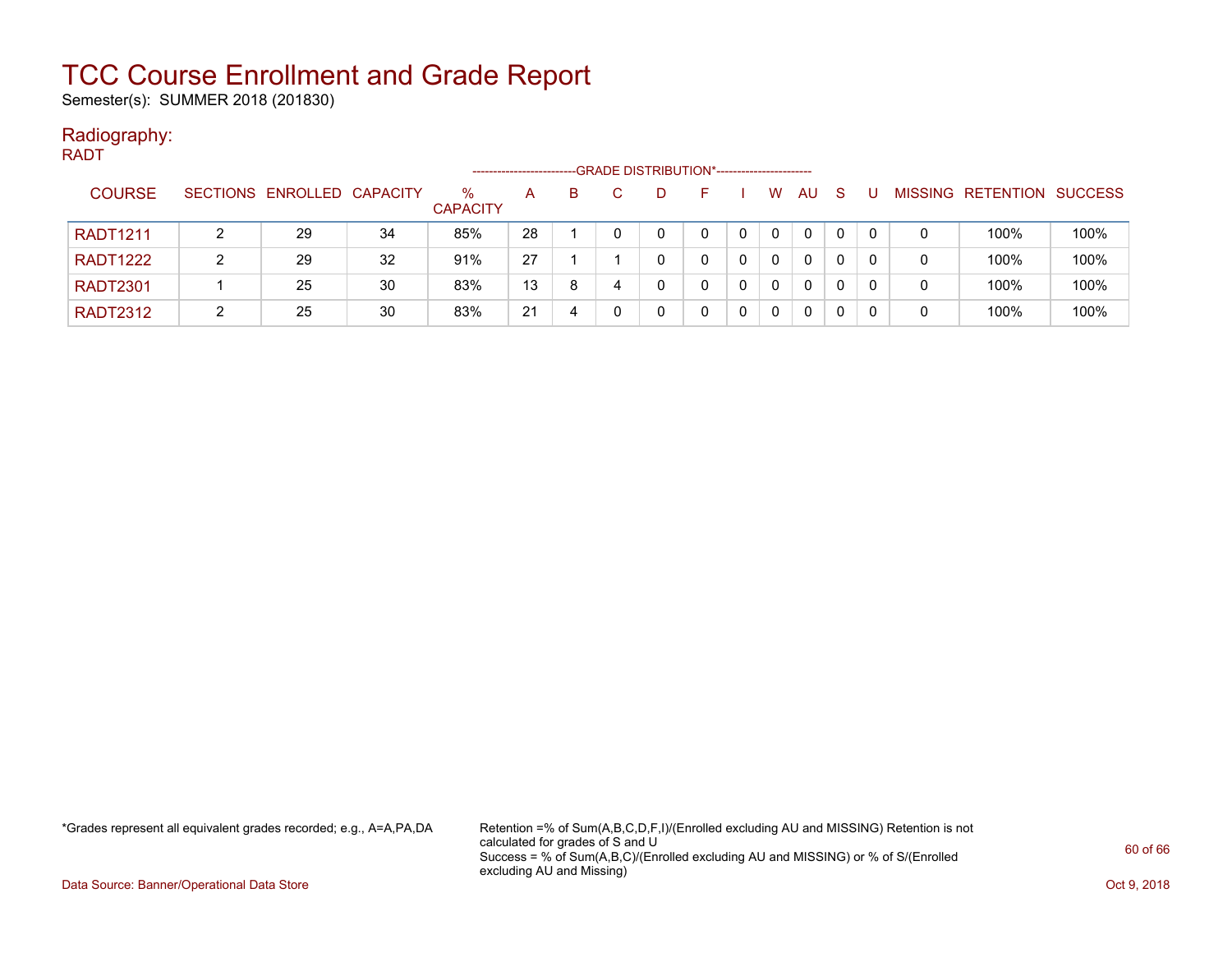Semester(s): SUMMER 2018 (201830)

#### Radiography: RADT

|                 |   |                            |    |                      | --------------------- |    | --GRADE DISTRIBUTION*----------------------- |   |              |           |   |   |                |                   |      |
|-----------------|---|----------------------------|----|----------------------|-----------------------|----|----------------------------------------------|---|--------------|-----------|---|---|----------------|-------------------|------|
| <b>COURSE</b>   |   | SECTIONS ENROLLED CAPACITY |    | %<br><b>CAPACITY</b> | A                     | B. |                                              |   | W            | <b>AU</b> | S |   | <b>MISSING</b> | RETENTION SUCCESS |      |
| <b>RADT1211</b> | ົ | 29                         | 34 | 85%                  | 28                    |    |                                              |   | $\Omega$     | 0         | 0 |   |                | 100%              | 100% |
| <b>RADT1222</b> | ົ | 29                         | 32 | 91%                  | 27                    |    |                                              | 0 | $\mathbf{0}$ | 0         | 0 | 0 | 0              | 100%              | 100% |
| <b>RADT2301</b> |   | 25                         | 30 | 83%                  | 13                    | 8  |                                              |   | $\mathbf{0}$ | 0         | 0 |   | 0              | 100%              | 100% |
| <b>RADT2312</b> |   | 25                         | 30 | 83%                  | 21                    | 4  |                                              |   | 0            | 0         | 0 |   |                | 100%              | 100% |

\*Grades represent all equivalent grades recorded; e.g., A=A,PA,DA Retention =% of Sum(A,B,C,D,F,I)/(Enrolled excluding AU and MISSING) Retention is not calculated for grades of S and U Success = % of Sum(A,B,C)/(Enrolled excluding AU and MISSING) or % of S/(Enrolled excluding AU and Missing)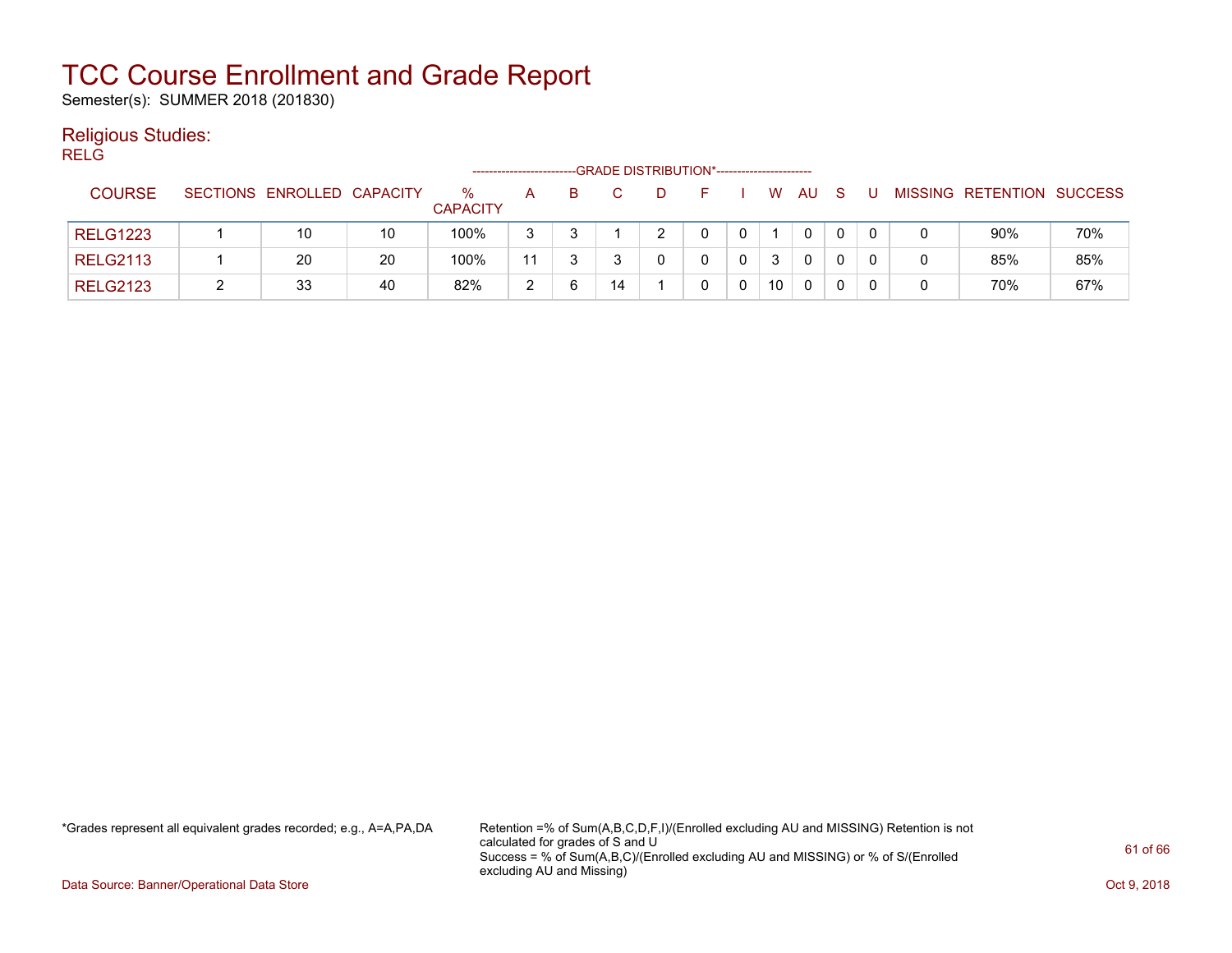Semester(s): SUMMER 2018 (201830)

#### Religious Studies:

| <b>RELG</b>     |                            |    |                      |    |    | -GRADE DISTRIBUTION*----------------------- |   |    |    |              |     |   |   |                           |     |
|-----------------|----------------------------|----|----------------------|----|----|---------------------------------------------|---|----|----|--------------|-----|---|---|---------------------------|-----|
| <b>COURSE</b>   | SECTIONS ENROLLED CAPACITY |    | %<br><b>CAPACITY</b> | A  | B. |                                             | D | н. | W  | AU           | - S | U |   | MISSING RETENTION SUCCESS |     |
| <b>RELG1223</b> | 10                         | 10 | 100%                 | 3  |    |                                             |   |    |    | 0            | 0   |   | 0 | 90%                       | 70% |
| <b>RELG2113</b> | 20                         | 20 | 100%                 | 11 |    |                                             |   |    | 3  | $\mathbf{0}$ |     |   | 0 | 85%                       | 85% |
| <b>RELG2123</b> | 33                         | 40 | 82%                  | 2  | 6  | 14                                          |   |    | 10 | 0            | 0   |   | 0 | 70%                       | 67% |

\*Grades represent all equivalent grades recorded; e.g., A=A,PA,DA Retention =% of Sum(A,B,C,D,F,I)/(Enrolled excluding AU and MISSING) Retention is not calculated for grades of S and U Success = % of Sum(A,B,C)/(Enrolled excluding AU and MISSING) or % of S/(Enrolled excluding AU and Missing)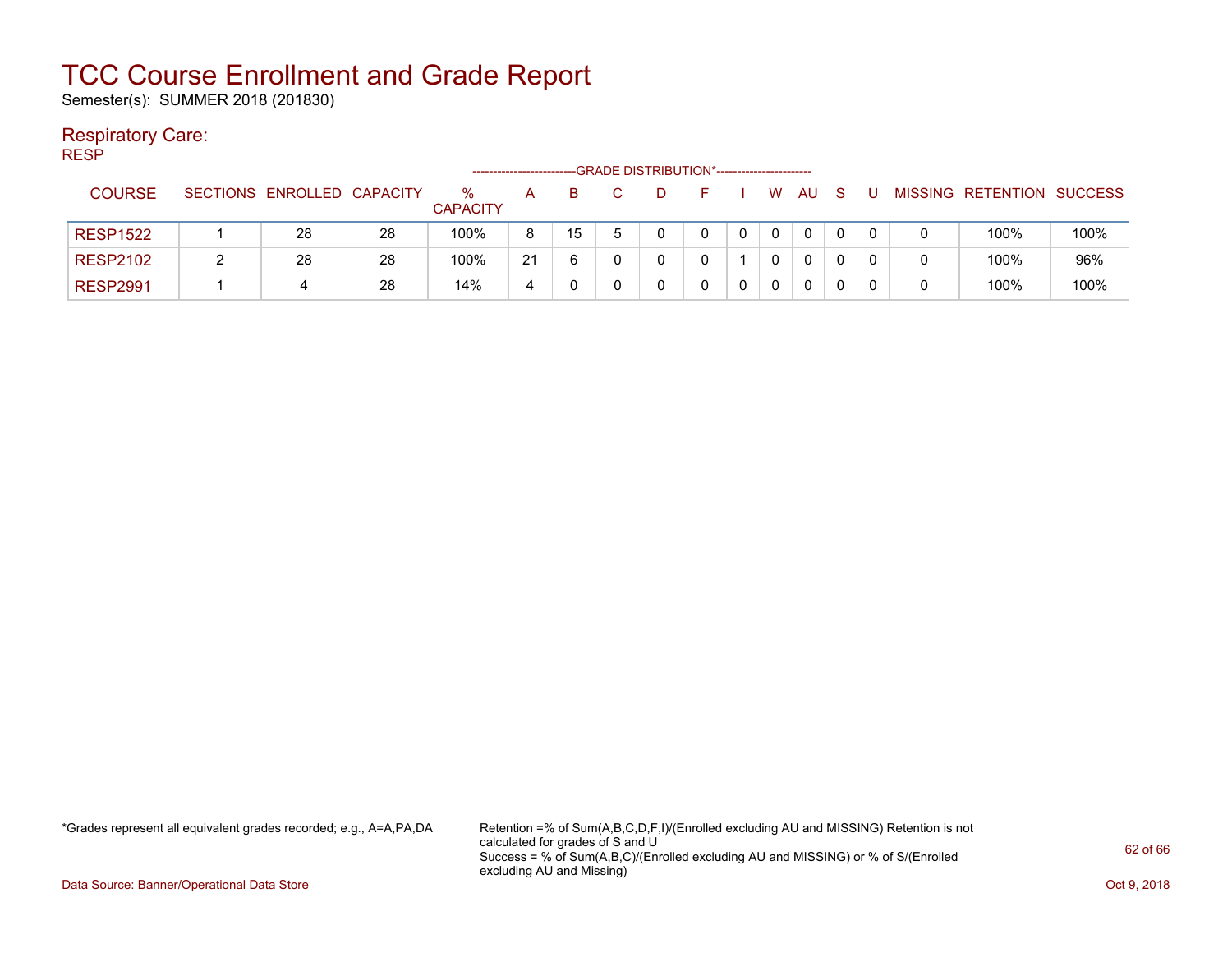Semester(s): SUMMER 2018 (201830)

#### Respiratory Care:

RESP

|                 |                            |    |                      |    |    |              | --GRADE DISTRIBUTION*------------------------ |  |   |    |  |                           |      |
|-----------------|----------------------------|----|----------------------|----|----|--------------|-----------------------------------------------|--|---|----|--|---------------------------|------|
| <b>COURSE</b>   | SECTIONS ENROLLED CAPACITY |    | ℅<br><b>CAPACITY</b> | А  | B  |              |                                               |  | W | AU |  | MISSING RETENTION SUCCESS |      |
| <b>RESP1522</b> | 28                         | 28 | 100%                 | 8  | 15 | <sub>5</sub> |                                               |  |   | 0  |  | 100%                      | 100% |
| <b>RESP2102</b> | 28                         | 28 | 100%                 | 21 | 6  |              |                                               |  |   | 0  |  | 100%                      | 96%  |
| <b>RESP2991</b> | 4                          | 28 | 14%                  | 4  |    |              |                                               |  |   | 0  |  | 100%                      | 100% |

\*Grades represent all equivalent grades recorded; e.g., A=A,PA,DA Retention =% of Sum(A,B,C,D,F,I)/(Enrolled excluding AU and MISSING) Retention is not calculated for grades of S and U Success = % of Sum(A,B,C)/(Enrolled excluding AU and MISSING) or % of S/(Enrolled excluding AU and Missing)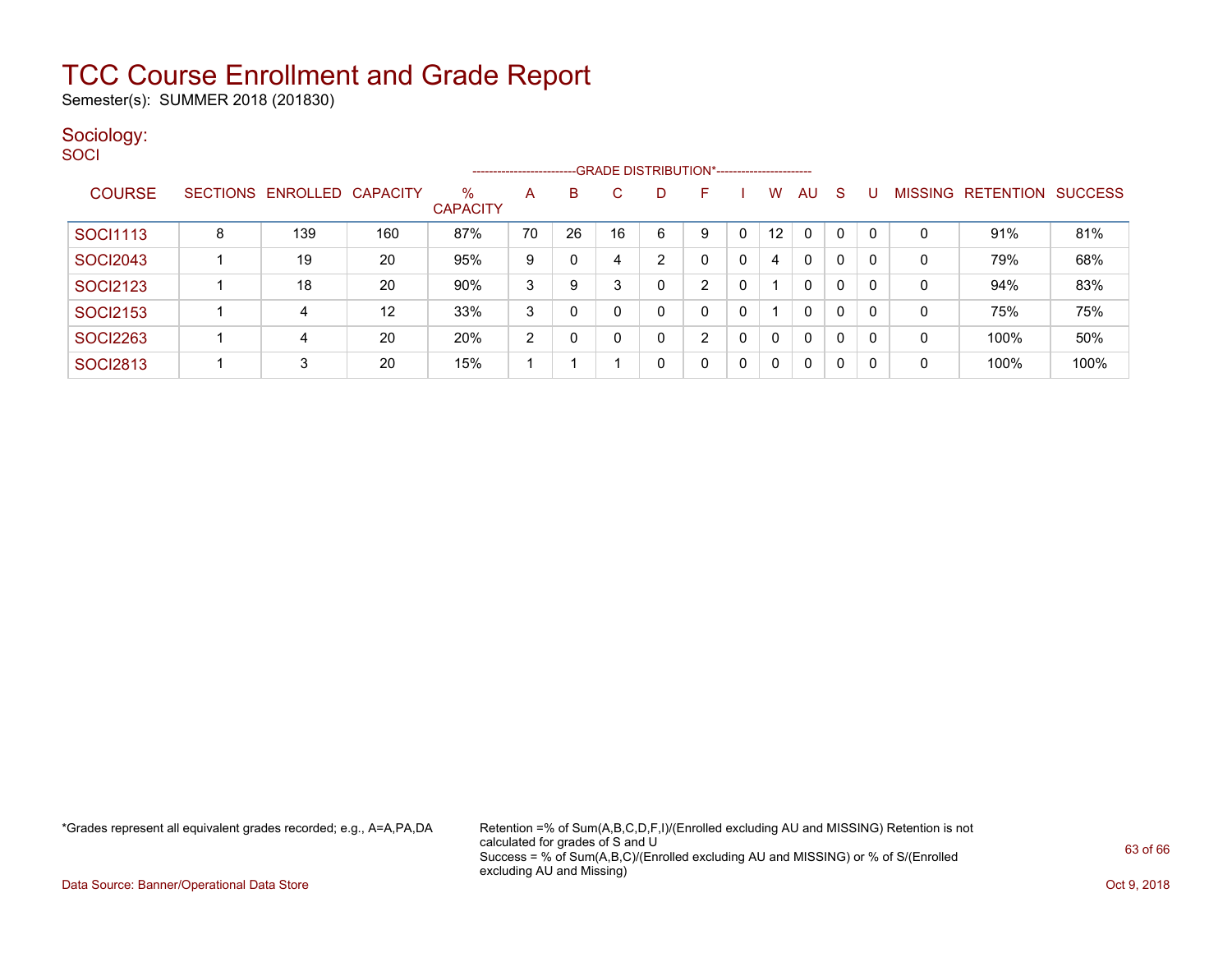Semester(s): SUMMER 2018 (201830)

#### Sociology: **SOCI**

|                 |   |                            |     |                         | ------------------------ |          |              |   | -- GRADE DISTRIBUTION*----------------------- |   |    |              |              |   |   |                   |                |
|-----------------|---|----------------------------|-----|-------------------------|--------------------------|----------|--------------|---|-----------------------------------------------|---|----|--------------|--------------|---|---|-------------------|----------------|
| <b>COURSE</b>   |   | SECTIONS ENROLLED CAPACITY |     | $\%$<br><b>CAPACITY</b> | А                        | B        | C.           | D | н.                                            |   | w  | AU.          | S.           |   |   | MISSING RETENTION | <b>SUCCESS</b> |
| SOCI1113        | 8 | 139                        | 160 | 87%                     | 70                       | 26       | 16           | 6 |                                               | 0 | 12 | $\Omega$     | $\mathbf{0}$ | 0 | 0 | 91%               | 81%            |
| <b>SOCI2043</b> |   | 19                         | 20  | 95%                     | 9                        | 0        | 4            | 2 |                                               | 0 | 4  | $\mathbf{0}$ | $\mathbf{0}$ | 0 | 0 | 79%               | 68%            |
| <b>SOCI2123</b> |   | 18                         | 20  | 90%                     | 3                        | 9        | 3            |   |                                               | 0 |    | $\mathbf{0}$ | $\mathbf{0}$ | 0 | 0 | 94%               | 83%            |
| <b>SOCI2153</b> |   | 4                          | 12  | 33%                     | 3                        | $\Omega$ | 0            | 0 |                                               | 0 |    | $\mathbf{0}$ | $\mathbf{0}$ | 0 | 0 | 75%               | 75%            |
| <b>SOCI2263</b> |   | 4                          | 20  | 20%                     | $\overline{2}$           | 0        | $\mathbf{0}$ | 0 | ົ                                             | 0 |    | $\mathbf{0}$ | $\mathbf{0}$ | 0 | 0 | 100%              | 50%            |
| <b>SOCI2813</b> |   | 3                          | 20  | 15%                     |                          |          |              | 0 |                                               | 0 |    | $\mathbf{0}$ | $\mathbf{0}$ | 0 | 0 | 100%              | 100%           |

\*Grades represent all equivalent grades recorded; e.g., A=A,PA,DA Retention =% of Sum(A,B,C,D,F,I)/(Enrolled excluding AU and MISSING) Retention is not calculated for grades of S and U Success = % of Sum(A,B,C)/(Enrolled excluding AU and MISSING) or % of S/(Enrolled excluding AU and Missing)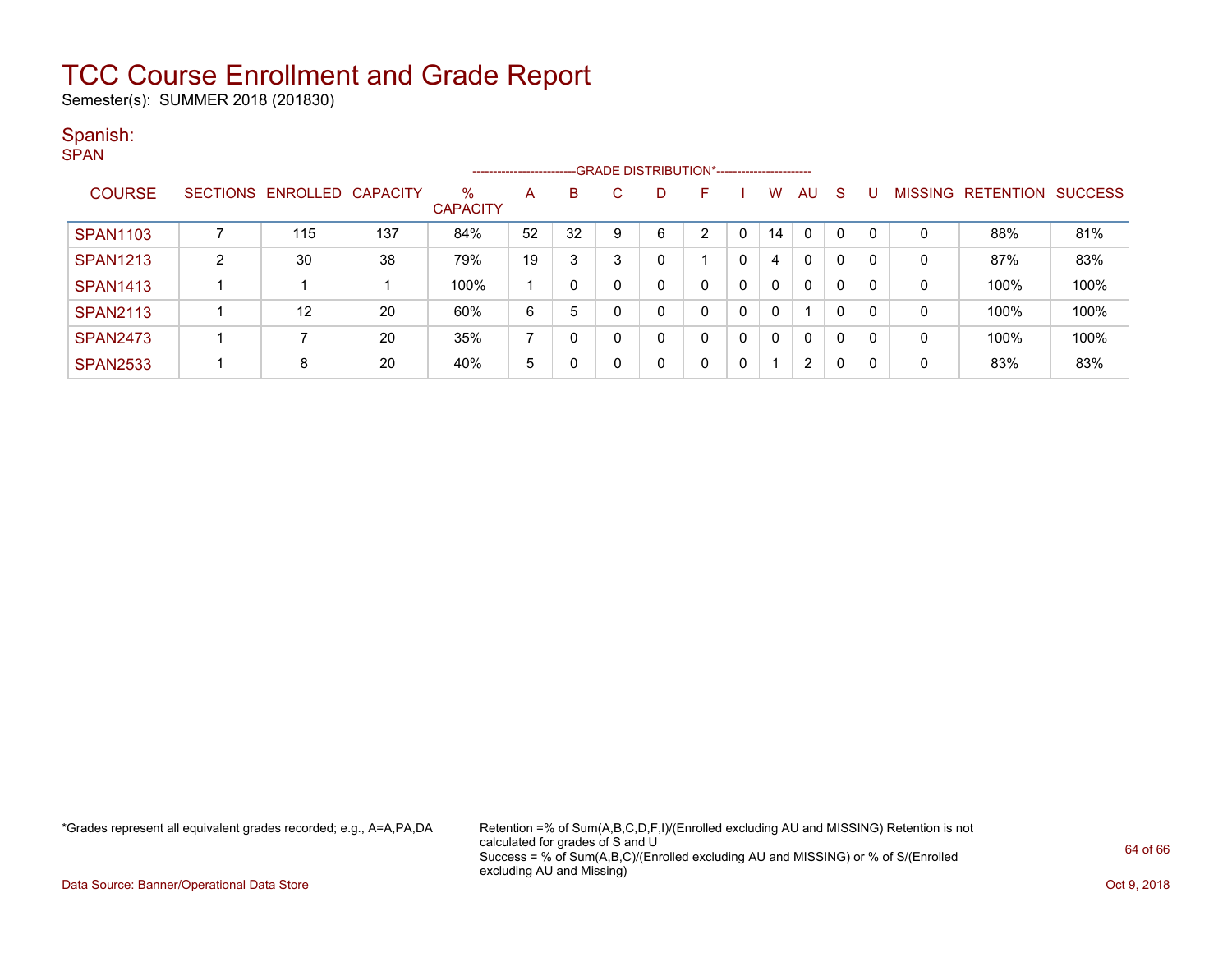Semester(s): SUMMER 2018 (201830)

#### Spanish:

SPAN

|                 |                |                            |     |                         | ----------------------- |    |    |    |   |   |    |              |              |   |   |                   |                |
|-----------------|----------------|----------------------------|-----|-------------------------|-------------------------|----|----|----|---|---|----|--------------|--------------|---|---|-------------------|----------------|
| <b>COURSE</b>   |                | SECTIONS ENROLLED CAPACITY |     | $\%$<br><b>CAPACITY</b> | A                       | B  | C. | D. | F |   | w  | AU           | <sub>S</sub> |   |   | MISSING RETENTION | <b>SUCCESS</b> |
| <b>SPAN1103</b> |                | 115                        | 137 | 84%                     | 52                      | 32 | 9  | 6  | ົ |   | 14 | $\mathbf{0}$ | 0            |   | 0 | 88%               | 81%            |
| <b>SPAN1213</b> | $\overline{2}$ | 30                         | 38  | 79%                     | 19                      | 3  |    |    |   | 0 | 4  | 0            | 0            | 0 | 0 | 87%               | 83%            |
| <b>SPAN1413</b> |                |                            |     | 100%                    |                         | 0  |    |    | 0 | 0 | 0  | $\Omega$     | 0            | 0 | 0 | 100%              | 100%           |
| <b>SPAN2113</b> |                | 12                         | 20  | 60%                     | 6                       | 5  |    |    | 0 | 0 | 0  |              | 0            |   | 0 | 100%              | 100%           |
| <b>SPAN2473</b> |                |                            | 20  | 35%                     |                         |    |    |    | 0 | 0 | 0  | $\mathbf{0}$ | 0            |   | 0 | 100%              | 100%           |
| <b>SPAN2533</b> |                | 8                          | 20  | 40%                     | 5                       |    |    |    | 0 | 0 |    | 2            | $\Omega$     |   | 0 | 83%               | 83%            |

\*Grades represent all equivalent grades recorded; e.g., A=A,PA,DA Retention =% of Sum(A,B,C,D,F,I)/(Enrolled excluding AU and MISSING) Retention is not calculated for grades of S and U Success = % of Sum(A,B,C)/(Enrolled excluding AU and MISSING) or % of S/(Enrolled excluding AU and Missing)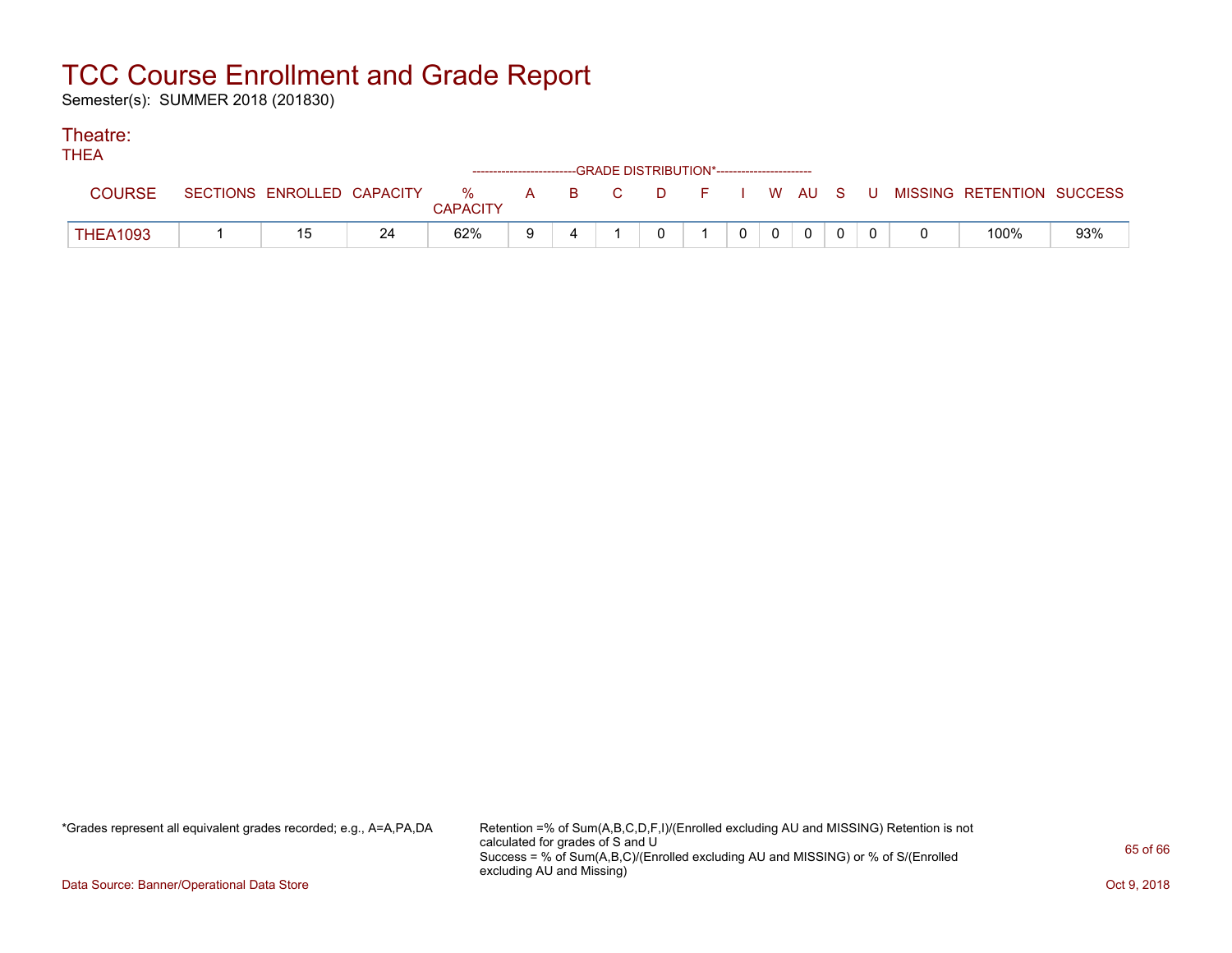Semester(s): SUMMER 2018 (201830)

#### Theatre:  $T$  The  $\lambda$

| IHEA            |                            |    |                      |   | ------------------------GRADE DISTRIBUTION*----------------------- |   |  |             |              |  |                                          |     |
|-----------------|----------------------------|----|----------------------|---|--------------------------------------------------------------------|---|--|-------------|--------------|--|------------------------------------------|-----|
| <b>COURSE</b>   | SECTIONS ENROLLED CAPACITY |    | %<br><b>CAPACITY</b> |   | A B C                                                              |   |  |             |              |  | D F I W AU S U MISSING RETENTION SUCCESS |     |
| <b>THEA1093</b> |                            | 24 | 62%                  | 9 |                                                                    | 0 |  | $\mathbf 0$ | $\mathbf{0}$ |  | 100%                                     | 93% |

\*Grades represent all equivalent grades recorded; e.g., A=A,PA,DA Retention =% of Sum(A,B,C,D,F,I)/(Enrolled excluding AU and MISSING) Retention is not calculated for grades of S and U Success = % of Sum(A,B,C)/(Enrolled excluding AU and MISSING) or % of S/(Enrolled excluding AU and Missing)

Data Source: Banner/Operational Data Store Content of the Content of Content of the Content of the Content of the Content of the Content of the Content of the Content of the Content of the Content of the Content of the Con